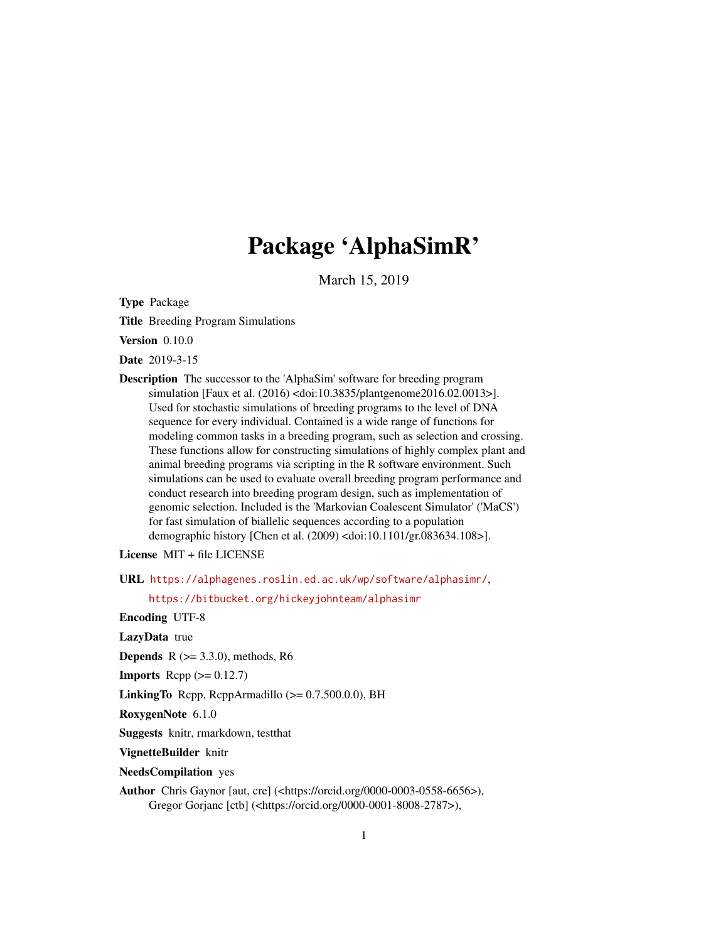# Package 'AlphaSimR'

March 15, 2019

<span id="page-0-0"></span>Type Package

Title Breeding Program Simulations

Version 0.10.0

Date 2019-3-15

Description The successor to the 'AlphaSim' software for breeding program simulation [Faux et al. (2016) <doi:10.3835/plantgenome2016.02.0013>]. Used for stochastic simulations of breeding programs to the level of DNA sequence for every individual. Contained is a wide range of functions for modeling common tasks in a breeding program, such as selection and crossing. These functions allow for constructing simulations of highly complex plant and animal breeding programs via scripting in the R software environment. Such simulations can be used to evaluate overall breeding program performance and conduct research into breeding program design, such as implementation of genomic selection. Included is the 'Markovian Coalescent Simulator' ('MaCS') for fast simulation of biallelic sequences according to a population demographic history [Chen et al. (2009) <doi:10.1101/gr.083634.108>].

License MIT + file LICENSE

URL <https://alphagenes.roslin.ed.ac.uk/wp/software/alphasimr/>,

<https://bitbucket.org/hickeyjohnteam/alphasimr>

Encoding UTF-8

LazyData true

**Depends**  $R$  ( $>= 3.3.0$ ), methods, R6

**Imports** Rcpp  $(>= 0.12.7)$ 

LinkingTo Rcpp, RcppArmadillo  $(>= 0.7.500.0.0)$ , BH

RoxygenNote 6.1.0

Suggests knitr, rmarkdown, testthat

VignetteBuilder knitr

NeedsCompilation yes

Author Chris Gaynor [aut, cre] (<https://orcid.org/0000-0003-0558-6656>), Gregor Gorjanc [ctb] (<https://orcid.org/0000-0001-8008-2787>),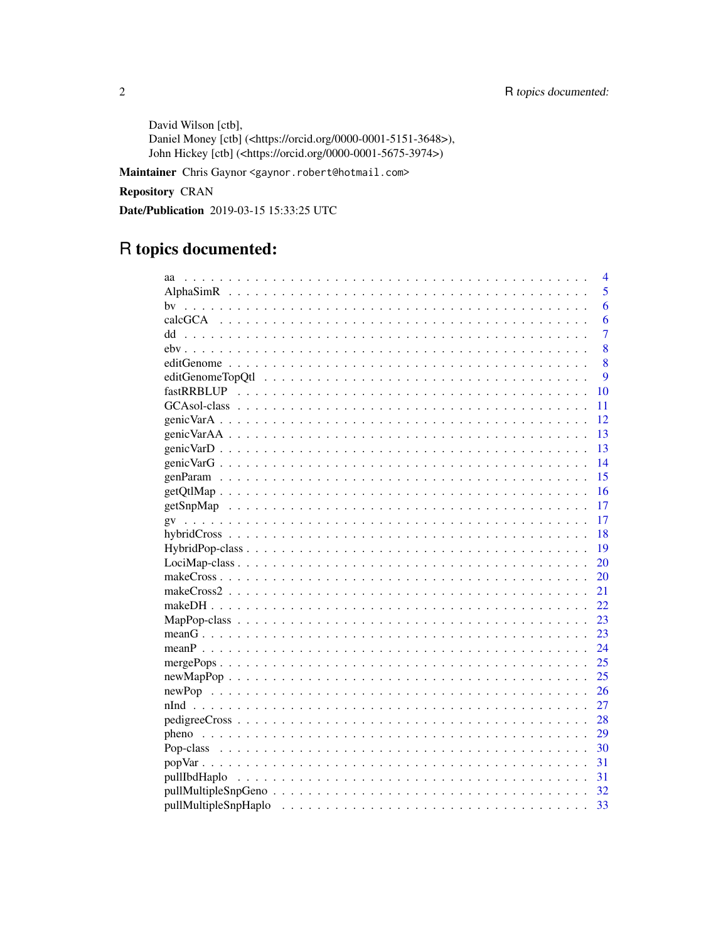David Wilson [ctb], Daniel Money [ctb] (<https://orcid.org/0000-0001-5151-3648>), John Hickey [ctb] (<https://orcid.org/0000-0001-5675-3974>)

Maintainer Chris Gaynor <gaynor.robert@hotmail.com>

**Repository CRAN** 

Date/Publication 2019-03-15 15:33:25 UTC

# R topics documented:

|  |  |  | 4               |
|--|--|--|-----------------|
|  |  |  | 5               |
|  |  |  | 6               |
|  |  |  | 6               |
|  |  |  | $\overline{7}$  |
|  |  |  | 8               |
|  |  |  | 8               |
|  |  |  | 9               |
|  |  |  | 10              |
|  |  |  | 11              |
|  |  |  | 12              |
|  |  |  | 13              |
|  |  |  | -13             |
|  |  |  | $\overline{14}$ |
|  |  |  | 15              |
|  |  |  | 16              |
|  |  |  | 17              |
|  |  |  | 17              |
|  |  |  | 18              |
|  |  |  | 19              |
|  |  |  | 20              |
|  |  |  | 20              |
|  |  |  | 21              |
|  |  |  | 22              |
|  |  |  | 23              |
|  |  |  | 23              |
|  |  |  |                 |
|  |  |  |                 |
|  |  |  |                 |
|  |  |  |                 |
|  |  |  |                 |
|  |  |  |                 |
|  |  |  | 29              |
|  |  |  |                 |
|  |  |  | -31             |
|  |  |  |                 |
|  |  |  |                 |
|  |  |  | 33              |

 $\overline{2}$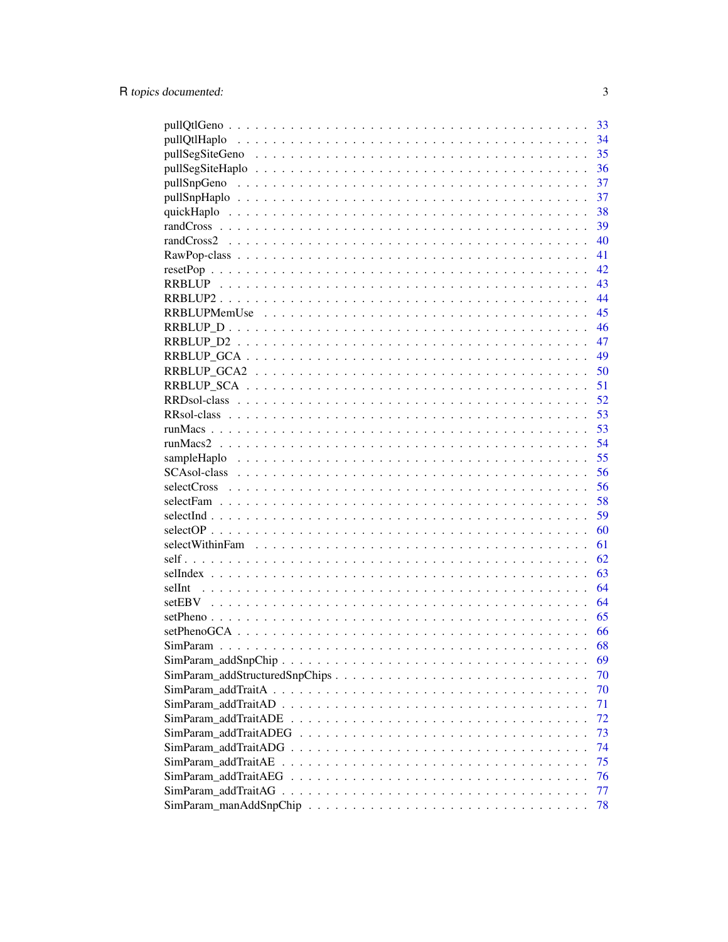|        | 33 |
|--------|----|
|        | 34 |
|        | 35 |
|        | 36 |
|        | 37 |
|        | 37 |
|        | 38 |
|        | 39 |
|        | 40 |
|        | 41 |
|        | 42 |
|        | 43 |
|        | 44 |
|        | 45 |
|        | 46 |
|        | 47 |
|        | 49 |
|        | 50 |
|        | 51 |
|        | 52 |
|        | 53 |
|        | 53 |
|        | 54 |
|        | 55 |
|        | 56 |
|        | 56 |
|        | 58 |
|        | 59 |
|        | 60 |
|        | 61 |
|        | 62 |
|        | 63 |
| selInt | 64 |
|        | 64 |
|        | 65 |
|        | 66 |
|        | 68 |
|        | 69 |
|        | 70 |
|        | 70 |
|        | 71 |
|        | 72 |
|        | 73 |
|        | 74 |
|        | 75 |
|        | 76 |
|        | 77 |
|        | 78 |

 $\overline{3}$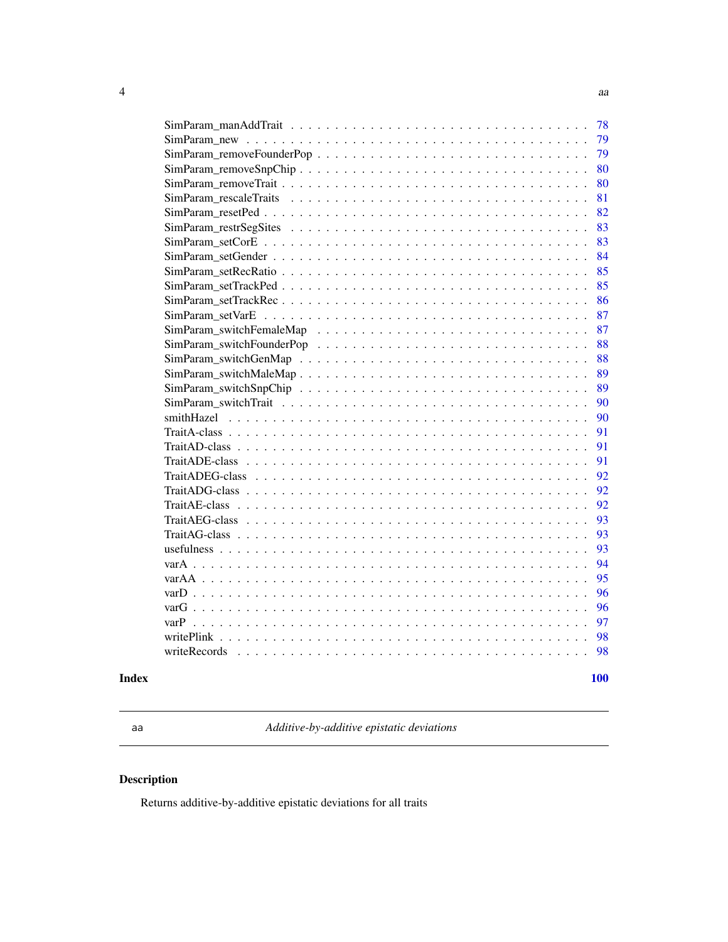<span id="page-3-0"></span>

| 78 |
|----|
| 79 |
| 79 |
| 80 |
| 80 |
| 81 |
| 82 |
| 83 |
| 83 |
| 84 |
| 85 |
| 85 |
| 86 |
| 87 |
| 87 |
| 88 |
| 88 |
| 89 |
| 89 |
| 90 |
| 90 |
| 91 |
| 91 |
| 91 |
| 92 |
| 92 |
| 92 |
| 93 |
| 93 |
| 93 |
| 94 |
| 95 |
| 96 |
| 96 |
| 97 |
| 98 |
| 98 |
|    |

#### $\blacksquare$

aa *Additive-by-additive epistatic deviations*

# Description

Returns additive-by-additive epistatic deviations for all traits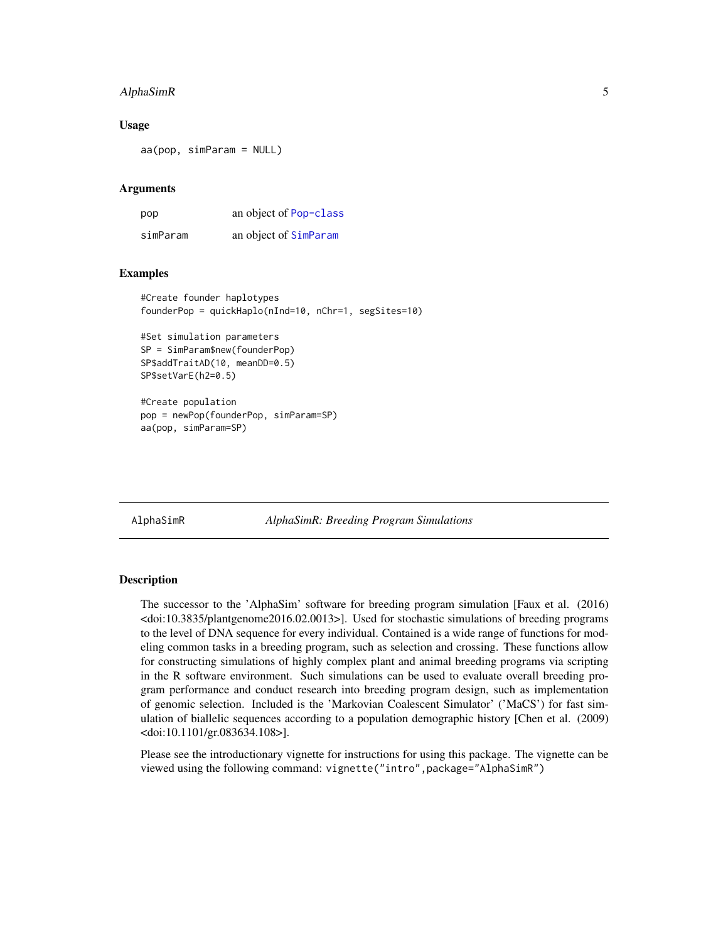### <span id="page-4-0"></span>AlphaSimR 5

### Usage

aa(pop, simParam = NULL)

### Arguments

| pop      | an object of Pop-class |
|----------|------------------------|
| simParam | an object of SimParam  |

### Examples

```
#Create founder haplotypes
founderPop = quickHaplo(nInd=10, nChr=1, segSites=10)
#Set simulation parameters
SP = SimParam$new(founderPop)
```
#Create population pop = newPop(founderPop, simParam=SP) aa(pop, simParam=SP)

SP\$addTraitAD(10, meanDD=0.5)

SP\$setVarE(h2=0.5)

AlphaSimR *AlphaSimR: Breeding Program Simulations*

### Description

The successor to the 'AlphaSim' software for breeding program simulation [Faux et al. (2016) <doi:10.3835/plantgenome2016.02.0013>]. Used for stochastic simulations of breeding programs to the level of DNA sequence for every individual. Contained is a wide range of functions for modeling common tasks in a breeding program, such as selection and crossing. These functions allow for constructing simulations of highly complex plant and animal breeding programs via scripting in the R software environment. Such simulations can be used to evaluate overall breeding program performance and conduct research into breeding program design, such as implementation of genomic selection. Included is the 'Markovian Coalescent Simulator' ('MaCS') for fast simulation of biallelic sequences according to a population demographic history [Chen et al. (2009) <doi:10.1101/gr.083634.108>].

Please see the introductionary vignette for instructions for using this package. The vignette can be viewed using the following command: vignette("intro",package="AlphaSimR")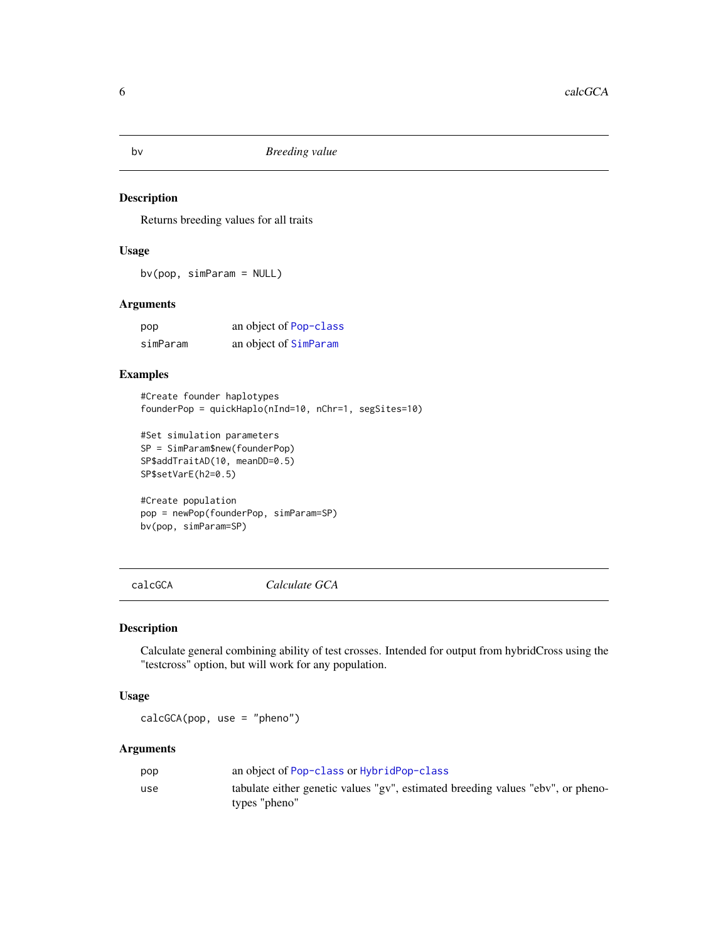Returns breeding values for all traits

### Usage

bv(pop, simParam = NULL)

### Arguments

| pop      | an object of Pop-class |
|----------|------------------------|
| simParam | an object of SimParam  |

### Examples

```
#Create founder haplotypes
founderPop = quickHaplo(nInd=10, nChr=1, segSites=10)
```

```
#Set simulation parameters
SP = SimParam$new(founderPop)
SP$addTraitAD(10, meanDD=0.5)
SP$setVarE(h2=0.5)
```
#Create population pop = newPop(founderPop, simParam=SP) bv(pop, simParam=SP)

calcGCA *Calculate GCA*

### Description

Calculate general combining ability of test crosses. Intended for output from hybridCross using the "testcross" option, but will work for any population.

### Usage

calcGCA(pop, use = "pheno")

### Arguments

| pop | an object of Pop-class or HybridPop-class                                                        |
|-----|--------------------------------------------------------------------------------------------------|
| use | tabulate either genetic values "gv", estimated breeding values "ebv", or pheno-<br>types "pheno" |

<span id="page-5-0"></span>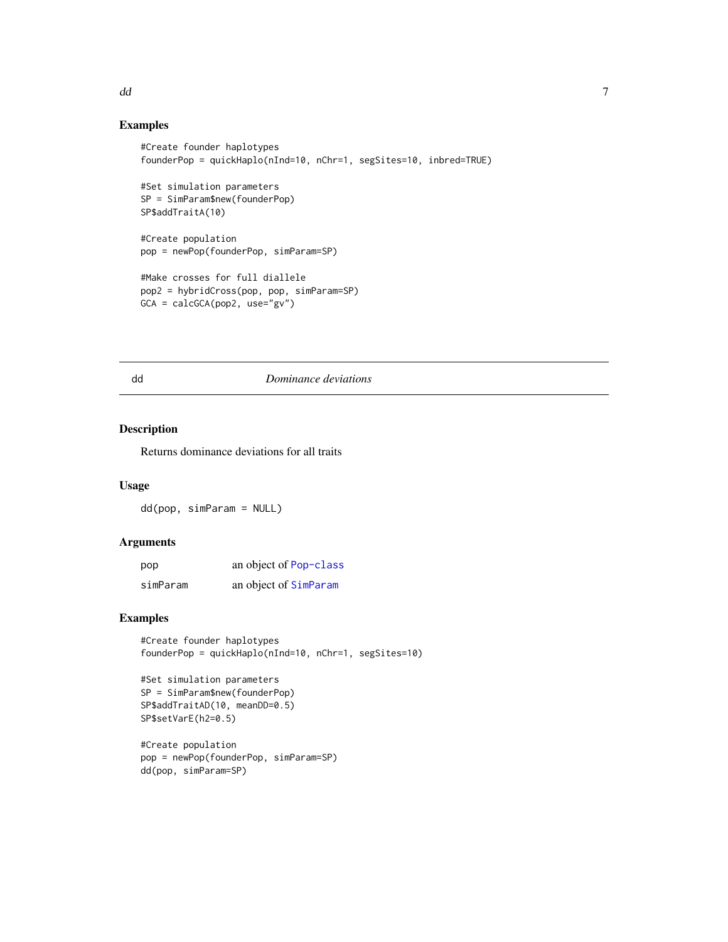### Examples

```
#Create founder haplotypes
founderPop = quickHaplo(nInd=10, nChr=1, segSites=10, inbred=TRUE)
#Set simulation parameters
SP = SimParam$new(founderPop)
SP$addTraitA(10)
#Create population
pop = newPop(founderPop, simParam=SP)
#Make crosses for full diallele
pop2 = hybridCross(pop, pop, simParam=SP)
GCA = calcGCA(pop2, use="gv")
```
### dd *Dominance deviations*

# Description

Returns dominance deviations for all traits

### Usage

dd(pop, simParam = NULL)

### Arguments

| pop      | an object of Pop-class |
|----------|------------------------|
| simParam | an object of SimParam  |

### Examples

```
#Create founder haplotypes
founderPop = quickHaplo(nInd=10, nChr=1, segSites=10)
```

```
#Set simulation parameters
SP = SimParam$new(founderPop)
SP$addTraitAD(10, meanDD=0.5)
SP$setVarE(h2=0.5)
```

```
#Create population
pop = newPop(founderPop, simParam=SP)
dd(pop, simParam=SP)
```
<span id="page-6-0"></span>dd ac ym y 1900 ac ymun y 1900. Yn y 1900 ac ym y 1900 ac ymu y 1900 ac ym y 1900. Yn y 1900 ac ymu y 1900 ac y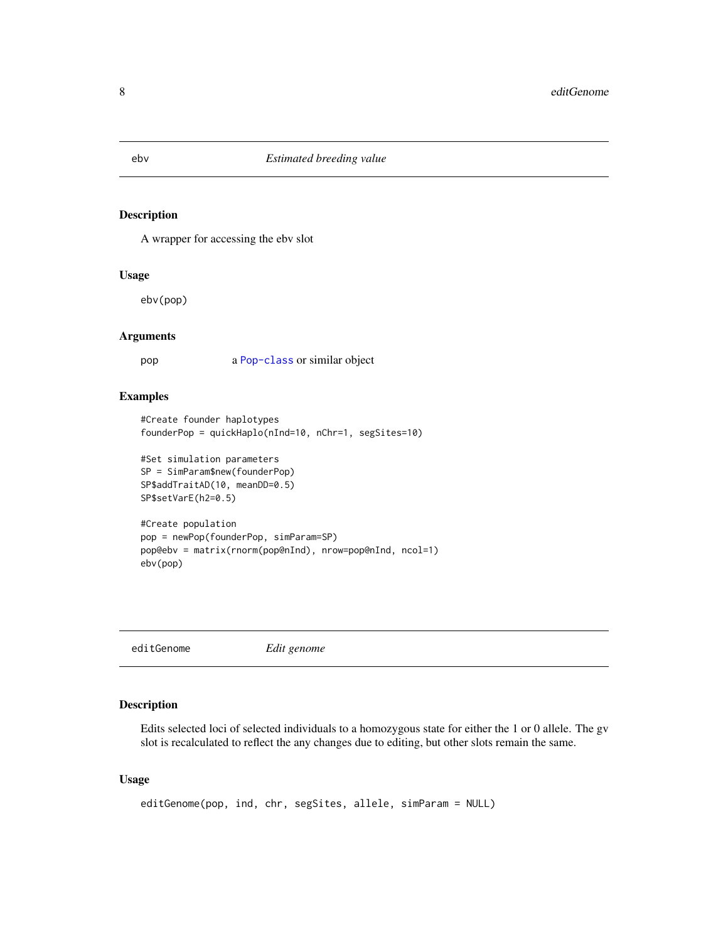<span id="page-7-0"></span>A wrapper for accessing the ebv slot

### Usage

ebv(pop)

#### Arguments

pop a [Pop-class](#page-29-1) or similar object

### Examples

```
#Create founder haplotypes
founderPop = quickHaplo(nInd=10, nChr=1, segSites=10)
```

```
#Set simulation parameters
SP = SimParam$new(founderPop)
SP$addTraitAD(10, meanDD=0.5)
SP$setVarE(h2=0.5)
```

```
#Create population
pop = newPop(founderPop, simParam=SP)
pop@ebv = matrix(rnorm(pop@nInd), nrow=pop@nInd, ncol=1)
ebv(pop)
```
editGenome *Edit genome*

# Description

Edits selected loci of selected individuals to a homozygous state for either the 1 or 0 allele. The gv slot is recalculated to reflect the any changes due to editing, but other slots remain the same.

```
editGenome(pop, ind, chr, segSites, allele, simParam = NULL)
```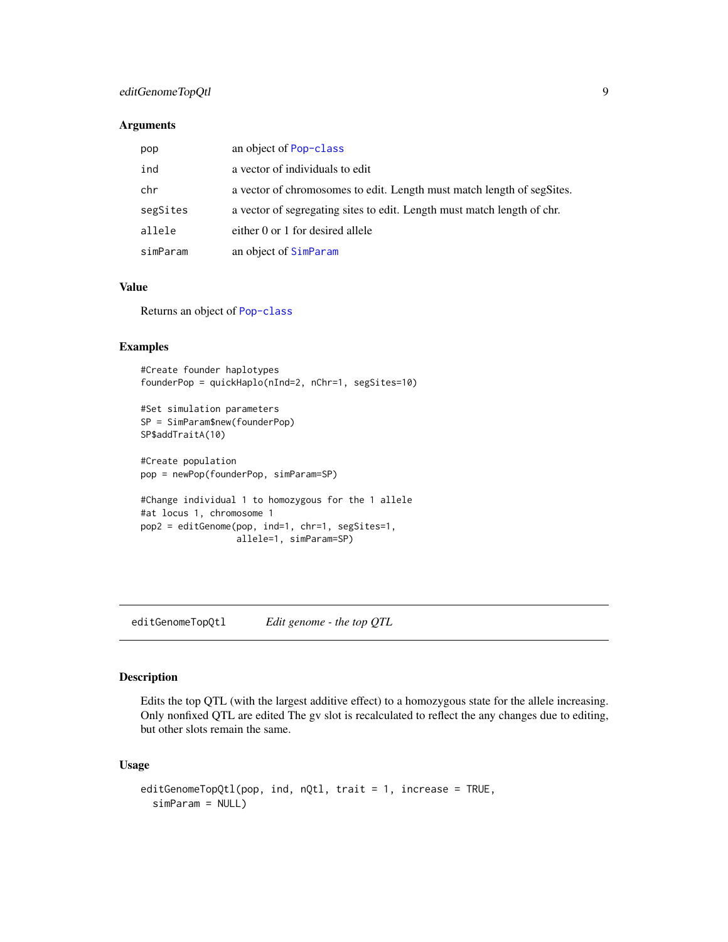# <span id="page-8-0"></span>editGenomeTopQtl 9

### Arguments

| pop      | an object of Pop-class                                                  |
|----------|-------------------------------------------------------------------------|
| ind      | a vector of individuals to edit                                         |
| chr      | a vector of chromosomes to edit. Length must match length of segSites.  |
| segSites | a vector of segregating sites to edit. Length must match length of chr. |
| allele   | either 0 or 1 for desired allele                                        |
| simParam | an object of SimParam                                                   |

### Value

Returns an object of [Pop-class](#page-29-1)

# Examples

#Create founder haplotypes founderPop = quickHaplo(nInd=2, nChr=1, segSites=10)

```
#Set simulation parameters
SP = SimParam$new(founderPop)
SP$addTraitA(10)
```
#Create population pop = newPop(founderPop, simParam=SP)

```
#Change individual 1 to homozygous for the 1 allele
#at locus 1, chromosome 1
pop2 = editGenome(pop, ind=1, chr=1, segSites=1,
                 allele=1, simParam=SP)
```
editGenomeTopQtl *Edit genome - the top QTL*

#### Description

Edits the top QTL (with the largest additive effect) to a homozygous state for the allele increasing. Only nonfixed QTL are edited The gv slot is recalculated to reflect the any changes due to editing, but other slots remain the same.

```
editGenomeTopQtl(pop, ind, nQtl, trait = 1, increase = TRUE,
  simParam = NULL)
```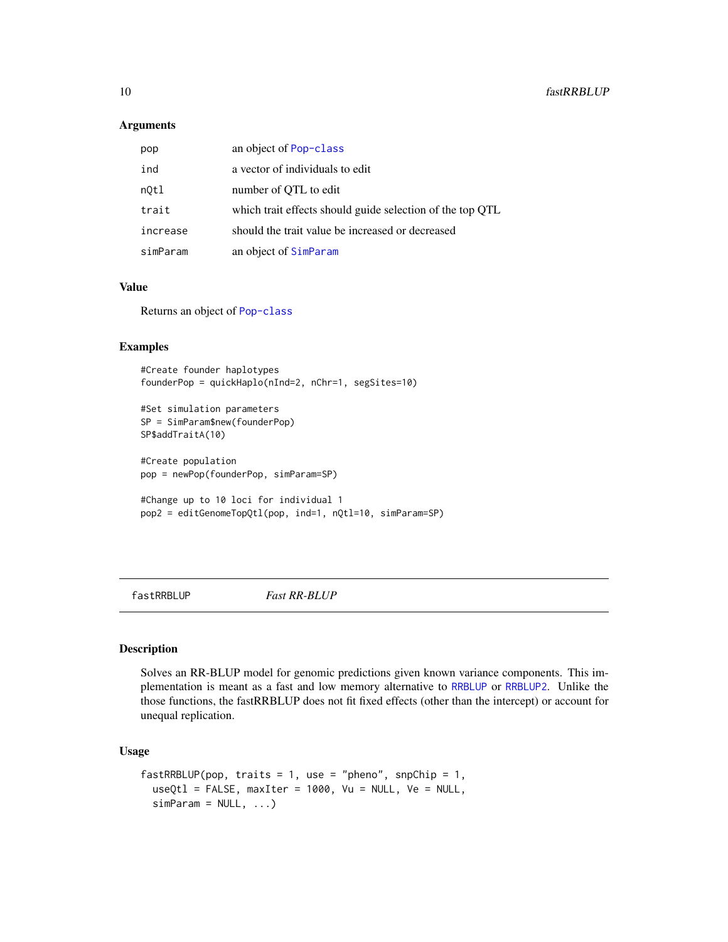### Arguments

| pop      | an object of Pop-class                                    |
|----------|-----------------------------------------------------------|
| ind      | a vector of individuals to edit                           |
| nOtl     | number of QTL to edit                                     |
| trait    | which trait effects should guide selection of the top QTL |
| increase | should the trait value be increased or decreased          |
| simParam | an object of SimParam                                     |

### Value

Returns an object of [Pop-class](#page-29-1)

# Examples

#Create founder haplotypes founderPop = quickHaplo(nInd=2, nChr=1, segSites=10)

```
#Set simulation parameters
SP = SimParam$new(founderPop)
SP$addTraitA(10)
```
#Create population pop = newPop(founderPop, simParam=SP)

```
#Change up to 10 loci for individual 1
pop2 = editGenomeTopQtl(pop, ind=1, nQtl=10, simParam=SP)
```

```
fastRRBLUP Fast RR-BLUP
```
### Description

Solves an RR-BLUP model for genomic predictions given known variance components. This implementation is meant as a fast and low memory alternative to [RRBLUP](#page-42-1) or [RRBLUP2](#page-43-1). Unlike the those functions, the fastRRBLUP does not fit fixed effects (other than the intercept) or account for unequal replication.

```
fastRRBLUP(pop, traits = 1, use = "pheno", snpChip = 1,
  useQtl = FALSE, maxIter = 1000, Vu = NULL, Ve = NULL,simParam = NULL, ...)
```
<span id="page-9-0"></span>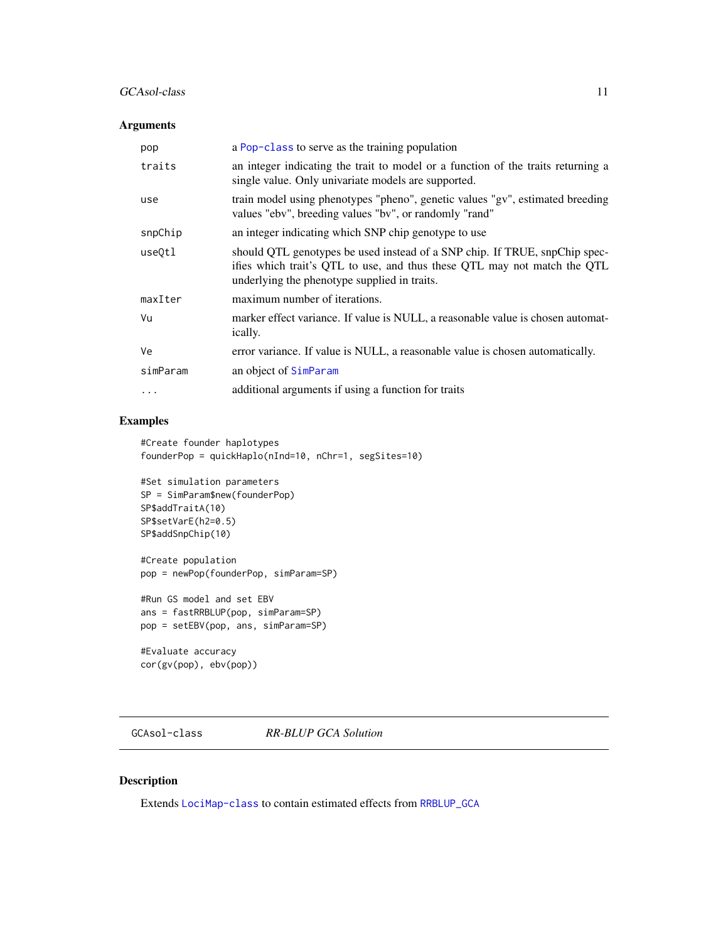### <span id="page-10-0"></span>GCAsol-class 11

# Arguments

| pop      | a Pop-class to serve as the training population                                                                                                                                                        |
|----------|--------------------------------------------------------------------------------------------------------------------------------------------------------------------------------------------------------|
| traits   | an integer indicating the trait to model or a function of the traits returning a<br>single value. Only univariate models are supported.                                                                |
| use      | train model using phenotypes "pheno", genetic values "gv", estimated breeding<br>values "ebv", breeding values "bv", or randomly "rand"                                                                |
| snpChip  | an integer indicating which SNP chip genotype to use                                                                                                                                                   |
| use0tl   | should QTL genotypes be used instead of a SNP chip. If TRUE, snpChip spec-<br>ifies which trait's QTL to use, and thus these QTL may not match the QTL<br>underlying the phenotype supplied in traits. |
| maxIter  | maximum number of iterations.                                                                                                                                                                          |
| Vu       | marker effect variance. If value is NULL, a reasonable value is chosen automat-<br><i>ically.</i>                                                                                                      |
| Ve       | error variance. If value is NULL, a reasonable value is chosen automatically.                                                                                                                          |
| simParam | an object of SimParam                                                                                                                                                                                  |
| $\cdots$ | additional arguments if using a function for traits                                                                                                                                                    |

# Examples

```
#Create founder haplotypes
founderPop = quickHaplo(nInd=10, nChr=1, segSites=10)
```

```
#Set simulation parameters
SP = SimParam$new(founderPop)
SP$addTraitA(10)
SP$setVarE(h2=0.5)
SP$addSnpChip(10)
```

```
#Create population
pop = newPop(founderPop, simParam=SP)
```

```
#Run GS model and set EBV
ans = fastRRBLUP(pop, simParam=SP)
pop = setEBV(pop, ans, simParam=SP)
```
#Evaluate accuracy cor(gv(pop), ebv(pop))

GCAsol-class *RR-BLUP GCA Solution*

# Description

Extends [LociMap-class](#page-19-1) to contain estimated effects from [RRBLUP\\_GCA](#page-48-1)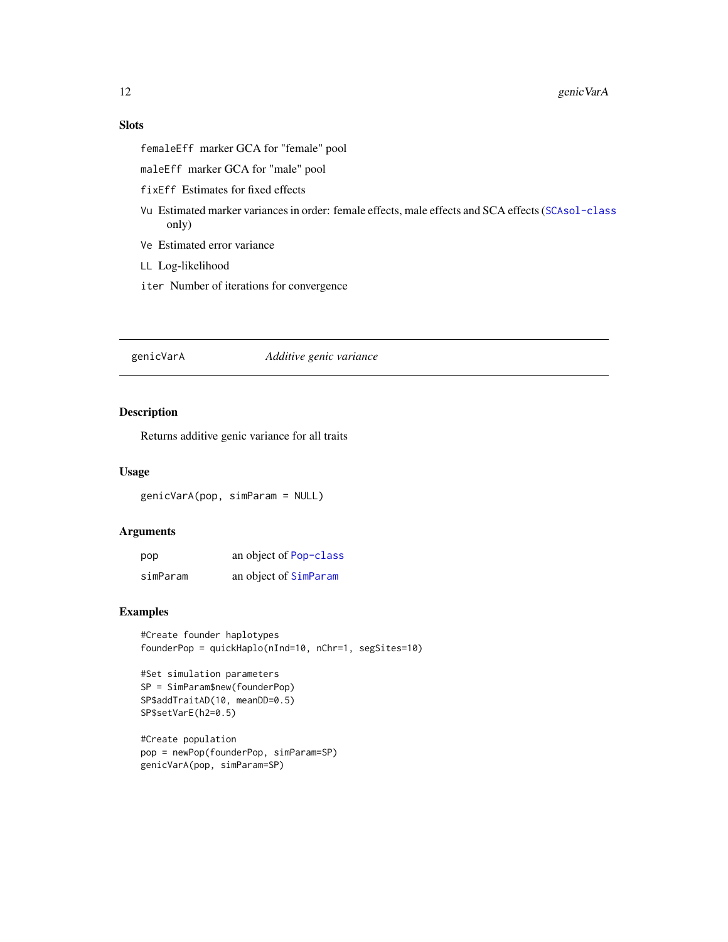# <span id="page-11-0"></span>Slots

femaleEff marker GCA for "female" pool

maleEff marker GCA for "male" pool

fixEff Estimates for fixed effects

- Vu Estimated marker variances in order: female effects, male effects and SCA effects ([SCAsol-class](#page-55-1) only)
- Ve Estimated error variance
- LL Log-likelihood
- iter Number of iterations for convergence

genicVarA *Additive genic variance*

# Description

Returns additive genic variance for all traits

### Usage

genicVarA(pop, simParam = NULL)

### Arguments

| pop      | an object of Pop-class |
|----------|------------------------|
| simParam | an object of SimParam  |

# Examples

#Create founder haplotypes founderPop = quickHaplo(nInd=10, nChr=1, segSites=10)

```
#Set simulation parameters
SP = SimParam$new(founderPop)
SP$addTraitAD(10, meanDD=0.5)
SP$setVarE(h2=0.5)
```

```
#Create population
pop = newPop(founderPop, simParam=SP)
genicVarA(pop, simParam=SP)
```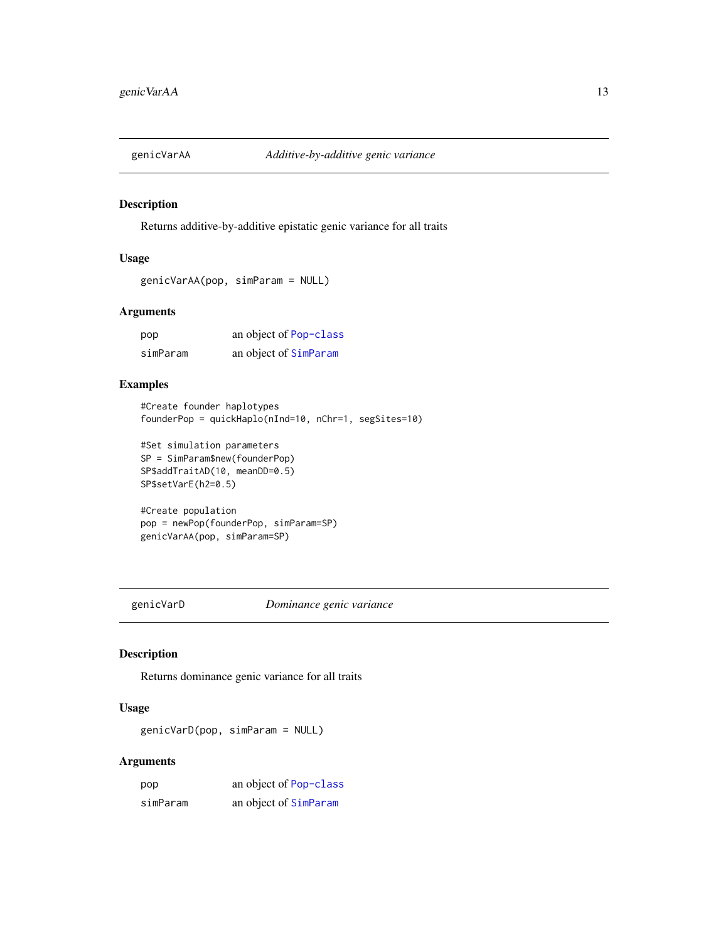<span id="page-12-0"></span>

Returns additive-by-additive epistatic genic variance for all traits

# Usage

```
genicVarAA(pop, simParam = NULL)
```
# Arguments

| pop      | an object of Pop-class |
|----------|------------------------|
| simParam | an object of SimParam  |

# Examples

```
#Create founder haplotypes
founderPop = quickHaplo(nInd=10, nChr=1, segSites=10)
```

```
#Set simulation parameters
SP = SimParam$new(founderPop)
SP$addTraitAD(10, meanDD=0.5)
SP$setVarE(h2=0.5)
```

```
#Create population
pop = newPop(founderPop, simParam=SP)
genicVarAA(pop, simParam=SP)
```
genicVarD *Dominance genic variance*

# Description

Returns dominance genic variance for all traits

### Usage

genicVarD(pop, simParam = NULL)

### Arguments

| pop      | an object of Pop-class |
|----------|------------------------|
| simParam | an object of SimParam  |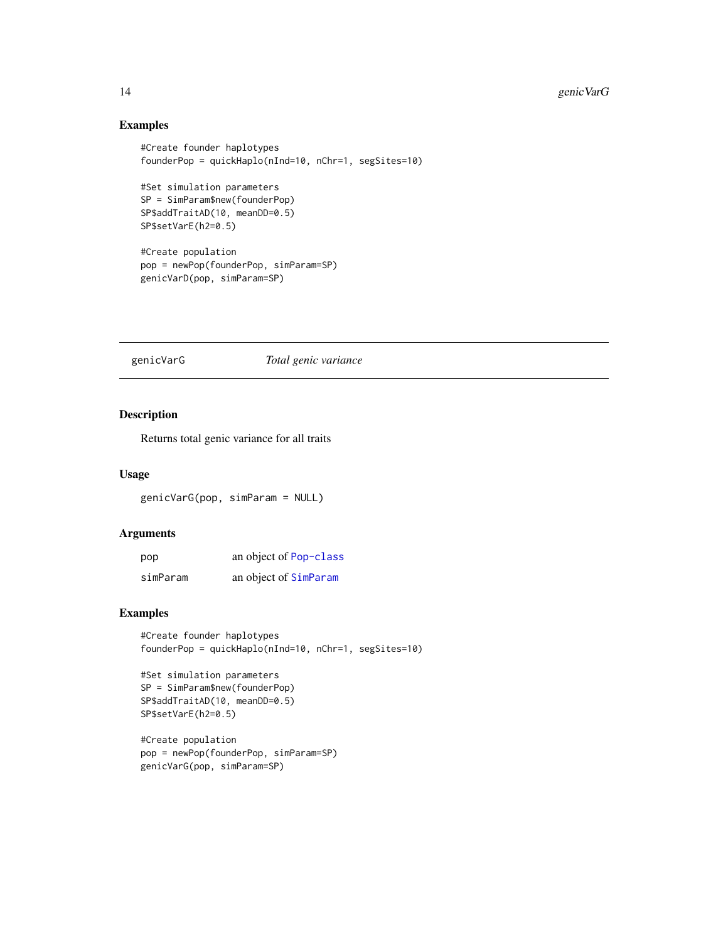# Examples

```
#Create founder haplotypes
founderPop = quickHaplo(nInd=10, nChr=1, segSites=10)
#Set simulation parameters
SP = SimParam$new(founderPop)
SP$addTraitAD(10, meanDD=0.5)
SP$setVarE(h2=0.5)
#Create population
pop = newPop(founderPop, simParam=SP)
genicVarD(pop, simParam=SP)
```
genicVarG *Total genic variance*

# Description

Returns total genic variance for all traits

### Usage

genicVarG(pop, simParam = NULL)

### Arguments

| pop      | an object of Pop-class |
|----------|------------------------|
| simParam | an object of SimParam  |

### Examples

```
#Create founder haplotypes
founderPop = quickHaplo(nInd=10, nChr=1, segSites=10)
```

```
#Set simulation parameters
SP = SimParam$new(founderPop)
SP$addTraitAD(10, meanDD=0.5)
SP$setVarE(h2=0.5)
```

```
#Create population
pop = newPop(founderPop, simParam=SP)
genicVarG(pop, simParam=SP)
```
<span id="page-13-0"></span>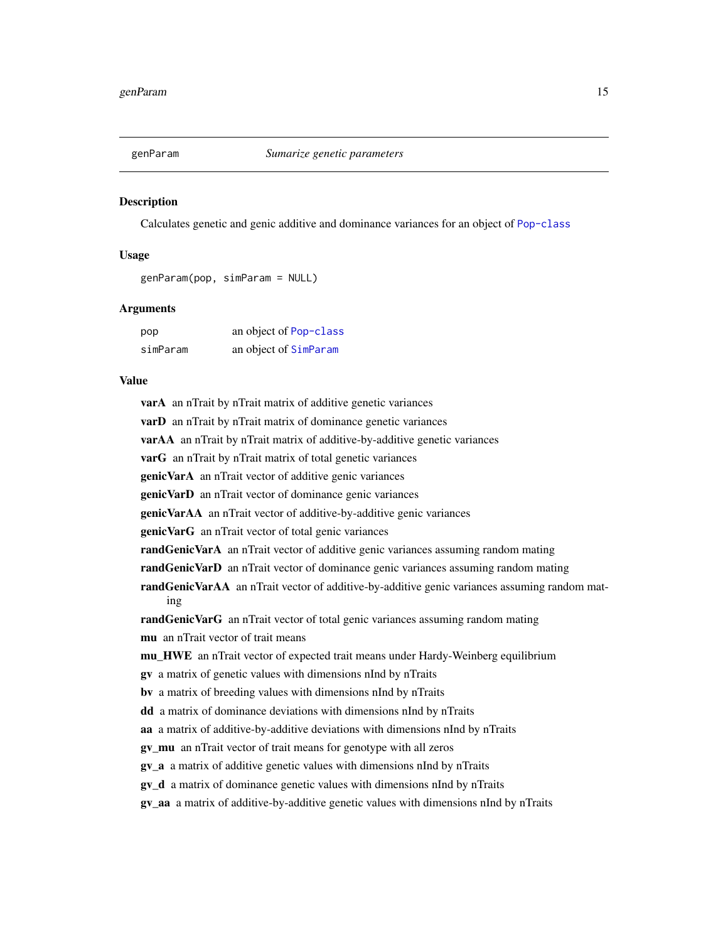<span id="page-14-0"></span>

Calculates genetic and genic additive and dominance variances for an object of [Pop-class](#page-29-1)

### Usage

genParam(pop, simParam = NULL)

### Arguments

| pop      | an object of Pop-class |
|----------|------------------------|
| simParam | an object of SimParam  |

### Value

varA an nTrait by nTrait matrix of additive genetic variances **varD** an nTrait by nTrait matrix of dominance genetic variances

varAA an nTrait by nTrait matrix of additive-by-additive genetic variances

varG an nTrait by nTrait matrix of total genetic variances

genicVarA an nTrait vector of additive genic variances

genicVarD an nTrait vector of dominance genic variances

genicVarAA an nTrait vector of additive-by-additive genic variances

genicVarG an nTrait vector of total genic variances

randGenicVarA an nTrait vector of additive genic variances assuming random mating

randGenicVarD an nTrait vector of dominance genic variances assuming random mating

randGenicVarAA an nTrait vector of additive-by-additive genic variances assuming random mating

randGenicVarG an nTrait vector of total genic variances assuming random mating

mu an nTrait vector of trait means

mu\_HWE an nTrait vector of expected trait means under Hardy-Weinberg equilibrium

gv a matrix of genetic values with dimensions nInd by nTraits

bv a matrix of breeding values with dimensions nInd by nTraits

dd a matrix of dominance deviations with dimensions nInd by nTraits

aa a matrix of additive-by-additive deviations with dimensions nInd by nTraits

gv\_mu an nTrait vector of trait means for genotype with all zeros

gv\_a a matrix of additive genetic values with dimensions nInd by nTraits

gv\_d a matrix of dominance genetic values with dimensions nInd by nTraits

gv\_aa a matrix of additive-by-additive genetic values with dimensions nInd by nTraits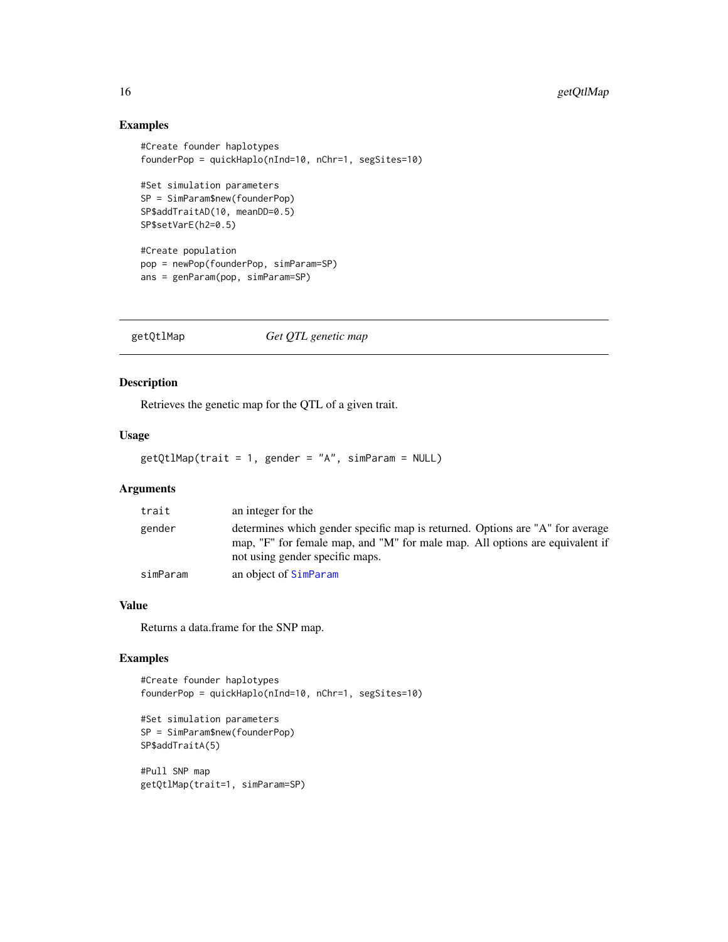# Examples

```
#Create founder haplotypes
founderPop = quickHaplo(nInd=10, nChr=1, segSites=10)
#Set simulation parameters
SP = SimParam$new(founderPop)
SP$addTraitAD(10, meanDD=0.5)
SP$setVarE(h2=0.5)
#Create population
pop = newPop(founderPop, simParam=SP)
ans = genParam(pop, simParam=SP)
```
getQtlMap *Get QTL genetic map*

### Description

Retrieves the genetic map for the QTL of a given trait.

### Usage

getQtlMap(trait = 1, gender = "A", simParam = NULL)

# Arguments

| trait    | an integer for the                                                                                                                                                                               |
|----------|--------------------------------------------------------------------------------------------------------------------------------------------------------------------------------------------------|
| gender   | determines which gender specific map is returned. Options are "A" for average<br>map, "F" for female map, and "M" for male map. All options are equivalent if<br>not using gender specific maps. |
| simParam | an object of SimParam                                                                                                                                                                            |

### Value

Returns a data.frame for the SNP map.

### Examples

```
#Create founder haplotypes
founderPop = quickHaplo(nInd=10, nChr=1, segSites=10)
```

```
#Set simulation parameters
SP = SimParam$new(founderPop)
SP$addTraitA(5)
```
#Pull SNP map getQtlMap(trait=1, simParam=SP)

<span id="page-15-0"></span>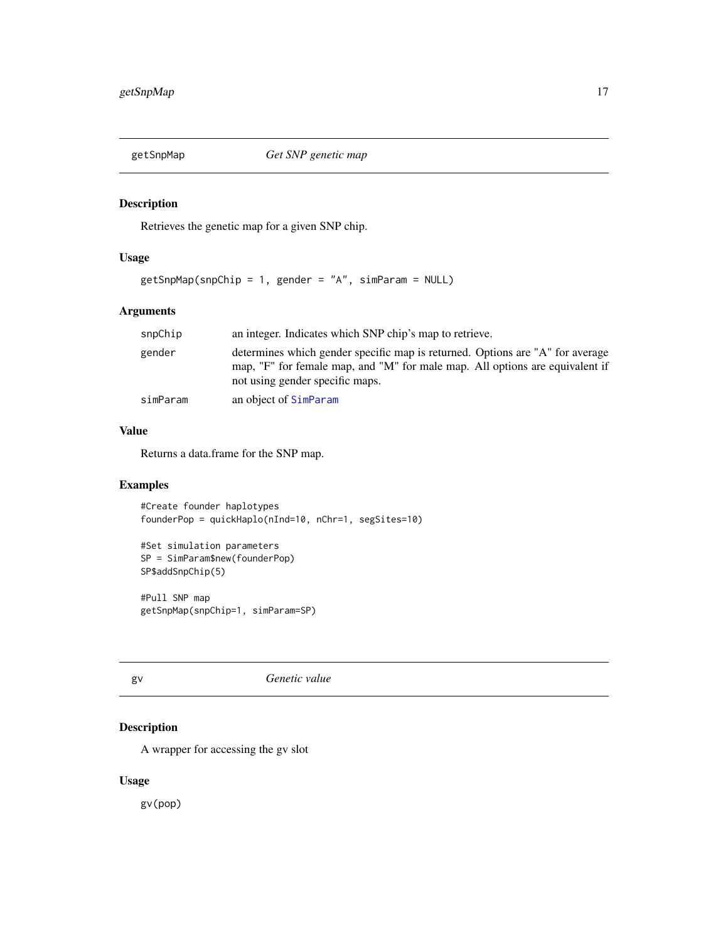<span id="page-16-0"></span>

Retrieves the genetic map for a given SNP chip.

# Usage

getSnpMap(snpChip = 1, gender = "A", simParam = NULL)

# Arguments

| snpChip  | an integer. Indicates which SNP chip's map to retrieve.                                                                                                                                          |  |
|----------|--------------------------------------------------------------------------------------------------------------------------------------------------------------------------------------------------|--|
| gender   | determines which gender specific map is returned. Options are "A" for average<br>map, "F" for female map, and "M" for male map. All options are equivalent if<br>not using gender specific maps. |  |
| simParam | an object of SimParam                                                                                                                                                                            |  |

# Value

Returns a data.frame for the SNP map.

# Examples

```
#Create founder haplotypes
founderPop = quickHaplo(nInd=10, nChr=1, segSites=10)
```

```
#Set simulation parameters
SP = SimParam$new(founderPop)
SP$addSnpChip(5)
```
#Pull SNP map getSnpMap(snpChip=1, simParam=SP)

gv *Genetic value*

# Description

A wrapper for accessing the gv slot

### Usage

gv(pop)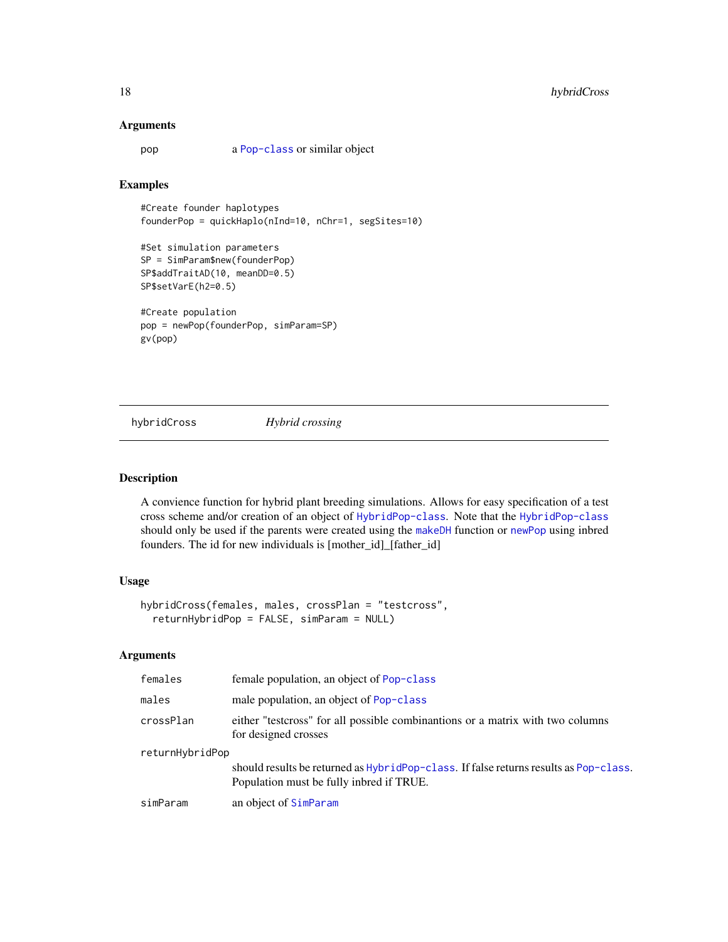### Arguments

pop a [Pop-class](#page-29-1) or similar object

### Examples

```
#Create founder haplotypes
founderPop = quickHaplo(nInd=10, nChr=1, segSites=10)
```

```
#Set simulation parameters
SP = SimParam$new(founderPop)
SP$addTraitAD(10, meanDD=0.5)
SP$setVarE(h2=0.5)
```

```
#Create population
pop = newPop(founderPop, simParam=SP)
gv(pop)
```
hybridCross *Hybrid crossing*

# Description

A convience function for hybrid plant breeding simulations. Allows for easy specification of a test cross scheme and/or creation of an object of [HybridPop-class](#page-18-1). Note that the [HybridPop-class](#page-18-1) should only be used if the parents were created using the [makeDH](#page-21-1) function or [newPop](#page-25-1) using inbred founders. The id for new individuals is [mother\_id]\_[father\_id]

# Usage

```
hybridCross(females, males, crossPlan = "testcross",
  returnHybridPop = FALSE, simParam = NULL)
```
### Arguments

| females         | female population, an object of Pop-class                                                                                           |
|-----------------|-------------------------------------------------------------------------------------------------------------------------------------|
| males           | male population, an object of Pop-class                                                                                             |
| crossPlan       | either "testcross" for all possible combinantions or a matrix with two columns<br>for designed crosses                              |
| returnHybridPop |                                                                                                                                     |
|                 | should results be returned as $HybridPop-class.$ If false returns results as Pop-class.<br>Population must be fully inbred if TRUE. |
| simParam        | an object of SimParam                                                                                                               |
|                 |                                                                                                                                     |

<span id="page-17-0"></span>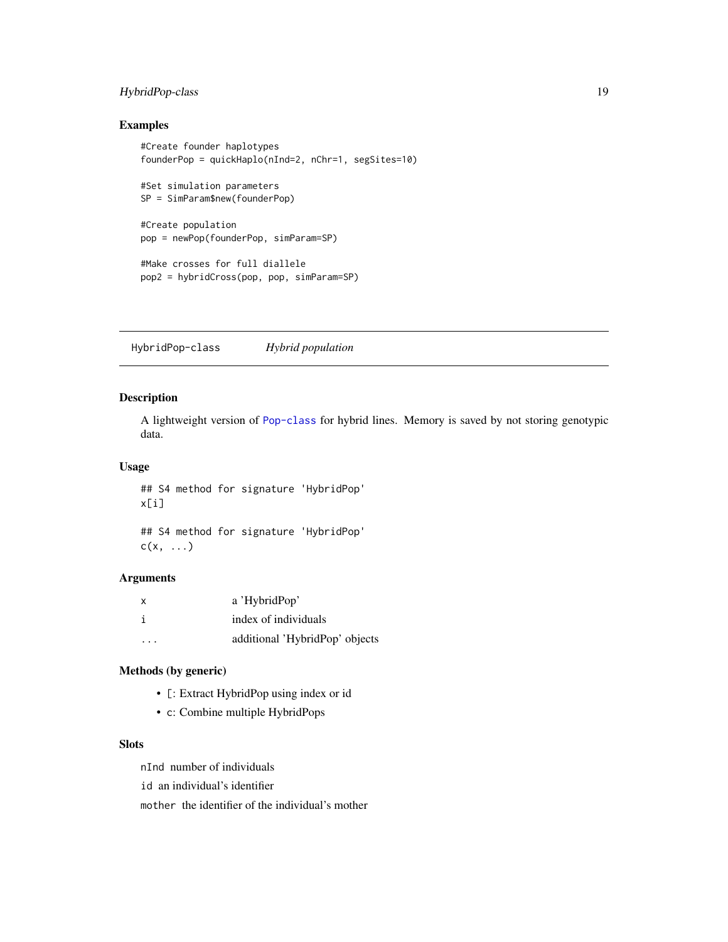# <span id="page-18-0"></span>HybridPop-class 19

# Examples

```
#Create founder haplotypes
founderPop = quickHaplo(nInd=2, nChr=1, segSites=10)
#Set simulation parameters
SP = SimParam$new(founderPop)
#Create population
pop = newPop(founderPop, simParam=SP)
#Make crosses for full diallele
pop2 = hybridCross(pop, pop, simParam=SP)
```
<span id="page-18-1"></span>HybridPop-class *Hybrid population*

### Description

A lightweight version of [Pop-class](#page-29-1) for hybrid lines. Memory is saved by not storing genotypic data.

### Usage

## S4 method for signature 'HybridPop' x[i]

## S4 method for signature 'HybridPop'  $c(x, \ldots)$ 

### Arguments

| x | a 'HybridPop'                  |
|---|--------------------------------|
|   | index of individuals           |
| . | additional 'HybridPop' objects |

# Methods (by generic)

- [: Extract HybridPop using index or id
- c: Combine multiple HybridPops

# **Slots**

nInd number of individuals

id an individual's identifier

mother the identifier of the individual's mother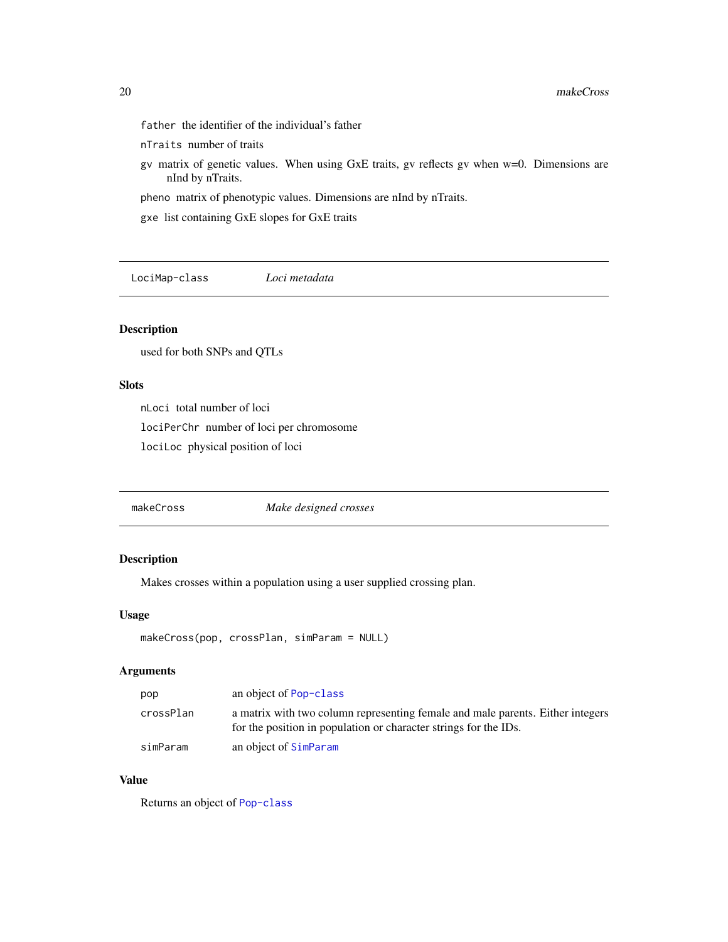- <span id="page-19-0"></span>father the identifier of the individual's father
- nTraits number of traits
- gv matrix of genetic values. When using GxE traits, gv reflects gv when w=0. Dimensions are nInd by nTraits.

pheno matrix of phenotypic values. Dimensions are nInd by nTraits.

gxe list containing GxE slopes for GxE traits

<span id="page-19-1"></span>LociMap-class *Loci metadata*

# Description

used for both SNPs and QTLs

### Slots

nLoci total number of loci lociPerChr number of loci per chromosome lociLoc physical position of loci

makeCross *Make designed crosses*

# Description

Makes crosses within a population using a user supplied crossing plan.

### Usage

```
makeCross(pop, crossPlan, simParam = NULL)
```
### Arguments

| pop       | an object of Pop-class                                                                                                                             |
|-----------|----------------------------------------------------------------------------------------------------------------------------------------------------|
| crossPlan | a matrix with two column representing female and male parents. Either integers<br>for the position in population or character strings for the IDs. |
| simParam  | an object of SimParam                                                                                                                              |

# Value

Returns an object of [Pop-class](#page-29-1)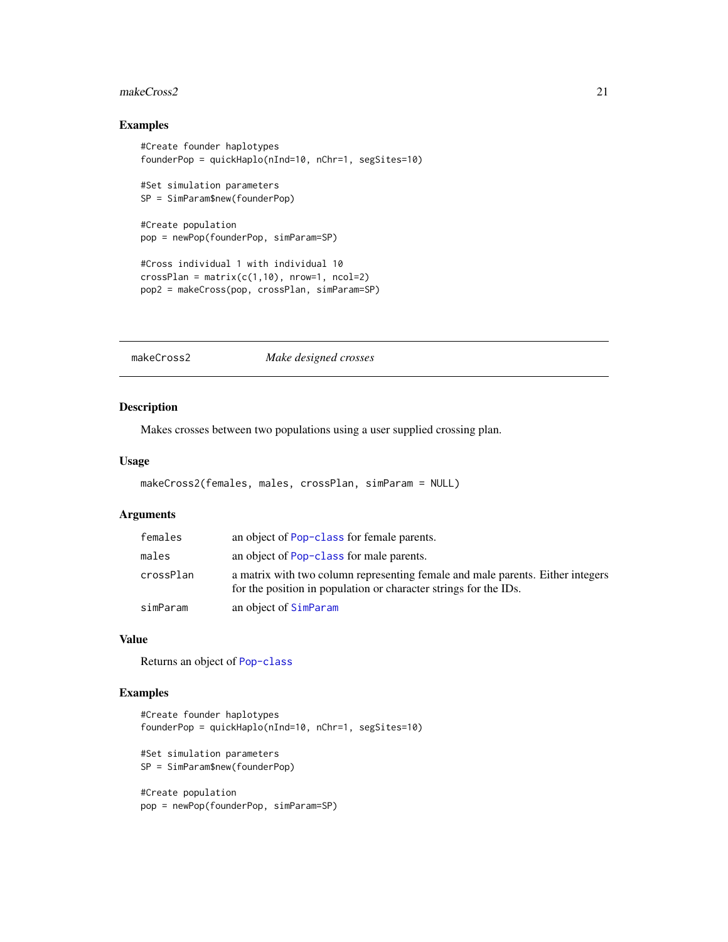#### <span id="page-20-0"></span>makeCross2 21

# Examples

```
#Create founder haplotypes
founderPop = quickHaplo(nInd=10, nChr=1, segSites=10)
#Set simulation parameters
SP = SimParam$new(founderPop)
#Create population
pop = newPop(founderPop, simParam=SP)
#Cross individual 1 with individual 10
crossPlan = matrix(c(1,10), nrow=1, ncol=2)pop2 = makeCross(pop, crossPlan, simParam=SP)
```
makeCross2 *Make designed crosses*

### Description

Makes crosses between two populations using a user supplied crossing plan.

#### Usage

```
makeCross2(females, males, crossPlan, simParam = NULL)
```
### Arguments

| females   | an object of Pop-class for female parents.                                                                                                         |
|-----------|----------------------------------------------------------------------------------------------------------------------------------------------------|
| males     | an object of Pop-class for male parents.                                                                                                           |
| crossPlan | a matrix with two column representing female and male parents. Either integers<br>for the position in population or character strings for the IDs. |
| simParam  | an object of SimParam                                                                                                                              |

### Value

Returns an object of [Pop-class](#page-29-1)

# Examples

```
#Create founder haplotypes
founderPop = quickHaplo(nInd=10, nChr=1, segSites=10)
#Set simulation parameters
SP = SimParam$new(founderPop)
#Create population
pop = newPop(founderPop, simParam=SP)
```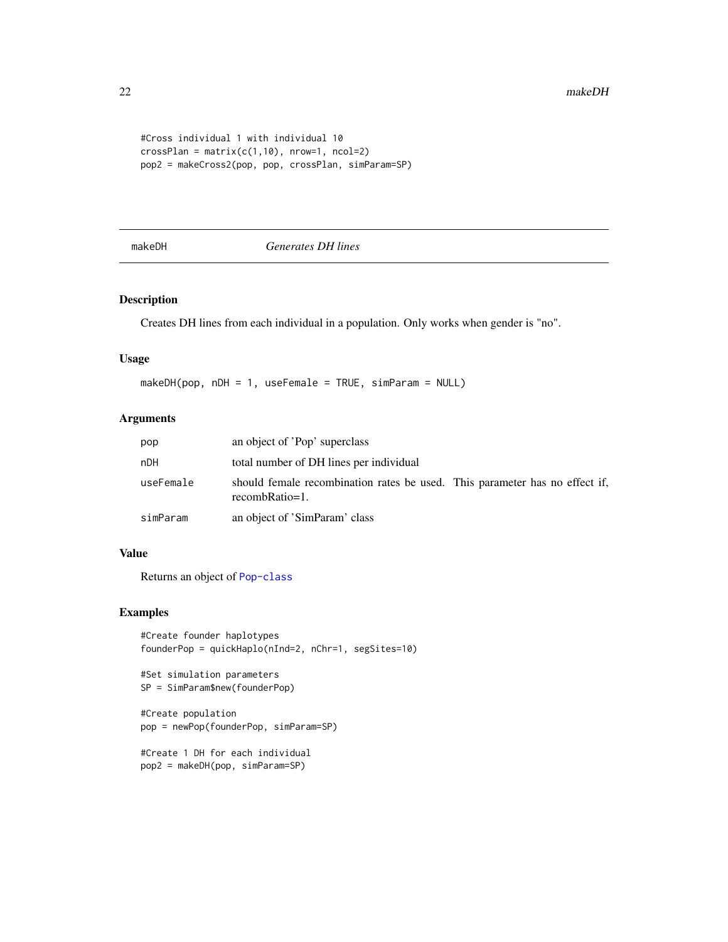```
#Cross individual 1 with individual 10
crossPlan = matrix(c(1,10), nrow=1, ncol=2)pop2 = makeCross2(pop, pop, crossPlan, simParam=SP)
```
<span id="page-21-1"></span>

makeDH *Generates DH lines*

# Description

Creates DH lines from each individual in a population. Only works when gender is "no".

# Usage

makeDH(pop, nDH = 1, useFemale = TRUE, simParam = NULL)

# Arguments

| pop       | an object of 'Pop' superclass                                                                 |  |
|-----------|-----------------------------------------------------------------------------------------------|--|
| nDH       | total number of DH lines per individual                                                       |  |
| useFemale | should female recombination rates be used. This parameter has no effect if,<br>recombRatio=1. |  |
| simParam  | an object of 'SimParam' class                                                                 |  |

### Value

Returns an object of [Pop-class](#page-29-1)

### Examples

```
#Create founder haplotypes
founderPop = quickHaplo(nInd=2, nChr=1, segSites=10)
```

```
#Set simulation parameters
SP = SimParam$new(founderPop)
```

```
#Create population
pop = newPop(founderPop, simParam=SP)
```

```
#Create 1 DH for each individual
pop2 = makeDH(pop, simParam=SP)
```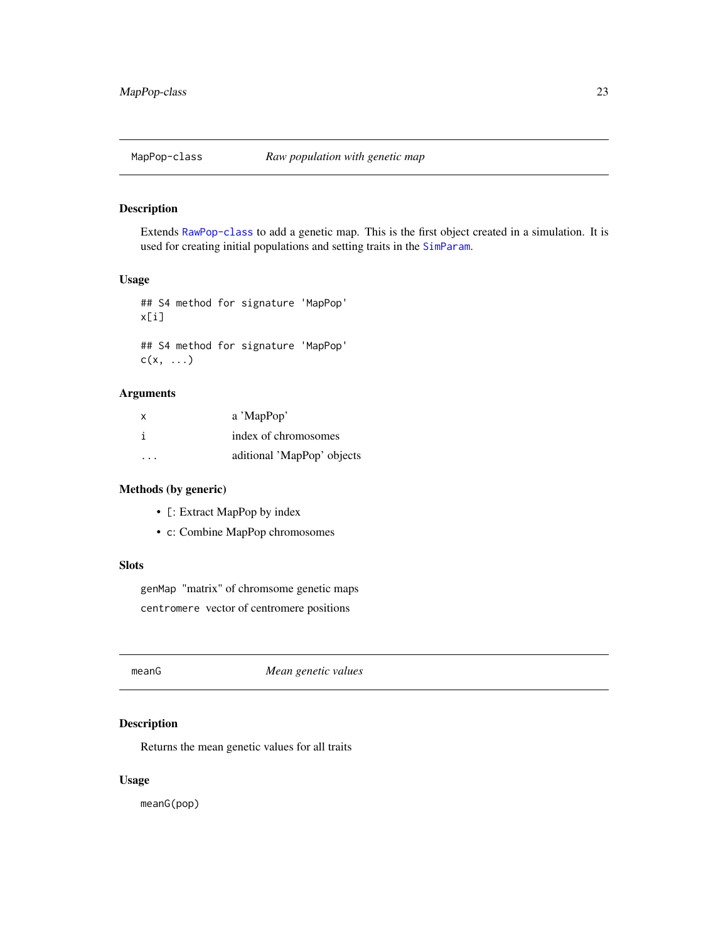<span id="page-22-1"></span><span id="page-22-0"></span>

Extends [RawPop-class](#page-40-1) to add a genetic map. This is the first object created in a simulation. It is used for creating initial populations and setting traits in the [SimParam](#page-67-1).

### Usage

## S4 method for signature 'MapPop' x[i] ## S4 method for signature 'MapPop'  $c(x, \ldots)$ 

# Arguments

| X       | a 'MapPop'                 |
|---------|----------------------------|
|         | index of chromosomes       |
| $\cdot$ | aditional 'MapPop' objects |

# Methods (by generic)

- [: Extract MapPop by index
- c: Combine MapPop chromosomes

# **Slots**

genMap "matrix" of chromsome genetic maps centromere vector of centromere positions

meanG *Mean genetic values*

# Description

Returns the mean genetic values for all traits

### Usage

meanG(pop)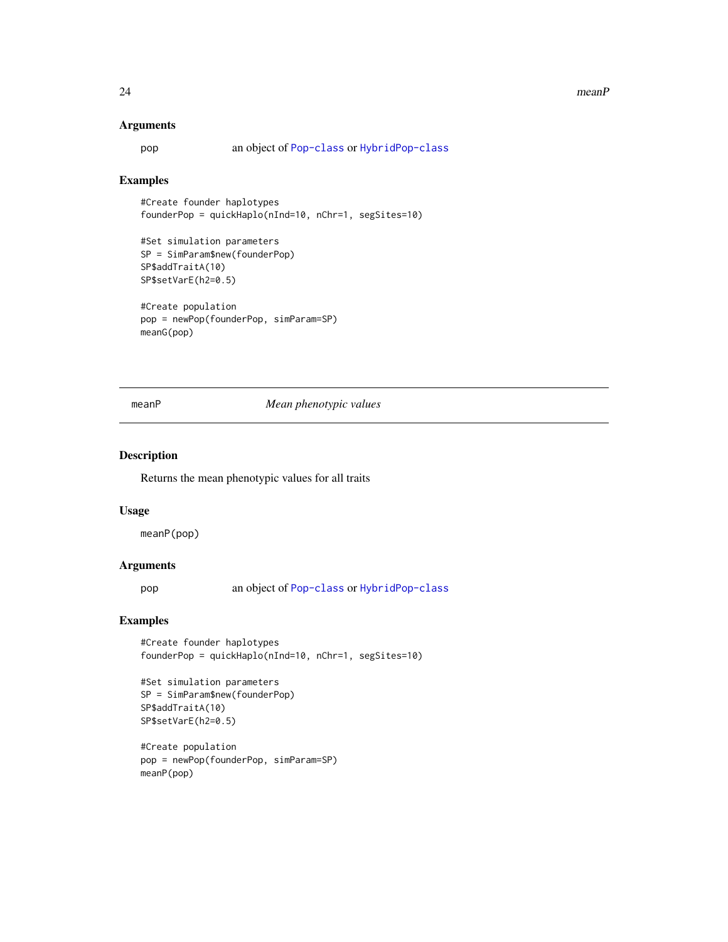#### <span id="page-23-0"></span>24 meanP

#### Arguments

pop an object of [Pop-class](#page-29-1) or [HybridPop-class](#page-18-1)

# Examples

#Create founder haplotypes founderPop = quickHaplo(nInd=10, nChr=1, segSites=10)

```
#Set simulation parameters
SP = SimParam$new(founderPop)
SP$addTraitA(10)
SP$setVarE(h2=0.5)
```

```
#Create population
pop = newPop(founderPop, simParam=SP)
meanG(pop)
```
### meanP *Mean phenotypic values*

### Description

Returns the mean phenotypic values for all traits

### Usage

meanP(pop)

### Arguments

pop an object of [Pop-class](#page-29-1) or [HybridPop-class](#page-18-1)

### Examples

#Create founder haplotypes founderPop = quickHaplo(nInd=10, nChr=1, segSites=10)

```
#Set simulation parameters
SP = SimParam$new(founderPop)
SP$addTraitA(10)
SP$setVarE(h2=0.5)
```

```
#Create population
pop = newPop(founderPop, simParam=SP)
meanP(pop)
```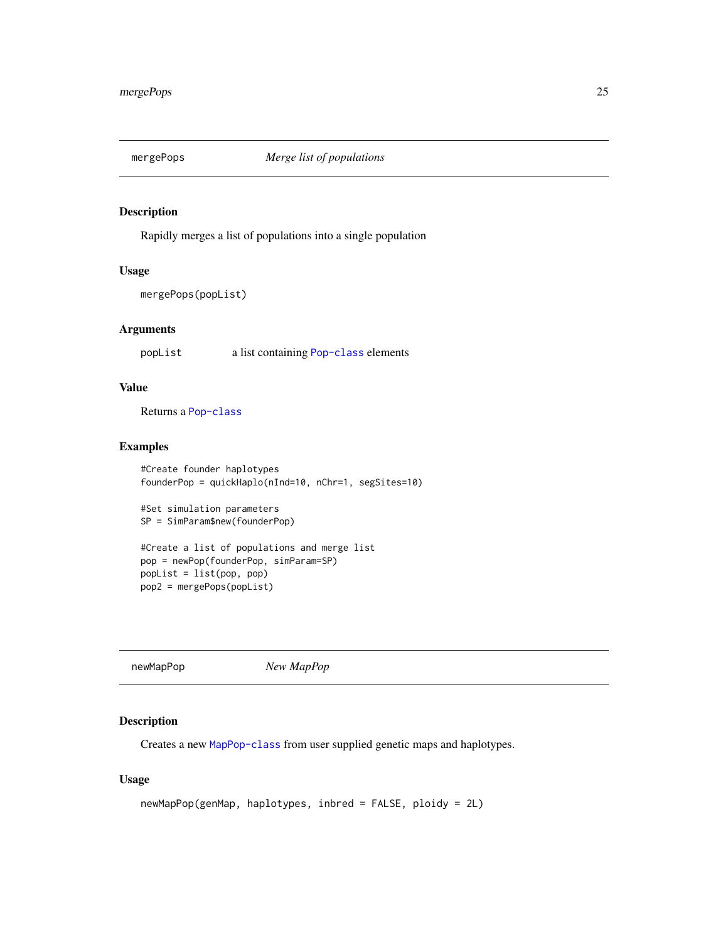<span id="page-24-0"></span>

Rapidly merges a list of populations into a single population

### Usage

```
mergePops(popList)
```
### Arguments

popList a list containing [Pop-class](#page-29-1) elements

# Value

Returns a [Pop-class](#page-29-1)

### Examples

```
#Create founder haplotypes
founderPop = quickHaplo(nInd=10, nChr=1, segSites=10)
```

```
#Set simulation parameters
SP = SimParam$new(founderPop)
```

```
#Create a list of populations and merge list
pop = newPop(founderPop, simParam=SP)
popList = list(pop, pop)
pop2 = mergePops(popList)
```
newMapPop *New MapPop*

### Description

Creates a new [MapPop-class](#page-22-1) from user supplied genetic maps and haplotypes.

```
newMapPop(genMap, haplotypes, inbred = FALSE, ploidy = 2L)
```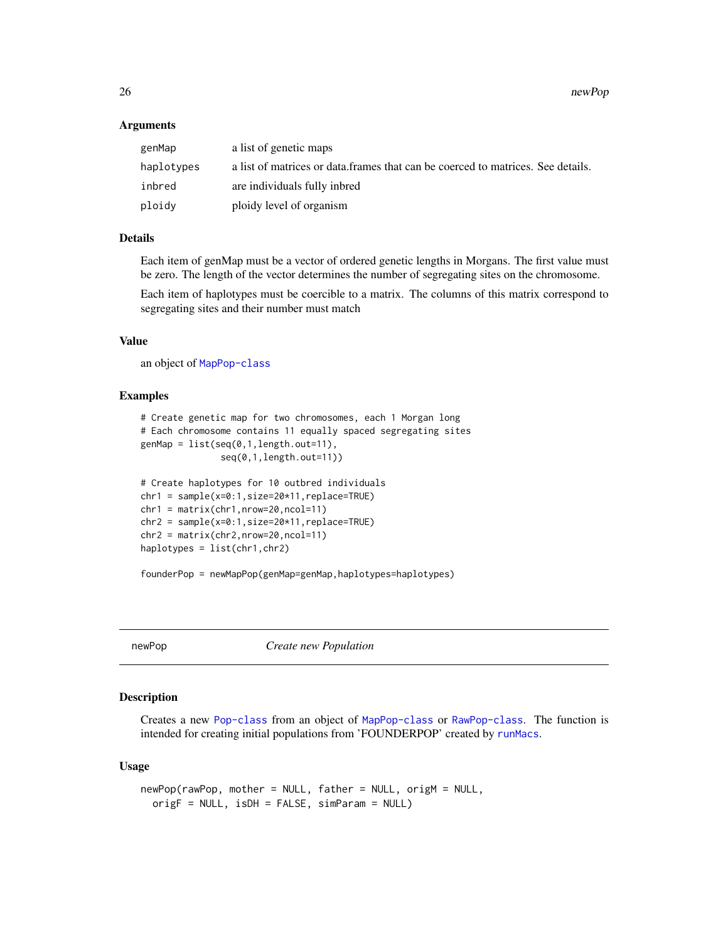26 newPop newPop newPop newPop newPop newPop newPop newPop newPop newPop newPop newPop newPop  $\sim$ 

### Arguments

| genMap     | a list of genetic maps                                                           |
|------------|----------------------------------------------------------------------------------|
| haplotypes | a list of matrices or data. frames that can be coerced to matrices. See details. |
| inbred     | are individuals fully inbred                                                     |
| ploidy     | ploidy level of organism                                                         |

### Details

Each item of genMap must be a vector of ordered genetic lengths in Morgans. The first value must be zero. The length of the vector determines the number of segregating sites on the chromosome.

Each item of haplotypes must be coercible to a matrix. The columns of this matrix correspond to segregating sites and their number must match

### Value

an object of [MapPop-class](#page-22-1)

### Examples

```
# Create genetic map for two chromosomes, each 1 Morgan long
# Each chromosome contains 11 equally spaced segregating sites
genMap = list(seq(0,1,length.out=11),
               seq(0,1,length.out=11))
# Create haplotypes for 10 outbred individuals
chr1 = sample(x=0:1,size=20*11,replace=TRUE)
chr1 = matrix(chr1,nrow=20,ncol=11)
chr2 = sample(x=0:1,size=20*11,replace=TRUE)
chr2 = matrix(chr2,nrow=20,ncol=11)
haplotypes = list(chr1,chr2)
```
founderPop = newMapPop(genMap=genMap,haplotypes=haplotypes)

<span id="page-25-1"></span>

newPop *Create new Population*

### **Description**

Creates a new [Pop-class](#page-29-1) from an object of [MapPop-class](#page-22-1) or [RawPop-class](#page-40-1). The function is intended for creating initial populations from 'FOUNDERPOP' created by [runMacs](#page-52-1).

```
newPop(rawPop, mother = NULL, father = NULL, origM = NULL,
 origF = NULL, isDH = FALSE, simParam = NULL)
```
<span id="page-25-0"></span>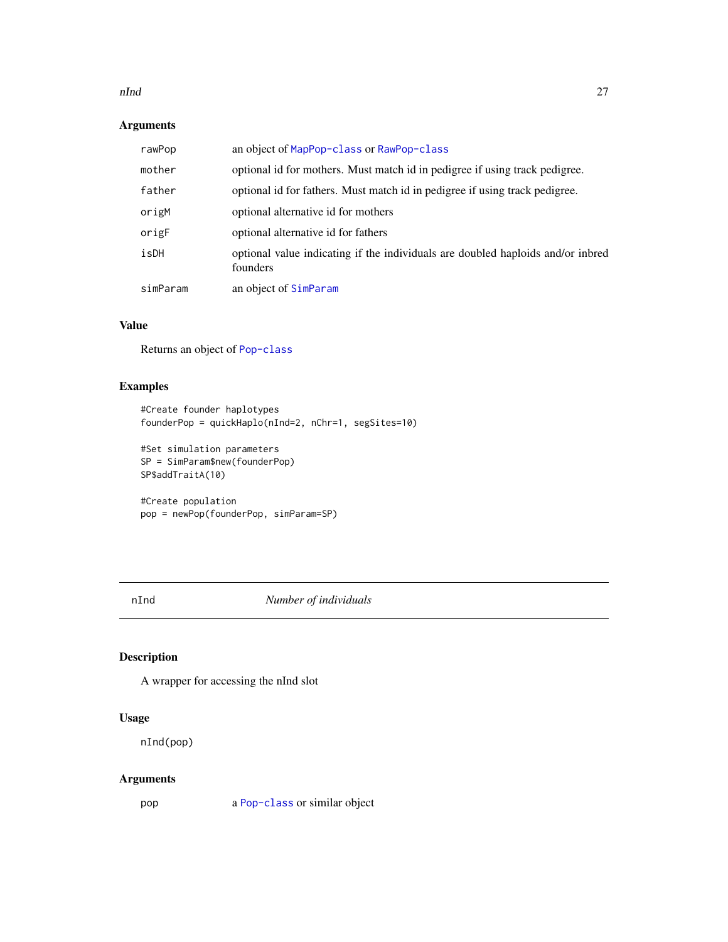#### <span id="page-26-0"></span>nInd 27

# Arguments

| rawPop   | an object of MapPop-class or RawPop-class                                                   |
|----------|---------------------------------------------------------------------------------------------|
| mother   | optional id for mothers. Must match id in pedigree if using track pedigree.                 |
| father   | optional id for fathers. Must match id in pedigree if using track pedigree.                 |
| origM    | optional alternative id for mothers                                                         |
| origF    | optional alternative id for fathers                                                         |
| isDH     | optional value indicating if the individuals are doubled haploids and/or inbred<br>founders |
| simParam | an object of SimParam                                                                       |

### Value

Returns an object of [Pop-class](#page-29-1)

# Examples

```
#Create founder haplotypes
founderPop = quickHaplo(nInd=2, nChr=1, segSites=10)
```

```
#Set simulation parameters
SP = SimParam$new(founderPop)
SP$addTraitA(10)
```

```
#Create population
pop = newPop(founderPop, simParam=SP)
```
nInd *Number of individuals*

# Description

A wrapper for accessing the nInd slot

### Usage

nInd(pop)

# Arguments

pop a [Pop-class](#page-29-1) or similar object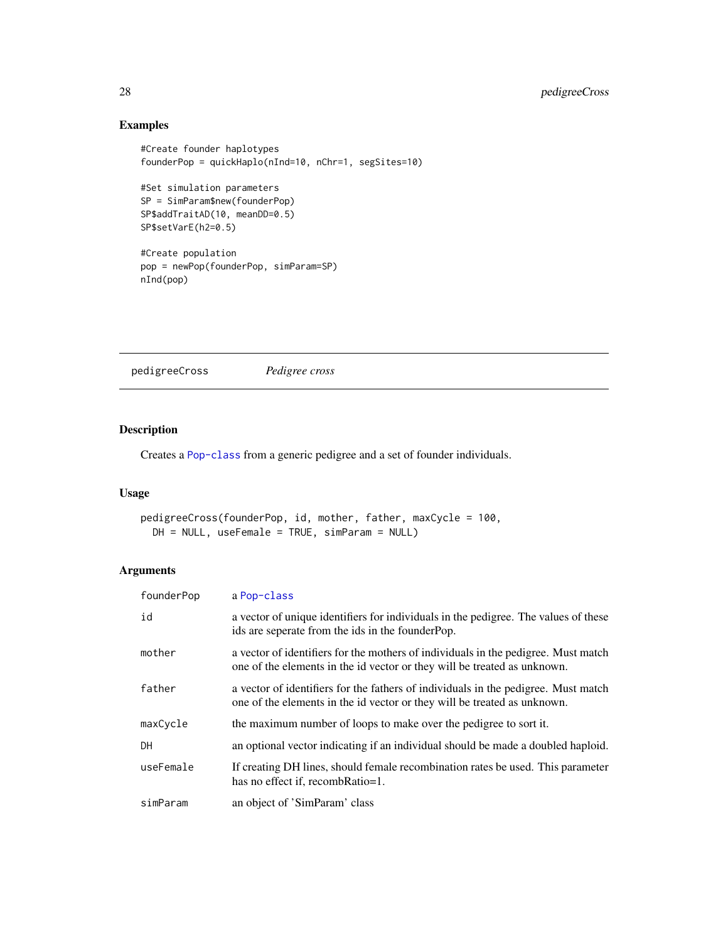# Examples

```
#Create founder haplotypes
founderPop = quickHaplo(nInd=10, nChr=1, segSites=10)
#Set simulation parameters
SP = SimParam$new(founderPop)
SP$addTraitAD(10, meanDD=0.5)
SP$setVarE(h2=0.5)
#Create population
pop = newPop(founderPop, simParam=SP)
nInd(pop)
```
pedigreeCross *Pedigree cross*

# Description

Creates a [Pop-class](#page-29-1) from a generic pedigree and a set of founder individuals.

### Usage

```
pedigreeCross(founderPop, id, mother, father, maxCycle = 100,
 DH = NULL, useFemale = TRUE, simParam = NULL)
```
# Arguments

| founderPop | a Pop-class                                                                                                                                                    |
|------------|----------------------------------------------------------------------------------------------------------------------------------------------------------------|
| id         | a vector of unique identifiers for individuals in the pedigree. The values of these<br>ids are seperate from the ids in the founder Pop.                       |
| mother     | a vector of identifiers for the mothers of individuals in the pedigree. Must match<br>one of the elements in the id vector or they will be treated as unknown. |
| father     | a vector of identifiers for the fathers of individuals in the pedigree. Must match<br>one of the elements in the id vector or they will be treated as unknown. |
| maxCycle   | the maximum number of loops to make over the pedigree to sort it.                                                                                              |
| <b>DH</b>  | an optional vector indicating if an individual should be made a doubled haploid.                                                                               |
| useFemale  | If creating DH lines, should female recombination rates be used. This parameter<br>has no effect if, recombRatio=1.                                            |
| simParam   | an object of 'SimParam' class                                                                                                                                  |

<span id="page-27-0"></span>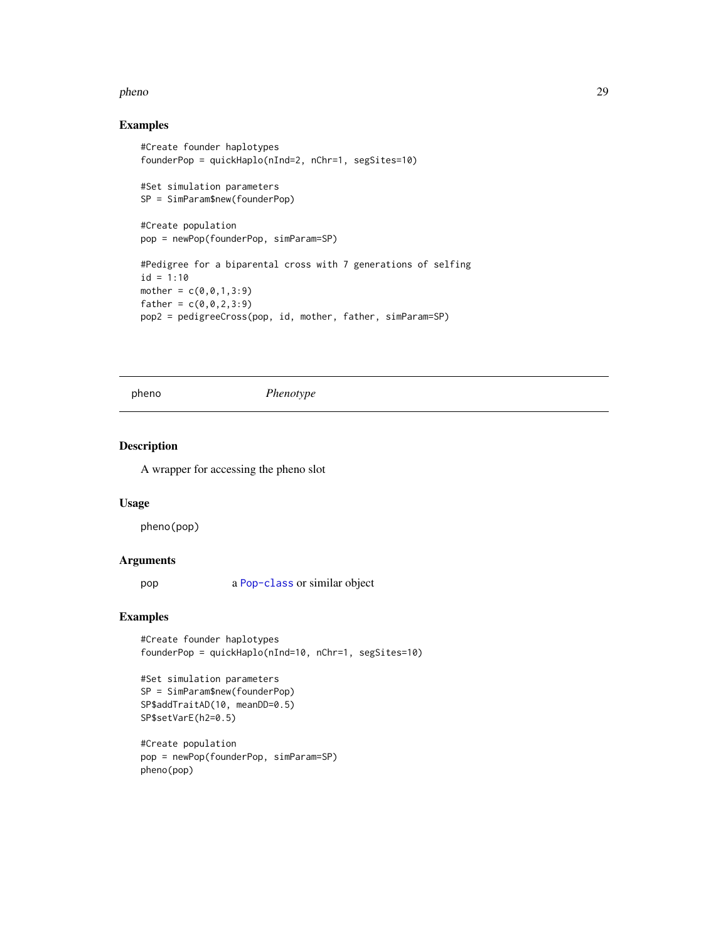#### <span id="page-28-0"></span>pheno 29

# Examples

```
#Create founder haplotypes
founderPop = quickHaplo(nInd=2, nChr=1, segSites=10)
#Set simulation parameters
SP = SimParam$new(founderPop)
#Create population
pop = newPop(founderPop, simParam=SP)
#Pedigree for a biparental cross with 7 generations of selfing
id = 1:10mother = c(0, 0, 1, 3:9)father = c(0, 0, 2, 3:9)pop2 = pedigreeCross(pop, id, mother, father, simParam=SP)
```
pheno *Phenotype*

### Description

A wrapper for accessing the pheno slot

### Usage

pheno(pop)

### Arguments

pop a [Pop-class](#page-29-1) or similar object

# Examples

```
#Create founder haplotypes
founderPop = quickHaplo(nInd=10, nChr=1, segSites=10)
```

```
#Set simulation parameters
SP = SimParam$new(founderPop)
SP$addTraitAD(10, meanDD=0.5)
SP$setVarE(h2=0.5)
```

```
#Create population
pop = newPop(founderPop, simParam=SP)
pheno(pop)
```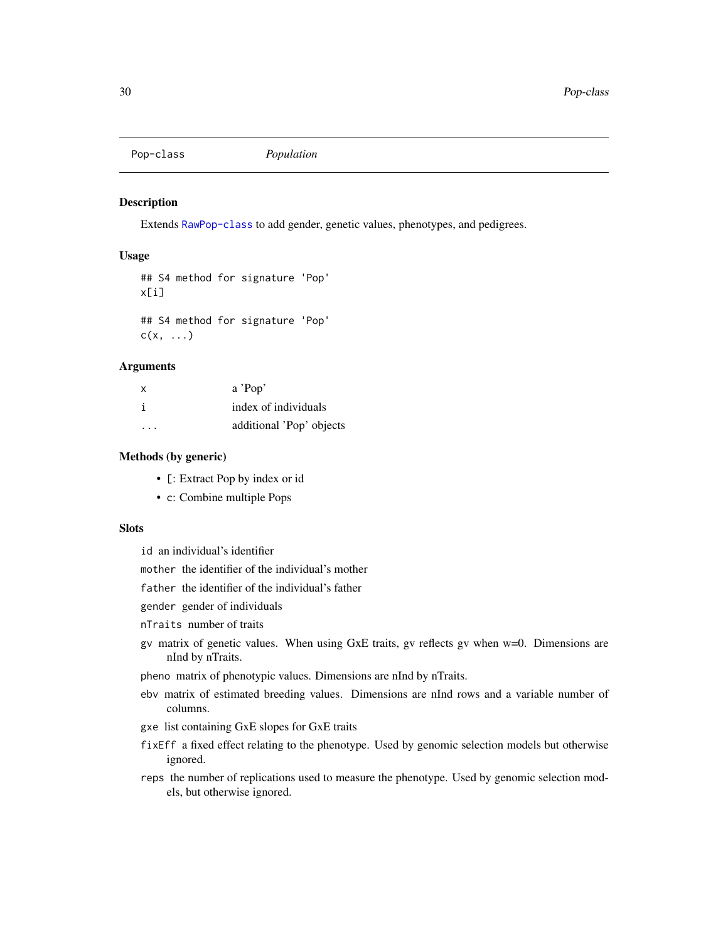<span id="page-29-1"></span><span id="page-29-0"></span>Pop-class *Population*

### Description

Extends [RawPop-class](#page-40-1) to add gender, genetic values, phenotypes, and pedigrees.

# Usage

## S4 method for signature 'Pop' x[i] ## S4 method for signature 'Pop'

#### Arguments

 $c(x, \ldots)$ 

| x | a'Pop'                   |
|---|--------------------------|
| i | index of individuals     |
| . | additional 'Pop' objects |

### Methods (by generic)

- [: Extract Pop by index or id
- c: Combine multiple Pops

### **Slots**

id an individual's identifier

mother the identifier of the individual's mother

father the identifier of the individual's father

gender gender of individuals

nTraits number of traits

gv matrix of genetic values. When using GxE traits, gv reflects gv when w=0. Dimensions are nInd by nTraits.

pheno matrix of phenotypic values. Dimensions are nInd by nTraits.

- ebv matrix of estimated breeding values. Dimensions are nInd rows and a variable number of columns.
- gxe list containing GxE slopes for GxE traits
- fixEff a fixed effect relating to the phenotype. Used by genomic selection models but otherwise ignored.
- reps the number of replications used to measure the phenotype. Used by genomic selection models, but otherwise ignored.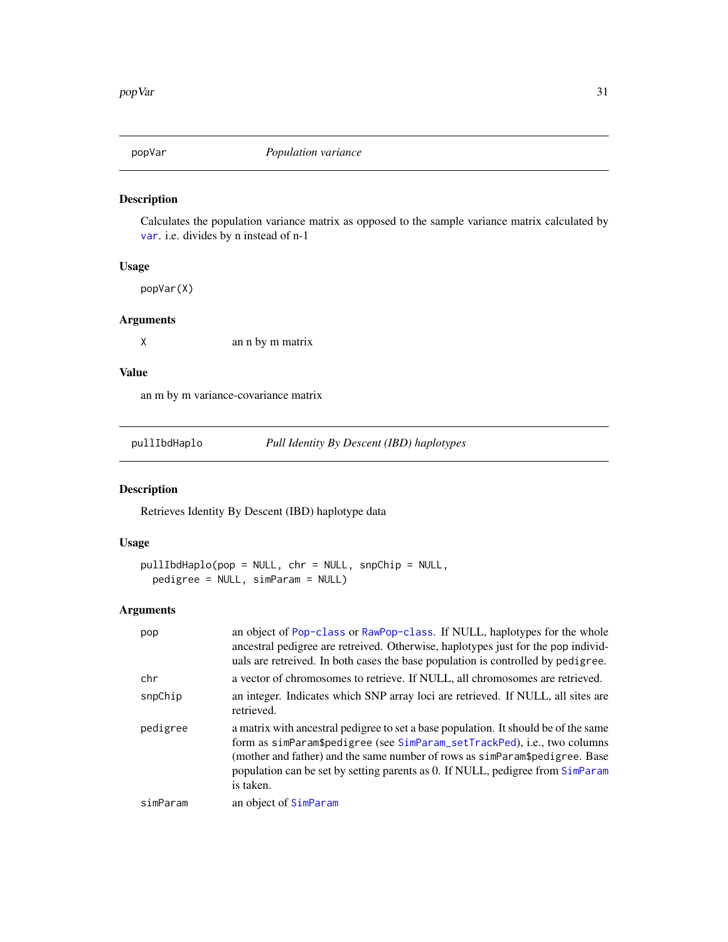<span id="page-30-0"></span>

Calculates the population variance matrix as opposed to the sample variance matrix calculated by [var](#page-0-0). i.e. divides by n instead of n-1

### Usage

popVar(X)

# Arguments

X an n by m matrix

# Value

an m by m variance-covariance matrix

pullIbdHaplo *Pull Identity By Descent (IBD) haplotypes*

# Description

Retrieves Identity By Descent (IBD) haplotype data

### Usage

```
pullIbdHaplo(pop = NULL, chr = NULL, snpChip = NULL,
 pedigree = NULL, simParam = NULL)
```
### Arguments

| pop      | an object of Pop-class or RawPop-class. If NULL, haplotypes for the whole<br>ancestral pedigree are retreived. Otherwise, haplotypes just for the pop individ-<br>uals are retreived. In both cases the base population is controlled by pedigree.                                                                                            |
|----------|-----------------------------------------------------------------------------------------------------------------------------------------------------------------------------------------------------------------------------------------------------------------------------------------------------------------------------------------------|
| chr      | a vector of chromosomes to retrieve. If NULL, all chromosomes are retrieved.                                                                                                                                                                                                                                                                  |
| snpChip  | an integer. Indicates which SNP array loci are retrieved. If NULL, all sites are<br>retrieved.                                                                                                                                                                                                                                                |
| pedigree | a matrix with ancestral pedigree to set a base population. It should be of the same<br>form as simParam\$pedigree (see SimParam_setTrackPed), i.e., two columns<br>(mother and father) and the same number of rows as simParam\$pedigree. Base<br>population can be set by setting parents as 0. If NULL, pedigree from SimParam<br>is taken. |
| simParam | an object of SimParam                                                                                                                                                                                                                                                                                                                         |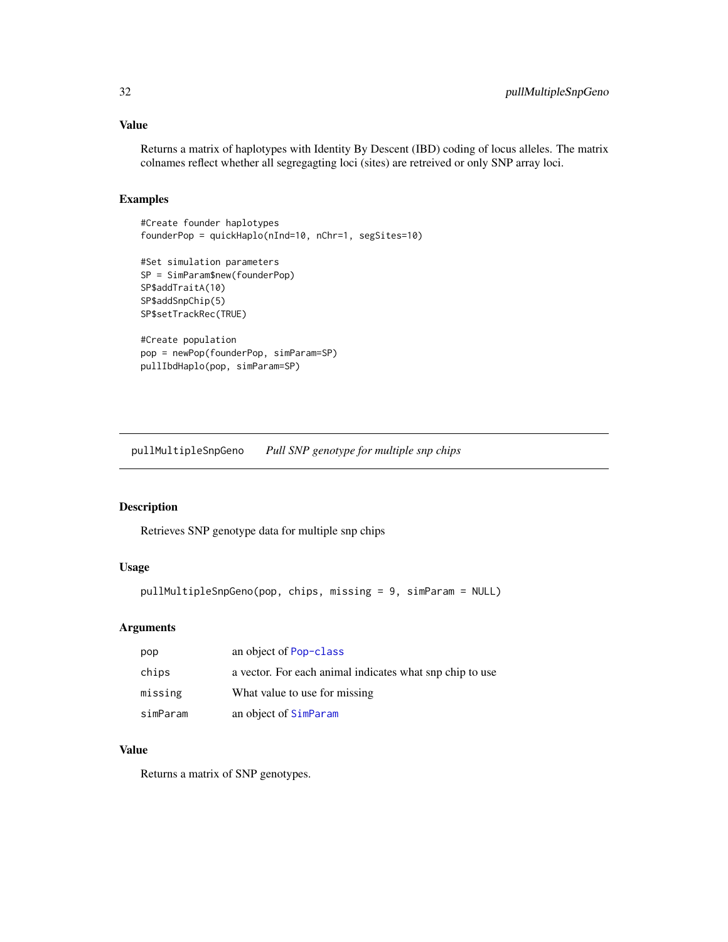# <span id="page-31-0"></span>Value

Returns a matrix of haplotypes with Identity By Descent (IBD) coding of locus alleles. The matrix colnames reflect whether all segregagting loci (sites) are retreived or only SNP array loci.

### Examples

```
#Create founder haplotypes
founderPop = quickHaplo(nInd=10, nChr=1, segSites=10)
#Set simulation parameters
SP = SimParam$new(founderPop)
```

```
SP$addTraitA(10)
SP$addSnpChip(5)
SP$setTrackRec(TRUE)
#Create population
pop = newPop(founderPop, simParam=SP)
```
pullIbdHaplo(pop, simParam=SP)

pullMultipleSnpGeno *Pull SNP genotype for multiple snp chips*

### Description

Retrieves SNP genotype data for multiple snp chips

### Usage

```
pullMultipleSnpGeno(pop, chips, missing = 9, simParam = NULL)
```
### Arguments

| pop      | an object of Pop-class                                   |
|----------|----------------------------------------------------------|
| chips    | a vector. For each animal indicates what snp chip to use |
| missing  | What value to use for missing.                           |
| simParam | an object of SimParam                                    |

#### Value

Returns a matrix of SNP genotypes.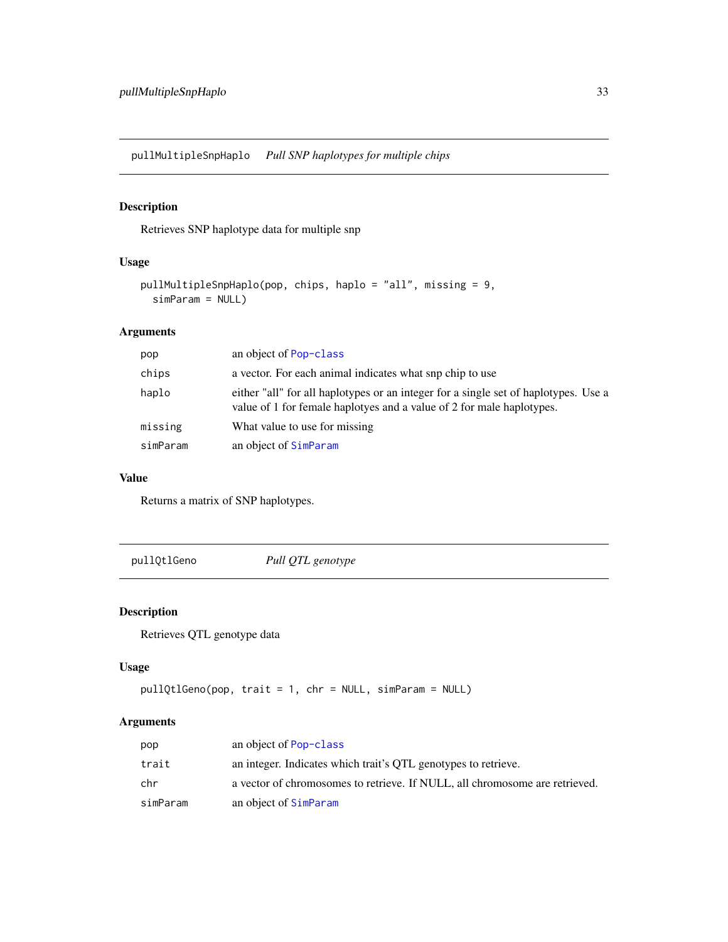<span id="page-32-0"></span>pullMultipleSnpHaplo *Pull SNP haplotypes for multiple chips*

# Description

Retrieves SNP haplotype data for multiple snp

# Usage

```
pullMultipleSnpHaplo(pop, chips, haplo = "all", missing = 9,
  simParam = NULL)
```
# Arguments

| pop      | an object of Pop-class                                                                                                                                       |
|----------|--------------------------------------------------------------------------------------------------------------------------------------------------------------|
| chips    | a vector. For each animal indicates what snp chip to use                                                                                                     |
| haplo    | either "all" for all haplotypes or an integer for a single set of haplotypes. Use a<br>value of 1 for female haplotyes and a value of 2 for male haplotypes. |
| missing  | What value to use for missing.                                                                                                                               |
| simParam | an object of SimParam                                                                                                                                        |

# Value

Returns a matrix of SNP haplotypes.

pullQtlGeno *Pull QTL genotype*

# Description

Retrieves QTL genotype data

# Usage

```
pullQtlGeno(pop, trait = 1, chr = NULL, simParam = NULL)
```
# Arguments

| pop      | an object of Pop-class                                                      |
|----------|-----------------------------------------------------------------------------|
| trait    | an integer. Indicates which trait's QTL genotypes to retrieve.              |
| chr      | a vector of chromosomes to retrieve. If NULL, all chromosome are retrieved. |
| simParam | an object of SimParam                                                       |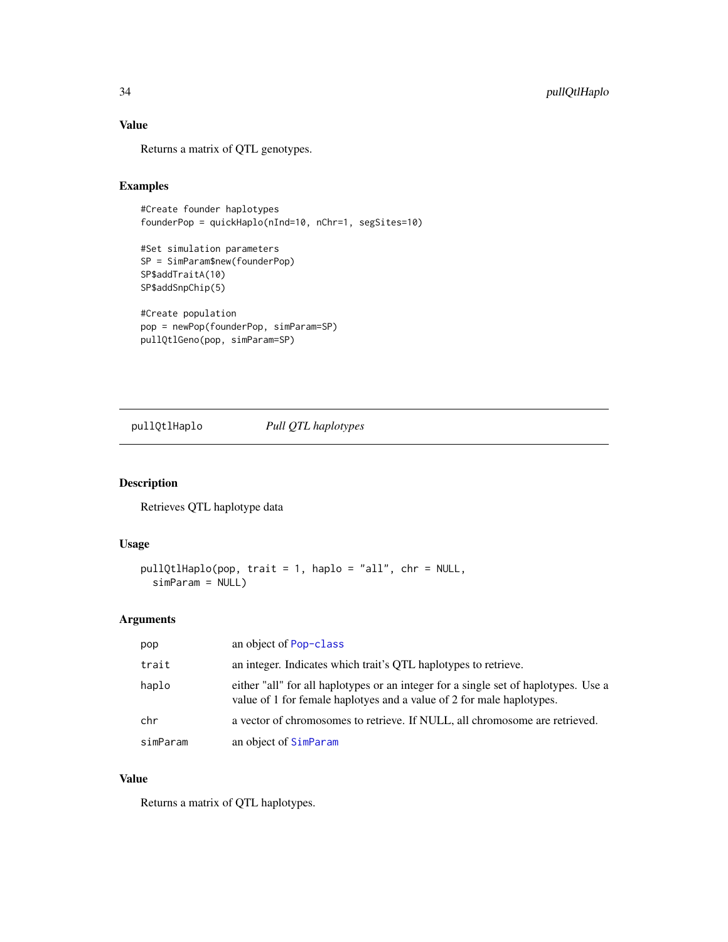# Value

Returns a matrix of QTL genotypes.

# Examples

```
#Create founder haplotypes
founderPop = quickHaplo(nInd=10, nChr=1, segSites=10)
```

```
#Set simulation parameters
SP = SimParam$new(founderPop)
SP$addTraitA(10)
SP$addSnpChip(5)
```

```
#Create population
pop = newPop(founderPop, simParam=SP)
pullQtlGeno(pop, simParam=SP)
```
pullQtlHaplo *Pull QTL haplotypes*

# Description

Retrieves QTL haplotype data

### Usage

```
pullQtlHaplo(pop, trait = 1, haplo = "all", chr = NULL,
  simParam = NULL)
```
# Arguments

| pop      | an object of Pop-class                                                                                                                                       |
|----------|--------------------------------------------------------------------------------------------------------------------------------------------------------------|
| trait    | an integer. Indicates which trait's QTL haplotypes to retrieve.                                                                                              |
| haplo    | either "all" for all haplotypes or an integer for a single set of haplotypes. Use a<br>value of 1 for female haplotyes and a value of 2 for male haplotypes. |
| chr      | a vector of chromosomes to retrieve. If NULL, all chromosome are retrieved.                                                                                  |
| simParam | an object of SimParam                                                                                                                                        |

### Value

Returns a matrix of QTL haplotypes.

<span id="page-33-0"></span>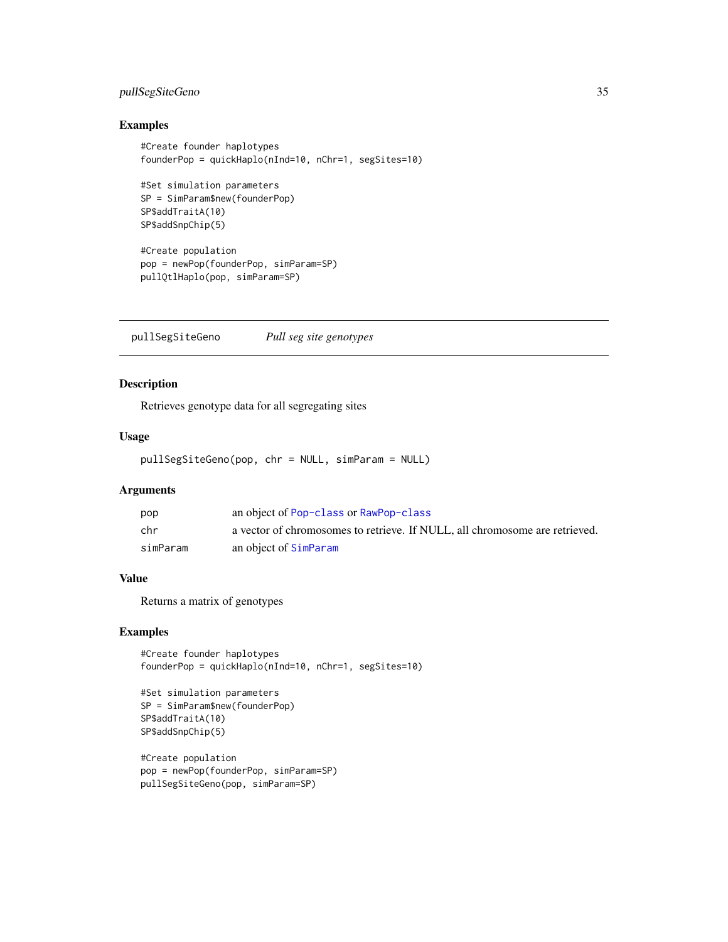# <span id="page-34-0"></span>pullSegSiteGeno 35

# Examples

```
#Create founder haplotypes
founderPop = quickHaplo(nInd=10, nChr=1, segSites=10)
#Set simulation parameters
SP = SimParam$new(founderPop)
SP$addTraitA(10)
SP$addSnpChip(5)
#Create population
pop = newPop(founderPop, simParam=SP)
pullQtlHaplo(pop, simParam=SP)
```
pullSegSiteGeno *Pull seg site genotypes*

# Description

Retrieves genotype data for all segregating sites

### Usage

pullSegSiteGeno(pop, chr = NULL, simParam = NULL)

# Arguments

| pop      | an object of Pop-class or RawPop-class                                      |
|----------|-----------------------------------------------------------------------------|
| chr      | a vector of chromosomes to retrieve. If NULL, all chromosome are retrieved. |
| simParam | an object of SimParam                                                       |

# Value

Returns a matrix of genotypes

# Examples

```
#Create founder haplotypes
founderPop = quickHaplo(nInd=10, nChr=1, segSites=10)
```

```
#Set simulation parameters
SP = SimParam$new(founderPop)
SP$addTraitA(10)
SP$addSnpChip(5)
```

```
#Create population
pop = newPop(founderPop, simParam=SP)
pullSegSiteGeno(pop, simParam=SP)
```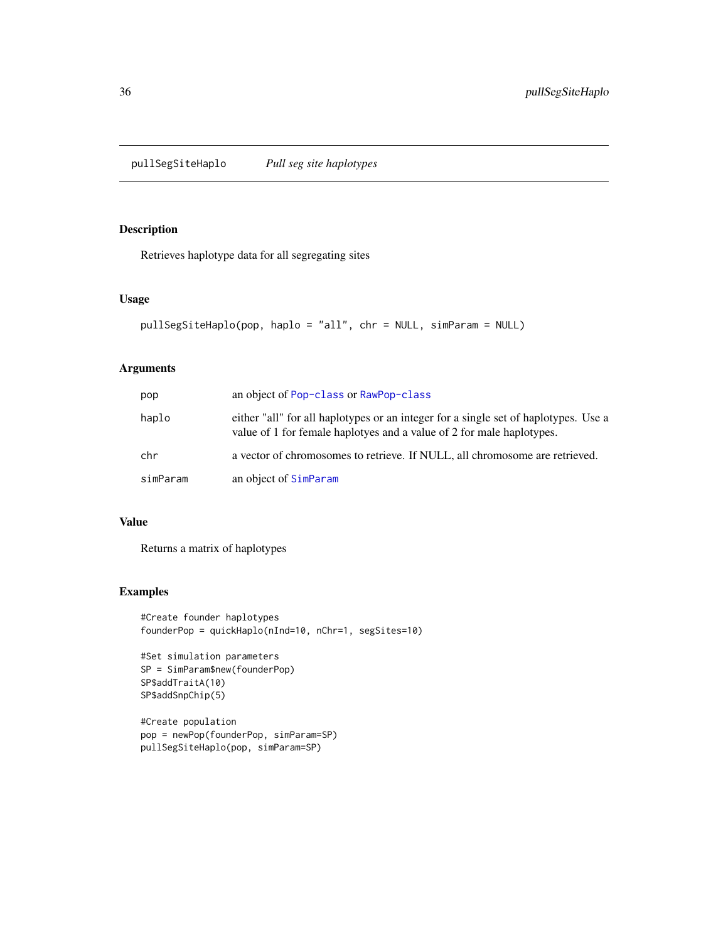<span id="page-35-0"></span>pullSegSiteHaplo *Pull seg site haplotypes*

# Description

Retrieves haplotype data for all segregating sites

### Usage

```
pullSegSiteHaplo(pop, haplo = "all", chr = NULL, simParam = NULL)
```
### Arguments

| pop      | an object of Pop-class or RawPop-class                                                                                                                       |
|----------|--------------------------------------------------------------------------------------------------------------------------------------------------------------|
| haplo    | either "all" for all haplotypes or an integer for a single set of haplotypes. Use a<br>value of 1 for female haplotyes and a value of 2 for male haplotypes. |
| chr      | a vector of chromosomes to retrieve. If NULL, all chromosome are retrieved.                                                                                  |
| simParam | an object of SimParam                                                                                                                                        |

### Value

Returns a matrix of haplotypes

### Examples

```
#Create founder haplotypes
founderPop = quickHaplo(nInd=10, nChr=1, segSites=10)
```

```
#Set simulation parameters
SP = SimParam$new(founderPop)
SP$addTraitA(10)
SP$addSnpChip(5)
```

```
#Create population
pop = newPop(founderPop, simParam=SP)
pullSegSiteHaplo(pop, simParam=SP)
```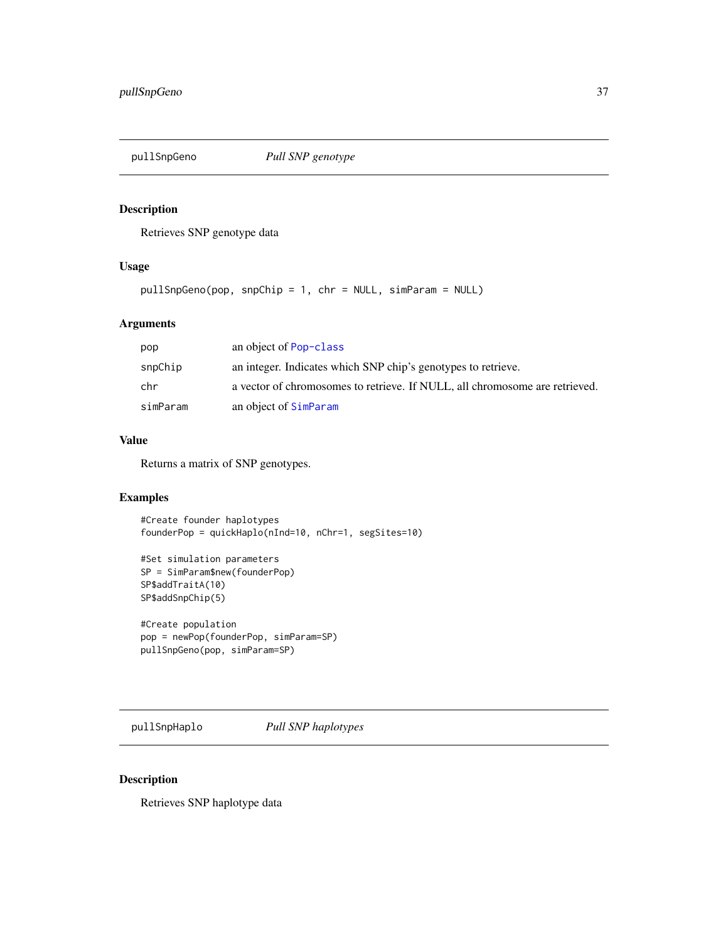# Description

Retrieves SNP genotype data

### Usage

pullSnpGeno(pop, snpChip = 1, chr = NULL, simParam = NULL)

## Arguments

| pop      | an object of Pop-class                                                      |
|----------|-----------------------------------------------------------------------------|
| snpChip  | an integer. Indicates which SNP chip's genotypes to retrieve.               |
| chr      | a vector of chromosomes to retrieve. If NULL, all chromosome are retrieved. |
| simParam | an object of SimParam                                                       |

### Value

Returns a matrix of SNP genotypes.

# Examples

#Create founder haplotypes founderPop = quickHaplo(nInd=10, nChr=1, segSites=10)

```
#Set simulation parameters
SP = SimParam$new(founderPop)
SP$addTraitA(10)
SP$addSnpChip(5)
```

```
#Create population
pop = newPop(founderPop, simParam=SP)
pullSnpGeno(pop, simParam=SP)
```
pullSnpHaplo *Pull SNP haplotypes*

# Description

Retrieves SNP haplotype data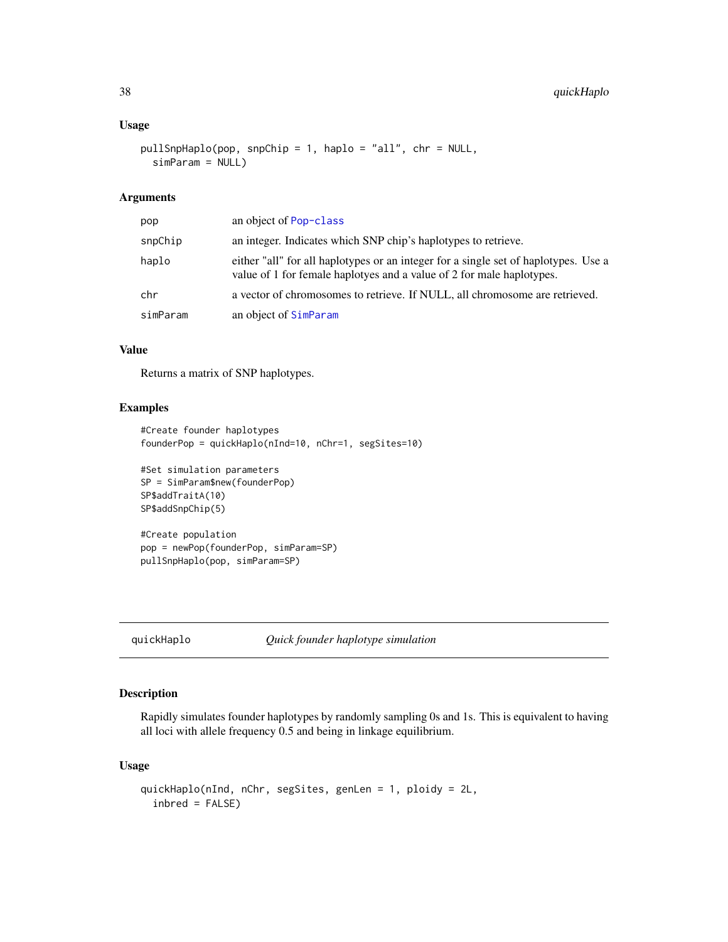### Usage

```
pullSnpHaplo(pop, snpChip = 1, haplo = "all", chr = NULL,
  simParam = NULL)
```
## Arguments

| pop      | an object of Pop-class                                                                                                                                       |
|----------|--------------------------------------------------------------------------------------------------------------------------------------------------------------|
| snpChip  | an integer. Indicates which SNP chip's haplotypes to retrieve.                                                                                               |
| haplo    | either "all" for all haplotypes or an integer for a single set of haplotypes. Use a<br>value of 1 for female haplotyes and a value of 2 for male haplotypes. |
| chr      | a vector of chromosomes to retrieve. If NULL, all chromosome are retrieved.                                                                                  |
| simParam | an object of SimParam                                                                                                                                        |

### Value

Returns a matrix of SNP haplotypes.

### Examples

```
#Create founder haplotypes
founderPop = quickHaplo(nInd=10, nChr=1, segSites=10)
#Set simulation parameters
SP = SimParam$new(founderPop)
SP$addTraitA(10)
SP$addSnpChip(5)
```
#Create population pop = newPop(founderPop, simParam=SP) pullSnpHaplo(pop, simParam=SP)

quickHaplo *Quick founder haplotype simulation*

### Description

Rapidly simulates founder haplotypes by randomly sampling 0s and 1s. This is equivalent to having all loci with allele frequency 0.5 and being in linkage equilibrium.

```
quickHaplo(nInd, nChr, segSites, genLen = 1, ploidy = 2L,
  inbred = FALSE)
```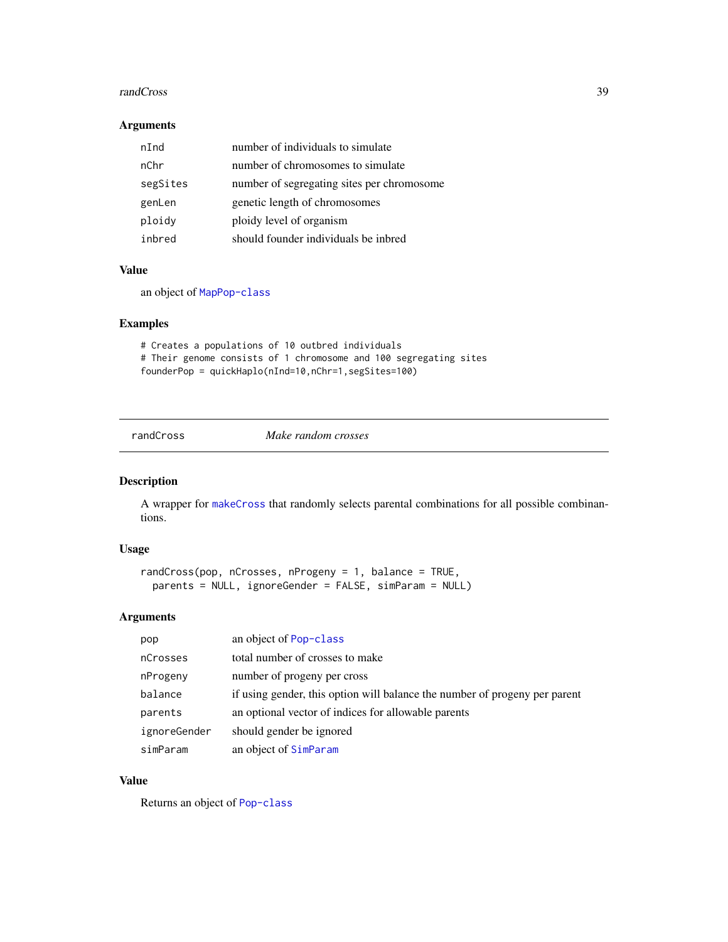#### **randCross** 39

### Arguments

| nInd     | number of individuals to simulate          |
|----------|--------------------------------------------|
| nChr     | number of chromosomes to simulate          |
| segSites | number of segregating sites per chromosome |
| genLen   | genetic length of chromosomes              |
| ploidy   | ploidy level of organism                   |
| inbred   | should founder individuals be inbred       |

# Value

an object of [MapPop-class](#page-22-0)

## Examples

```
# Creates a populations of 10 outbred individuals
# Their genome consists of 1 chromosome and 100 segregating sites
founderPop = quickHaplo(nInd=10,nChr=1,segSites=100)
```
<span id="page-38-0"></span>randCross *Make random crosses*

## Description

A wrapper for [makeCross](#page-19-0) that randomly selects parental combinations for all possible combinantions.

## Usage

```
randCross(pop, nCrosses, nProgeny = 1, balance = TRUE,
 parents = NULL, ignoreGender = FALSE, simParam = NULL)
```
### Arguments

| pop          | an object of Pop-class                                                     |
|--------------|----------------------------------------------------------------------------|
| nCrosses     | total number of crosses to make                                            |
| nProgeny     | number of progeny per cross                                                |
| balance      | if using gender, this option will balance the number of progeny per parent |
| parents      | an optional vector of indices for allowable parents                        |
| ignoreGender | should gender be ignored                                                   |
| simParam     | an object of SimParam                                                      |

# Value

Returns an object of [Pop-class](#page-29-0)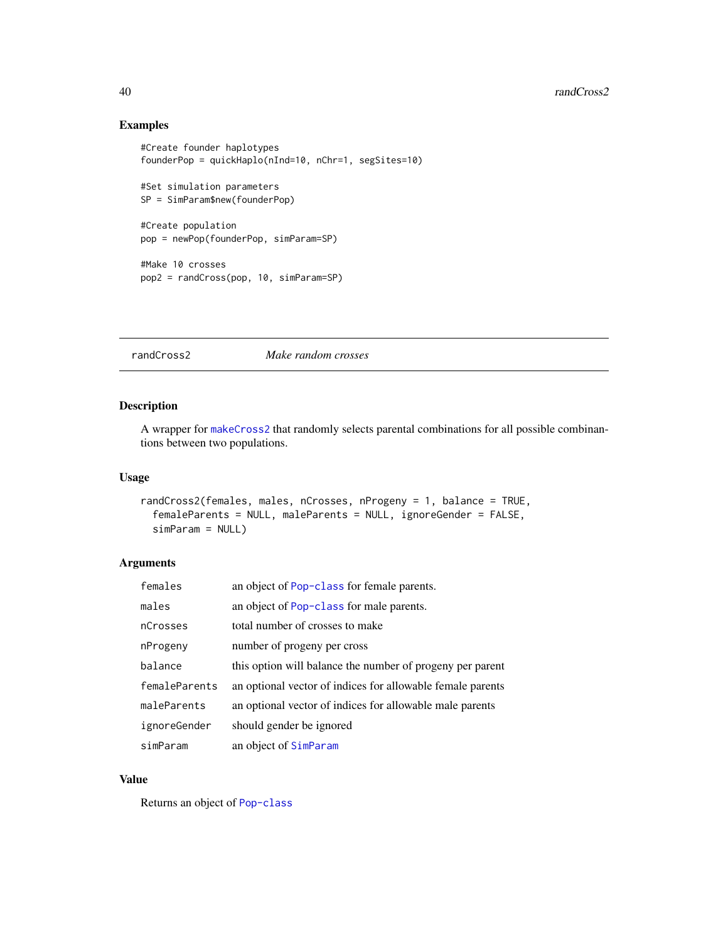## Examples

```
#Create founder haplotypes
founderPop = quickHaplo(nInd=10, nChr=1, segSites=10)
#Set simulation parameters
SP = SimParam$new(founderPop)
#Create population
pop = newPop(founderPop, simParam=SP)
#Make 10 crosses
pop2 = randCross(pop, 10, simParam=SP)
```
randCross2 *Make random crosses*

## Description

A wrapper for [makeCross2](#page-20-0) that randomly selects parental combinations for all possible combinantions between two populations.

### Usage

```
randCross2(females, males, nCrosses, nProgeny = 1, balance = TRUE,
 femaleParents = NULL, maleParents = NULL, ignoreGender = FALSE,
 simParam = NULL)
```
### Arguments

| females       | an object of Pop-class for female parents.                 |
|---------------|------------------------------------------------------------|
| males         | an object of Pop-class for male parents.                   |
| nCrosses      | total number of crosses to make                            |
| nProgeny      | number of progeny per cross                                |
| balance       | this option will balance the number of progeny per parent  |
| femaleParents | an optional vector of indices for allowable female parents |
| maleParents   | an optional vector of indices for allowable male parents   |
| ignoreGender  | should gender be ignored                                   |
| simParam      | an object of SimParam                                      |

### Value

Returns an object of [Pop-class](#page-29-0)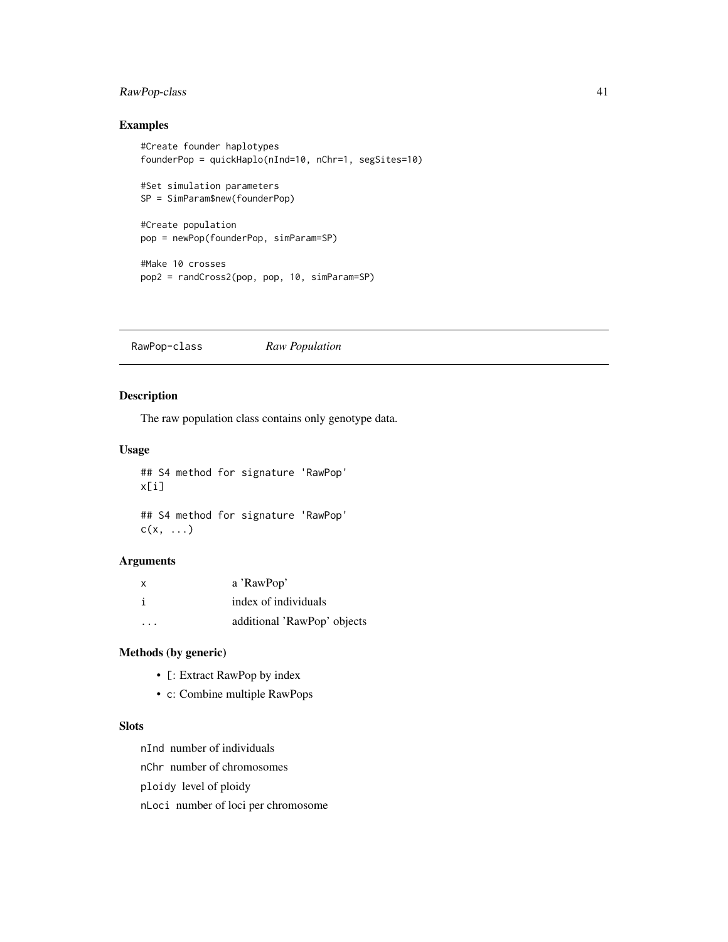## RawPop-class 41

## Examples

```
#Create founder haplotypes
founderPop = quickHaplo(nInd=10, nChr=1, segSites=10)
#Set simulation parameters
SP = SimParam$new(founderPop)
#Create population
pop = newPop(founderPop, simParam=SP)
#Make 10 crosses
pop2 = randCross2(pop, pop, 10, simParam=SP)
```
RawPop-class *Raw Population*

### Description

The raw population class contains only genotype data.

### Usage

## S4 method for signature 'RawPop' x[i]

## S4 method for signature 'RawPop'  $c(x, \ldots)$ 

### Arguments

| X | a 'RawPop'                  |
|---|-----------------------------|
|   | index of individuals        |
| . | additional 'RawPop' objects |

### Methods (by generic)

- [: Extract RawPop by index
- c: Combine multiple RawPops

## **Slots**

nInd number of individuals

nChr number of chromosomes

ploidy level of ploidy

nLoci number of loci per chromosome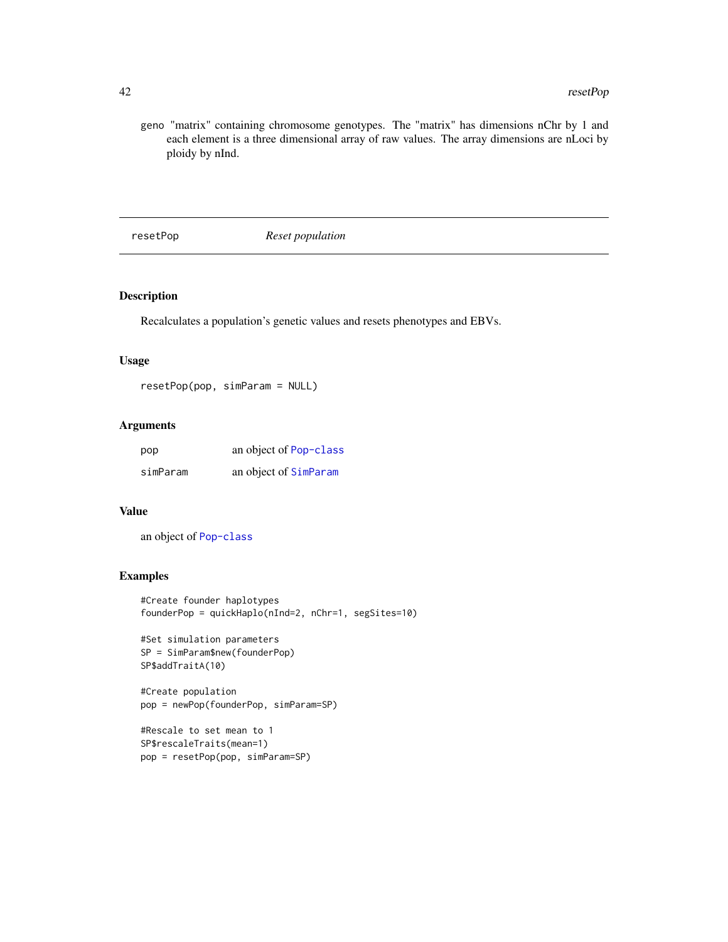geno "matrix" containing chromosome genotypes. The "matrix" has dimensions nChr by 1 and each element is a three dimensional array of raw values. The array dimensions are nLoci by ploidy by nInd.

resetPop *Reset population*

## Description

Recalculates a population's genetic values and resets phenotypes and EBVs.

### Usage

resetPop(pop, simParam = NULL)

## Arguments

| pop      | an object of Pop-class |
|----------|------------------------|
| simParam | an object of SimParam  |

### Value

an object of [Pop-class](#page-29-0)

```
#Create founder haplotypes
founderPop = quickHaplo(nInd=2, nChr=1, segSites=10)
```

```
#Set simulation parameters
SP = SimParam$new(founderPop)
SP$addTraitA(10)
```

```
#Create population
pop = newPop(founderPop, simParam=SP)
```

```
#Rescale to set mean to 1
SP$rescaleTraits(mean=1)
pop = resetPop(pop, simParam=SP)
```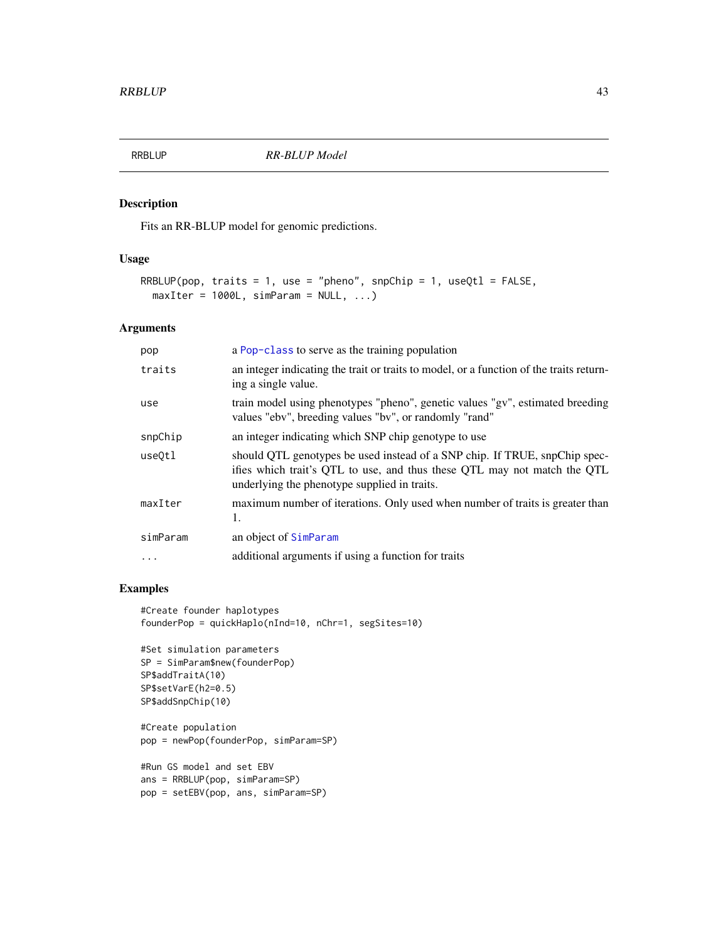<span id="page-42-0"></span>

## Description

Fits an RR-BLUP model for genomic predictions.

## Usage

```
RRBLUP(pop, traits = 1, use = "pheno", snpChip = 1, useQtl = FALSE,
 maxIter = 1000L, simParam = NULL, ...)
```
### Arguments

| pop      | a Pop-class to serve as the training population                                                                                                                                                        |
|----------|--------------------------------------------------------------------------------------------------------------------------------------------------------------------------------------------------------|
| traits   | an integer indicating the trait or traits to model, or a function of the traits return-<br>ing a single value.                                                                                         |
| use      | train model using phenotypes "pheno", genetic values "gv", estimated breeding<br>values "ebv", breeding values "bv", or randomly "rand"                                                                |
| snpChip  | an integer indicating which SNP chip genotype to use                                                                                                                                                   |
| use0tl   | should QTL genotypes be used instead of a SNP chip. If TRUE, snpChip spec-<br>ifies which trait's QTL to use, and thus these QTL may not match the QTL<br>underlying the phenotype supplied in traits. |
| maxIter  | maximum number of iterations. Only used when number of traits is greater than<br>1.                                                                                                                    |
| simParam | an object of SimParam                                                                                                                                                                                  |
| $\cdots$ | additional arguments if using a function for traits                                                                                                                                                    |

```
#Create founder haplotypes
founderPop = quickHaplo(nInd=10, nChr=1, segSites=10)
```

```
#Set simulation parameters
SP = SimParam$new(founderPop)
SP$addTraitA(10)
SP$setVarE(h2=0.5)
SP$addSnpChip(10)
```

```
#Create population
pop = newPop(founderPop, simParam=SP)
```

```
#Run GS model and set EBV
ans = RRBLUP(pop, simParam=SP)
pop = setEBV(pop, ans, simParam=SP)
```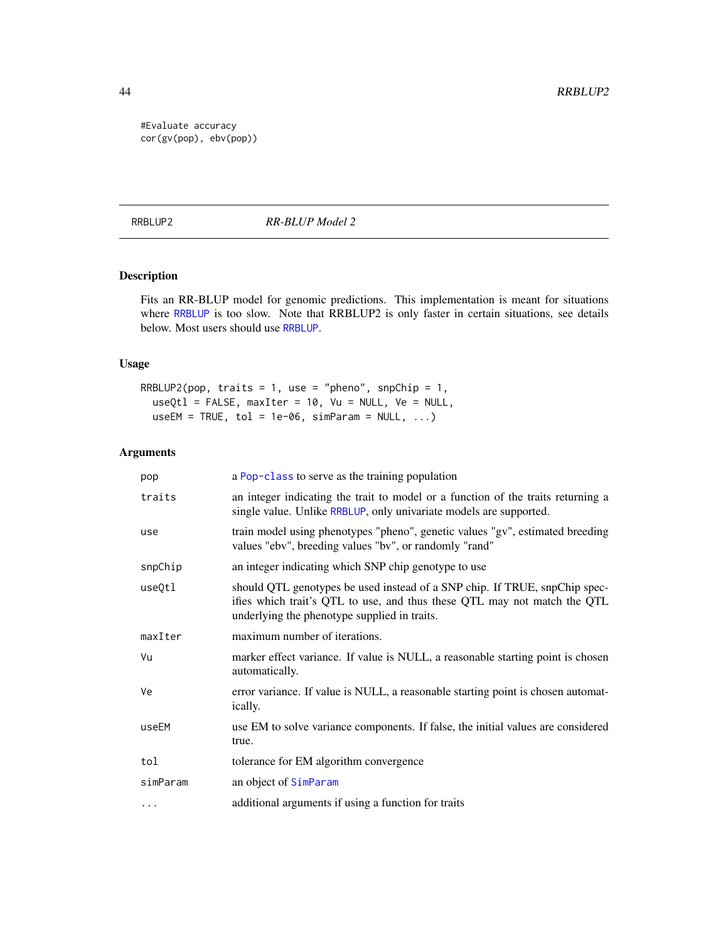#Evaluate accuracy cor(gv(pop), ebv(pop))

RRBLUP2 *RR-BLUP Model 2*

# Description

Fits an RR-BLUP model for genomic predictions. This implementation is meant for situations where [RRBLUP](#page-42-0) is too slow. Note that RRBLUP2 is only faster in certain situations, see details below. Most users should use [RRBLUP](#page-42-0).

### Usage

RRBLUP2(pop, traits = 1, use = "pheno", snpChip = 1,  $useQtl = FALSE, maxIter = 10, Vu = NULL, Ve = NULL,$  $useEM = TRUE, tol = 1e-06, simParam = NULL, ...$ 

| pop      | a Pop-class to serve as the training population                                                                                                                                                        |
|----------|--------------------------------------------------------------------------------------------------------------------------------------------------------------------------------------------------------|
| traits   | an integer indicating the trait to model or a function of the traits returning a<br>single value. Unlike RRBLUP, only univariate models are supported.                                                 |
| use      | train model using phenotypes "pheno", genetic values "gv", estimated breeding<br>values "ebv", breeding values "bv", or randomly "rand"                                                                |
| snpChip  | an integer indicating which SNP chip genotype to use                                                                                                                                                   |
| useQtl   | should QTL genotypes be used instead of a SNP chip. If TRUE, snpChip spec-<br>ifies which trait's QTL to use, and thus these QTL may not match the QTL<br>underlying the phenotype supplied in traits. |
| maxIter  | maximum number of iterations.                                                                                                                                                                          |
| Vu       | marker effect variance. If value is NULL, a reasonable starting point is chosen<br>automatically.                                                                                                      |
| Ve       | error variance. If value is NULL, a reasonable starting point is chosen automat-<br><i>ically.</i>                                                                                                     |
| useEM    | use EM to solve variance components. If false, the initial values are considered<br>true.                                                                                                              |
| tol      | tolerance for EM algorithm convergence                                                                                                                                                                 |
| simParam | an object of SimParam                                                                                                                                                                                  |
| $\cdots$ | additional arguments if using a function for traits                                                                                                                                                    |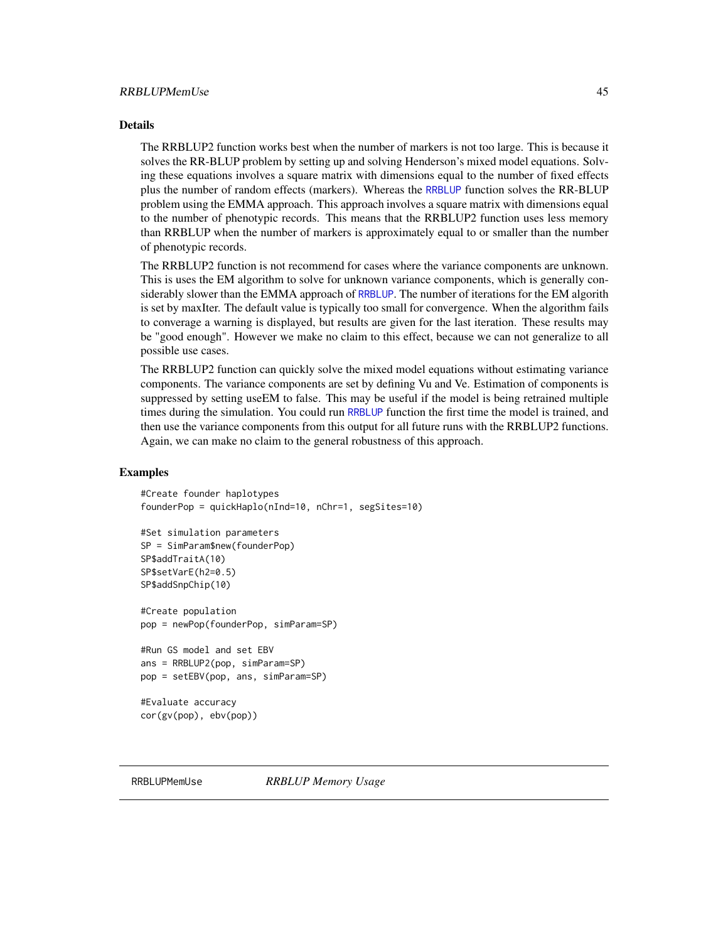#### Details

The RRBLUP2 function works best when the number of markers is not too large. This is because it solves the RR-BLUP problem by setting up and solving Henderson's mixed model equations. Solving these equations involves a square matrix with dimensions equal to the number of fixed effects plus the number of random effects (markers). Whereas the [RRBLUP](#page-42-0) function solves the RR-BLUP problem using the EMMA approach. This approach involves a square matrix with dimensions equal to the number of phenotypic records. This means that the RRBLUP2 function uses less memory than RRBLUP when the number of markers is approximately equal to or smaller than the number of phenotypic records.

The RRBLUP2 function is not recommend for cases where the variance components are unknown. This is uses the EM algorithm to solve for unknown variance components, which is generally considerably slower than the EMMA approach of [RRBLUP](#page-42-0). The number of iterations for the EM algorith is set by maxIter. The default value is typically too small for convergence. When the algorithm fails to converage a warning is displayed, but results are given for the last iteration. These results may be "good enough". However we make no claim to this effect, because we can not generalize to all possible use cases.

The RRBLUP2 function can quickly solve the mixed model equations without estimating variance components. The variance components are set by defining Vu and Ve. Estimation of components is suppressed by setting useEM to false. This may be useful if the model is being retrained multiple times during the simulation. You could run [RRBLUP](#page-42-0) function the first time the model is trained, and then use the variance components from this output for all future runs with the RRBLUP2 functions. Again, we can make no claim to the general robustness of this approach.

### Examples

```
#Create founder haplotypes
founderPop = quickHaplo(nInd=10, nChr=1, segSites=10)
```

```
#Set simulation parameters
SP = SimParam$new(founderPop)
SP$addTraitA(10)
SP$setVarE(h2=0.5)
SP$addSnpChip(10)
```
#Create population pop = newPop(founderPop, simParam=SP)

```
#Run GS model and set EBV
ans = RRBLUP2(pop, simParam=SP)
pop = setEBV(pop, ans, simParam=SP)
```

```
#Evaluate accuracy
cor(gv(pop), ebv(pop))
```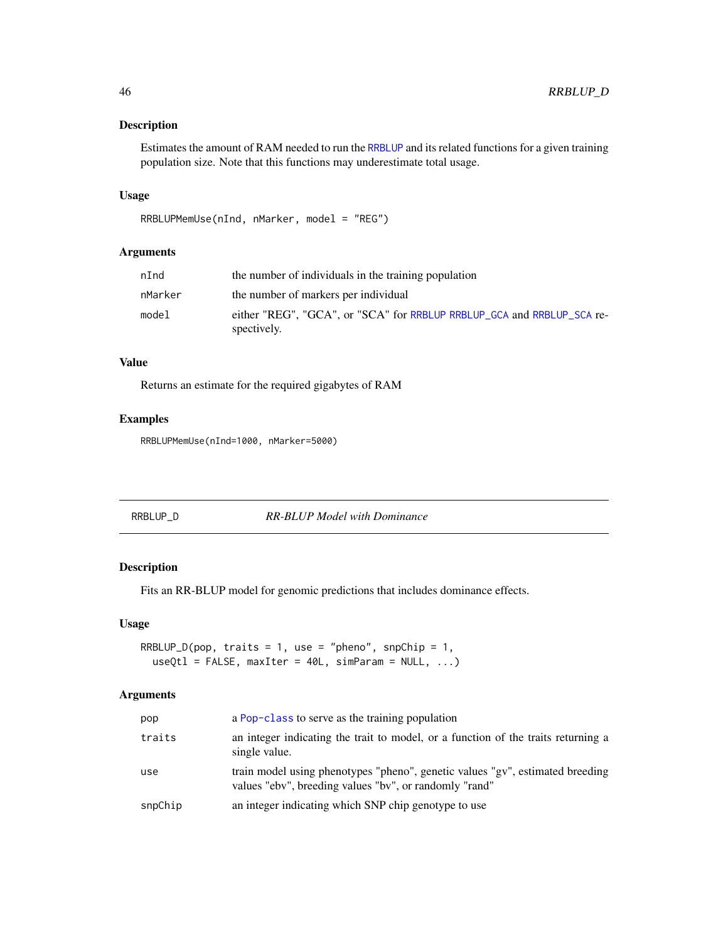### Description

Estimates the amount of RAM needed to run the [RRBLUP](#page-42-0) and its related functions for a given training population size. Note that this functions may underestimate total usage.

## Usage

```
RRBLUPMemUse(nInd, nMarker, model = "REG")
```
## Arguments

| nInd    | the number of individuals in the training population                                  |
|---------|---------------------------------------------------------------------------------------|
| nMarker | the number of markers per individual                                                  |
| model   | either "REG", "GCA", or "SCA" for RRBLUP RRBLUP_GCA and RRBLUP_SCA re-<br>spectively. |

# Value

Returns an estimate for the required gigabytes of RAM

### Examples

RRBLUPMemUse(nInd=1000, nMarker=5000)

<span id="page-45-0"></span>

## Description

Fits an RR-BLUP model for genomic predictions that includes dominance effects.

#### Usage

```
RRBLUP_D(pop, traits = 1, use = "pheno", snpChip = 1,
 useQtl = FALSE, maxIter = 40L, simParam = NULL, ...
```

| pop     | a Pop-class to serve as the training population                                                                                         |
|---------|-----------------------------------------------------------------------------------------------------------------------------------------|
| traits  | an integer indicating the trait to model, or a function of the traits returning a<br>single value.                                      |
| use     | train model using phenotypes "pheno", genetic values "gv", estimated breeding<br>values "ebv", breeding values "bv", or randomly "rand" |
| snpChip | an integer indicating which SNP chip genotype to use                                                                                    |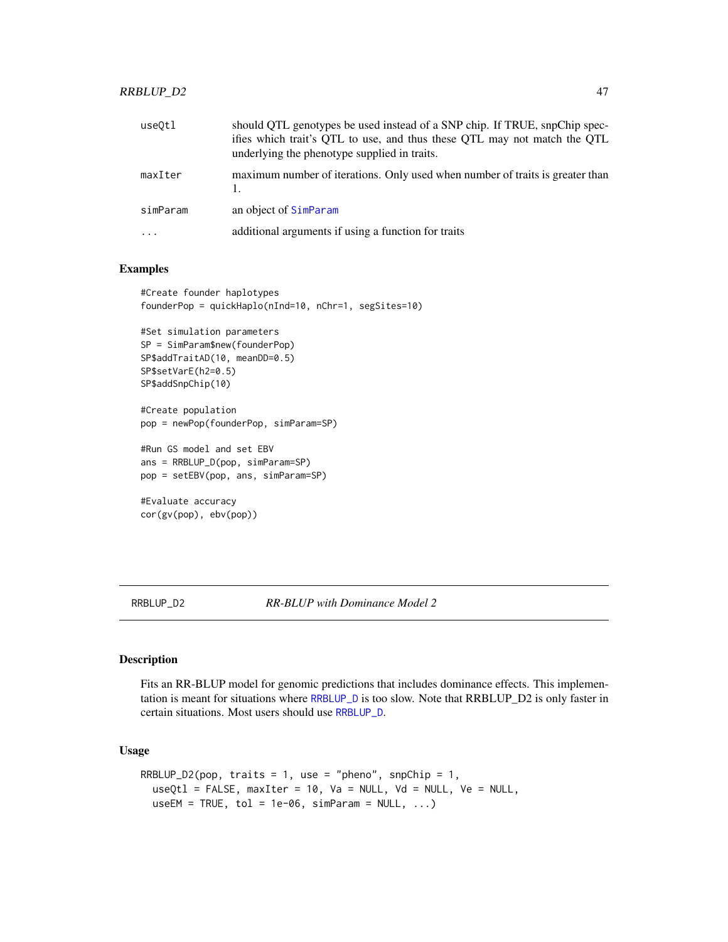### RRBLUP\_D2 47

| useOtl   | should QTL genotypes be used instead of a SNP chip. If TRUE, snpChip spec-<br>ifies which trait's QTL to use, and thus these QTL may not match the QTL<br>underlying the phenotype supplied in traits. |
|----------|--------------------------------------------------------------------------------------------------------------------------------------------------------------------------------------------------------|
| maxIter  | maximum number of iterations. Only used when number of traits is greater than                                                                                                                          |
| simParam | an object of SimParam                                                                                                                                                                                  |
| $\ddots$ | additional arguments if using a function for traits                                                                                                                                                    |

## Examples

```
#Create founder haplotypes
founderPop = quickHaplo(nInd=10, nChr=1, segSites=10)
```

```
#Set simulation parameters
SP = SimParam$new(founderPop)
SP$addTraitAD(10, meanDD=0.5)
SP$setVarE(h2=0.5)
SP$addSnpChip(10)
```
#Create population pop = newPop(founderPop, simParam=SP)

#Run GS model and set EBV ans = RRBLUP\_D(pop, simParam=SP) pop = setEBV(pop, ans, simParam=SP)

```
#Evaluate accuracy
cor(gv(pop), ebv(pop))
```
RRBLUP\_D2 *RR-BLUP with Dominance Model 2*

### Description

Fits an RR-BLUP model for genomic predictions that includes dominance effects. This implementation is meant for situations where [RRBLUP\\_D](#page-45-0) is too slow. Note that RRBLUP\_D2 is only faster in certain situations. Most users should use [RRBLUP\\_D](#page-45-0).

```
RRBLUP_D2(pop, traits = 1, use = "pheno", snpChip = 1,
 useQtl = FALSE, maxIter = 10, Va = NULL, Vd = NULL, Ve = NULL,useEM = TRUE, tol = 1e-06, simParam = NULL, ...)
```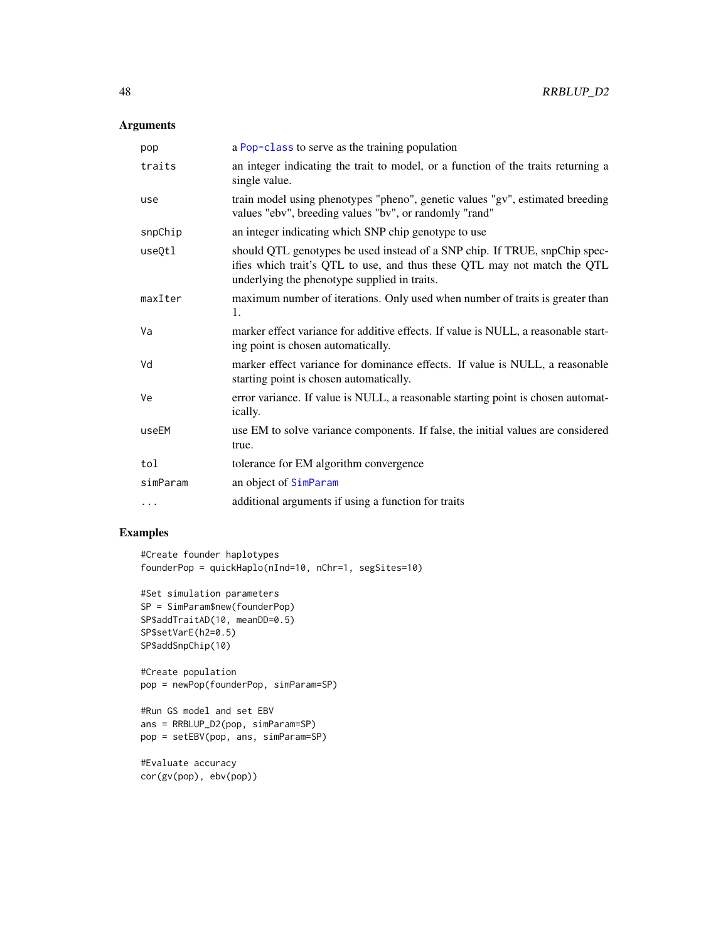# Arguments

| pop      | a Pop-class to serve as the training population                                                                                                                                                        |
|----------|--------------------------------------------------------------------------------------------------------------------------------------------------------------------------------------------------------|
| traits   | an integer indicating the trait to model, or a function of the traits returning a<br>single value.                                                                                                     |
| use      | train model using phenotypes "pheno", genetic values "gv", estimated breeding<br>values "ebv", breeding values "bv", or randomly "rand"                                                                |
| snpChip  | an integer indicating which SNP chip genotype to use                                                                                                                                                   |
| useQtl   | should QTL genotypes be used instead of a SNP chip. If TRUE, snpChip spec-<br>ifies which trait's QTL to use, and thus these QTL may not match the QTL<br>underlying the phenotype supplied in traits. |
| maxIter  | maximum number of iterations. Only used when number of traits is greater than<br>1.                                                                                                                    |
| Va       | marker effect variance for additive effects. If value is NULL, a reasonable start-<br>ing point is chosen automatically.                                                                               |
| Vd       | marker effect variance for dominance effects. If value is NULL, a reasonable<br>starting point is chosen automatically.                                                                                |
| Ve       | error variance. If value is NULL, a reasonable starting point is chosen automat-<br>ically.                                                                                                            |
| useEM    | use EM to solve variance components. If false, the initial values are considered<br>true.                                                                                                              |
| tol      | tolerance for EM algorithm convergence                                                                                                                                                                 |
| simParam | an object of SimParam                                                                                                                                                                                  |
| $\cdots$ | additional arguments if using a function for traits                                                                                                                                                    |

```
#Create founder haplotypes
founderPop = quickHaplo(nInd=10, nChr=1, segSites=10)
```

```
#Set simulation parameters
SP = SimParam$new(founderPop)
SP$addTraitAD(10, meanDD=0.5)
SP$setVarE(h2=0.5)
SP$addSnpChip(10)
```

```
#Create population
pop = newPop(founderPop, simParam=SP)
```

```
#Run GS model and set EBV
ans = RRBLUP_D2(pop, simParam=SP)
pop = setEBV(pop, ans, simParam=SP)
```

```
#Evaluate accuracy
cor(gv(pop), ebv(pop))
```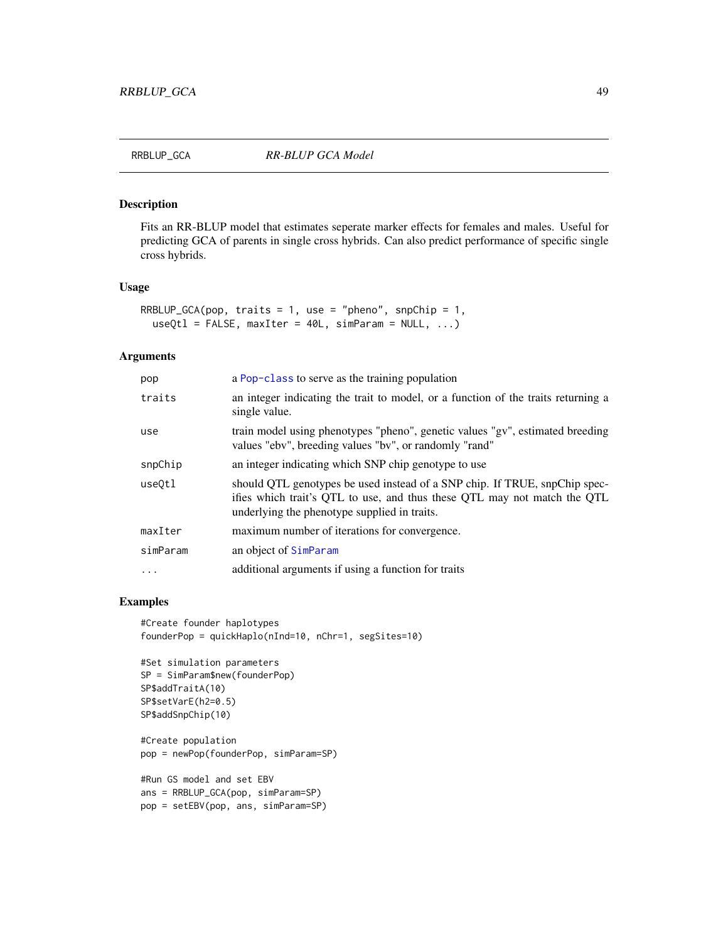<span id="page-48-0"></span>

#### Description

Fits an RR-BLUP model that estimates seperate marker effects for females and males. Useful for predicting GCA of parents in single cross hybrids. Can also predict performance of specific single cross hybrids.

### Usage

```
RRBLUP_GCA(pop, traits = 1, use = "pheno", snpChip = 1,
 useQtl = FALSE, maxIter = 40L, simParam = NULL, ...
```
### Arguments

| a Pop-class to serve as the training population                                                                                                                                                        |
|--------------------------------------------------------------------------------------------------------------------------------------------------------------------------------------------------------|
| an integer indicating the trait to model, or a function of the traits returning a<br>single value.                                                                                                     |
| train model using phenotypes "pheno", genetic values "gv", estimated breeding<br>values "ebv", breeding values "bv", or randomly "rand"                                                                |
| an integer indicating which SNP chip genotype to use                                                                                                                                                   |
| should QTL genotypes be used instead of a SNP chip. If TRUE, snpChip spec-<br>ifies which trait's QTL to use, and thus these QTL may not match the QTL<br>underlying the phenotype supplied in traits. |
| maximum number of iterations for convergence.                                                                                                                                                          |
| an object of SimParam                                                                                                                                                                                  |
| additional arguments if using a function for traits                                                                                                                                                    |
|                                                                                                                                                                                                        |

```
#Create founder haplotypes
founderPop = quickHaplo(nInd=10, nChr=1, segSites=10)
```

```
#Set simulation parameters
SP = SimParam$new(founderPop)
SP$addTraitA(10)
SP$setVarE(h2=0.5)
SP$addSnpChip(10)
```

```
#Create population
pop = newPop(founderPop, simParam=SP)
```

```
#Run GS model and set EBV
ans = RRBLUP_GCA(pop, simParam=SP)
pop = setEBV(pop, ans, simParam=SP)
```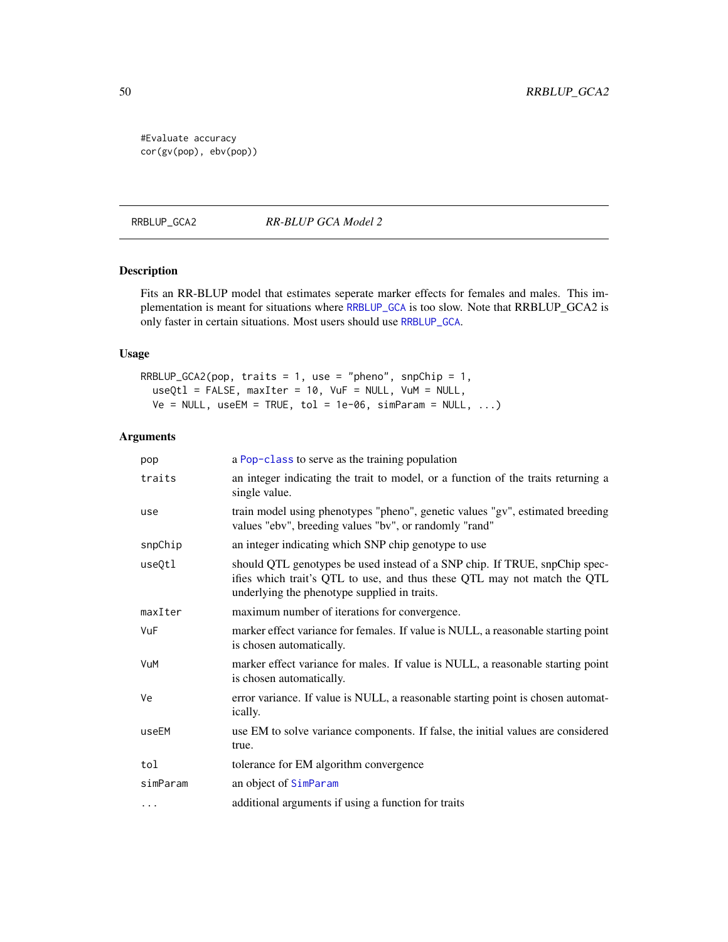#Evaluate accuracy cor(gv(pop), ebv(pop))

RRBLUP\_GCA2 *RR-BLUP GCA Model 2*

## Description

Fits an RR-BLUP model that estimates seperate marker effects for females and males. This implementation is meant for situations where [RRBLUP\\_GCA](#page-48-0) is too slow. Note that RRBLUP\_GCA2 is only faster in certain situations. Most users should use [RRBLUP\\_GCA](#page-48-0).

### Usage

```
RRBLUP_GCA2(pop, traits = 1, use = "pheno", snpChip = 1,
 useQtl = FALSE, maxIter = 10, VuF = NULL, VuM = NULL,
 Ve = NULL, useEM = TRUE, tol = 1e-06, simParam = NULL, ...)
```

| pop      | a Pop-class to serve as the training population                                                                                                                                                        |
|----------|--------------------------------------------------------------------------------------------------------------------------------------------------------------------------------------------------------|
| traits   | an integer indicating the trait to model, or a function of the traits returning a<br>single value.                                                                                                     |
| use      | train model using phenotypes "pheno", genetic values "gv", estimated breeding<br>values "ebv", breeding values "bv", or randomly "rand"                                                                |
| snpChip  | an integer indicating which SNP chip genotype to use                                                                                                                                                   |
| useQtl   | should QTL genotypes be used instead of a SNP chip. If TRUE, snpChip spec-<br>ifies which trait's QTL to use, and thus these QTL may not match the QTL<br>underlying the phenotype supplied in traits. |
| maxIter  | maximum number of iterations for convergence.                                                                                                                                                          |
| VuF      | marker effect variance for females. If value is NULL, a reasonable starting point<br>is chosen automatically.                                                                                          |
| VuM      | marker effect variance for males. If value is NULL, a reasonable starting point<br>is chosen automatically.                                                                                            |
| Ve       | error variance. If value is NULL, a reasonable starting point is chosen automat-<br>ically.                                                                                                            |
| useEM    | use EM to solve variance components. If false, the initial values are considered<br>true.                                                                                                              |
| tol      | tolerance for EM algorithm convergence                                                                                                                                                                 |
| simParam | an object of SimParam                                                                                                                                                                                  |
| $\cdots$ | additional arguments if using a function for traits                                                                                                                                                    |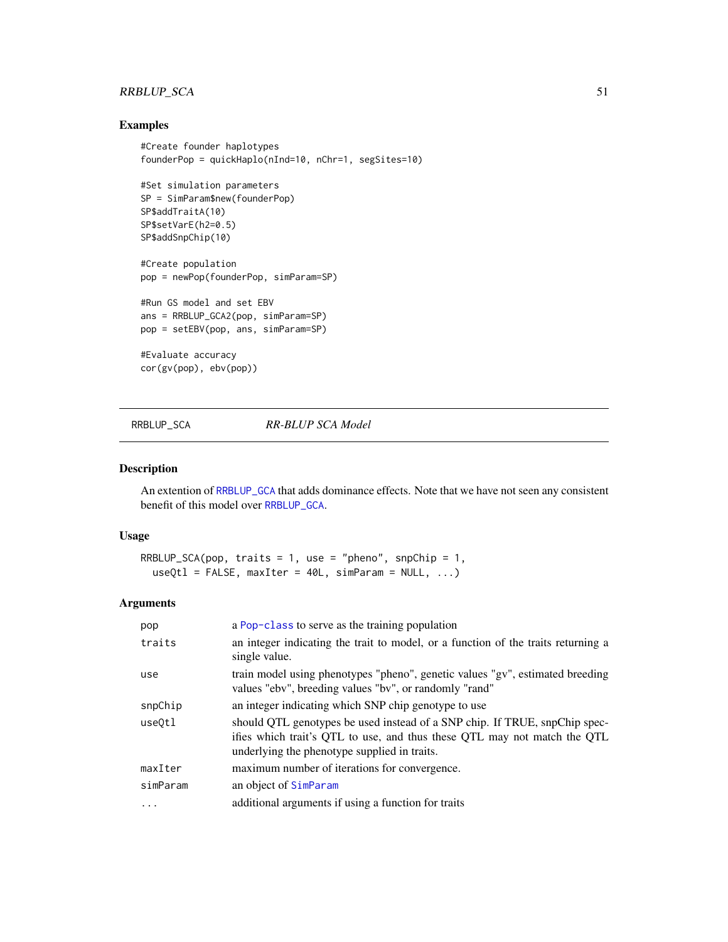## RRBLUP\_SCA 51

## Examples

```
#Create founder haplotypes
founderPop = quickHaplo(nInd=10, nChr=1, segSites=10)
#Set simulation parameters
SP = SimParam$new(founderPop)
SP$addTraitA(10)
SP$setVarE(h2=0.5)
SP$addSnpChip(10)
#Create population
pop = newPop(founderPop, simParam=SP)
#Run GS model and set EBV
ans = RRBLUP_GCA2(pop, simParam=SP)
pop = setEBV(pop, ans, simParam=SP)
#Evaluate accuracy
cor(gv(pop), ebv(pop))
```
### <span id="page-50-0"></span>RRBLUP\_SCA *RR-BLUP SCA Model*

#### Description

An extention of [RRBLUP\\_GCA](#page-48-0) that adds dominance effects. Note that we have not seen any consistent benefit of this model over [RRBLUP\\_GCA](#page-48-0).

## Usage

```
RRBLUP_SCA(pop, traits = 1, use = "pheno", snpChip = 1,
  useQtl = FALSE, maxIter = 40L, simParam = NULL, ...)
```

| pop      | a Pop-class to serve as the training population                                                                                                                                                        |
|----------|--------------------------------------------------------------------------------------------------------------------------------------------------------------------------------------------------------|
| traits   | an integer indicating the trait to model, or a function of the traits returning a<br>single value.                                                                                                     |
| use      | train model using phenotypes "pheno", genetic values "gv", estimated breeding<br>values "ebv", breeding values "bv", or randomly "rand"                                                                |
| snpChip  | an integer indicating which SNP chip genotype to use                                                                                                                                                   |
| use0tl   | should QTL genotypes be used instead of a SNP chip. If TRUE, snpChip spec-<br>ifies which trait's QTL to use, and thus these QTL may not match the QTL<br>underlying the phenotype supplied in traits. |
| maxIter  | maximum number of iterations for convergence.                                                                                                                                                          |
| simParam | an object of SimParam                                                                                                                                                                                  |
| .        | additional arguments if using a function for traits                                                                                                                                                    |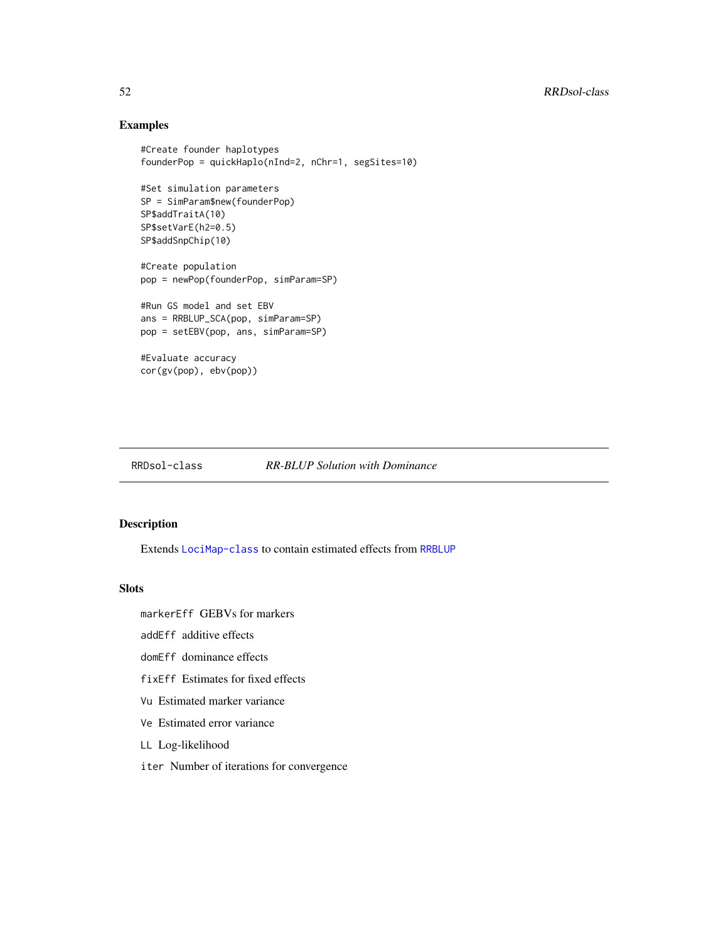# Examples

```
#Create founder haplotypes
founderPop = quickHaplo(nInd=2, nChr=1, segSites=10)
#Set simulation parameters
SP = SimParam$new(founderPop)
SP$addTraitA(10)
SP$setVarE(h2=0.5)
SP$addSnpChip(10)
#Create population
pop = newPop(founderPop, simParam=SP)
#Run GS model and set EBV
ans = RRBLUP_SCA(pop, simParam=SP)
pop = setEBV(pop, ans, simParam=SP)
#Evaluate accuracy
cor(gv(pop), ebv(pop))
```
### <span id="page-51-0"></span>RRDsol-class *RR-BLUP Solution with Dominance*

### Description

Extends [LociMap-class](#page-19-1) to contain estimated effects from [RRBLUP](#page-42-0)

### Slots

markerEff GEBVs for markers

addEff additive effects

domEff dominance effects

fixEff Estimates for fixed effects

Vu Estimated marker variance

Ve Estimated error variance

LL Log-likelihood

iter Number of iterations for convergence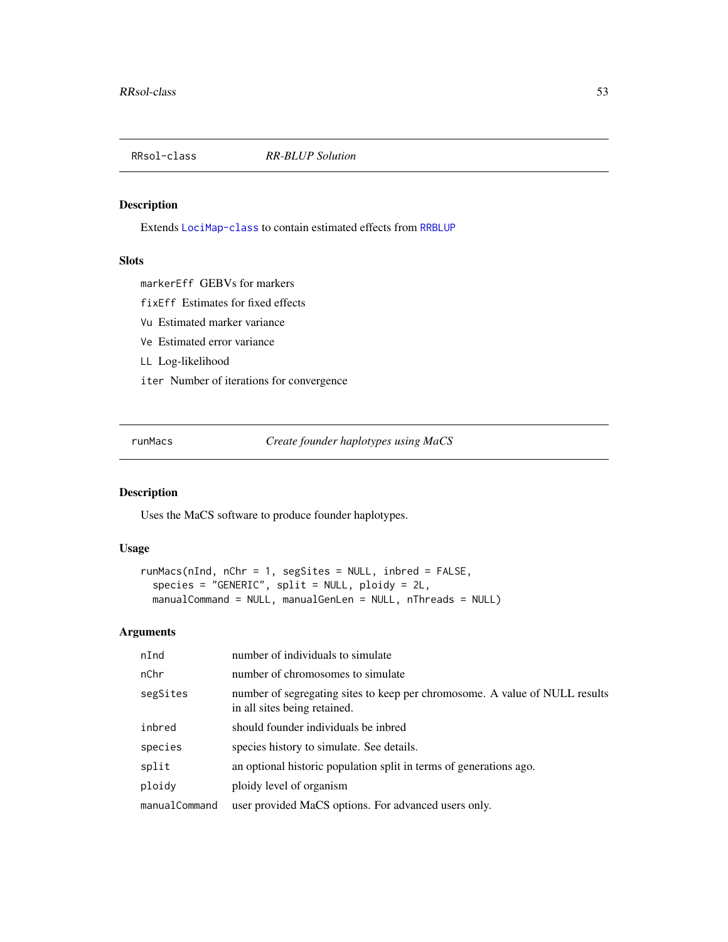<span id="page-52-1"></span>

## Description

Extends [LociMap-class](#page-19-1) to contain estimated effects from [RRBLUP](#page-42-0)

### Slots

markerEff GEBVs for markers

fixEff Estimates for fixed effects

Vu Estimated marker variance

- Ve Estimated error variance
- LL Log-likelihood
- iter Number of iterations for convergence

<span id="page-52-0"></span>runMacs *Create founder haplotypes using MaCS*

## Description

Uses the MaCS software to produce founder haplotypes.

## Usage

```
runMacs(nInd, nChr = 1, segSites = NULL, inbred = FALSE,
 species = "GENERIC", split = NULL, ploidy = 2L,
 manualCommand = NULL, manualGenLen = NULL, nThreads = NULL)
```

| nInd          | number of individuals to simulate                                                                           |
|---------------|-------------------------------------------------------------------------------------------------------------|
| nChr          | number of chromosomes to simulate                                                                           |
| segSites      | number of segregating sites to keep per chromosome. A value of NULL results<br>in all sites being retained. |
| inbred        | should founder individuals be inbred                                                                        |
| species       | species history to simulate. See details.                                                                   |
| split         | an optional historic population split in terms of generations ago.                                          |
| ploidy        | ploidy level of organism                                                                                    |
| manualCommand | user provided MaCS options. For advanced users only.                                                        |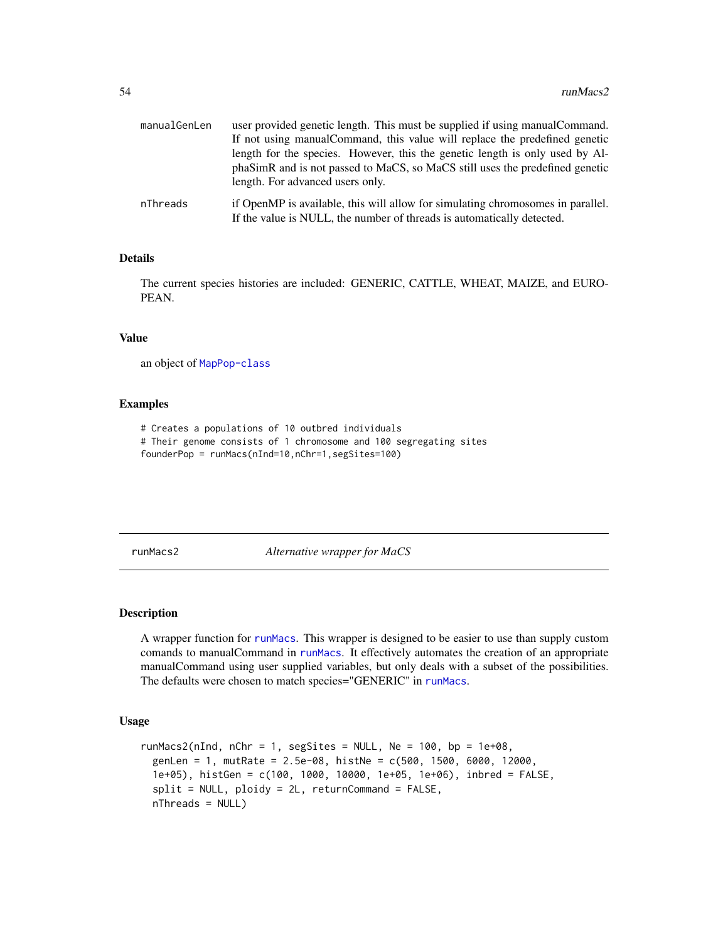| manualGenLen | user provided genetic length. This must be supplied if using manual Command.                                                                              |
|--------------|-----------------------------------------------------------------------------------------------------------------------------------------------------------|
|              | If not using manual Command, this value will replace the predefined genetic                                                                               |
|              | length for the species. However, this the genetic length is only used by Al-                                                                              |
|              | phaSimR and is not passed to MaCS, so MaCS still uses the predefined genetic<br>length. For advanced users only.                                          |
| nThreads     | if OpenMP is available, this will allow for simulating chromosomes in parallel.<br>If the value is NULL, the number of threads is automatically detected. |

## Details

The current species histories are included: GENERIC, CATTLE, WHEAT, MAIZE, and EURO-PEAN.

## Value

an object of [MapPop-class](#page-22-0)

### Examples

```
# Creates a populations of 10 outbred individuals
# Their genome consists of 1 chromosome and 100 segregating sites
founderPop = runMacs(nInd=10,nChr=1,segSites=100)
```
runMacs2 *Alternative wrapper for MaCS*

#### Description

A wrapper function for [runMacs](#page-52-0). This wrapper is designed to be easier to use than supply custom comands to manualCommand in [runMacs](#page-52-0). It effectively automates the creation of an appropriate manualCommand using user supplied variables, but only deals with a subset of the possibilities. The defaults were chosen to match species="GENERIC" in [runMacs](#page-52-0).

```
runMacs2(nInd, nChr = 1, segSites = NULL, Ne = 100, bp = 1e+08,
 genLen = 1, mutRate = 2.5e-08, histNe = c(500, 1500, 6000, 12000,
 1e+05), histGen = c(100, 1000, 10000, 1e+05, 1e+06), inbred = FALSE,
  split = NULL, ploidy = 2L, returnCommand = FALSE,nThreads = NULL)
```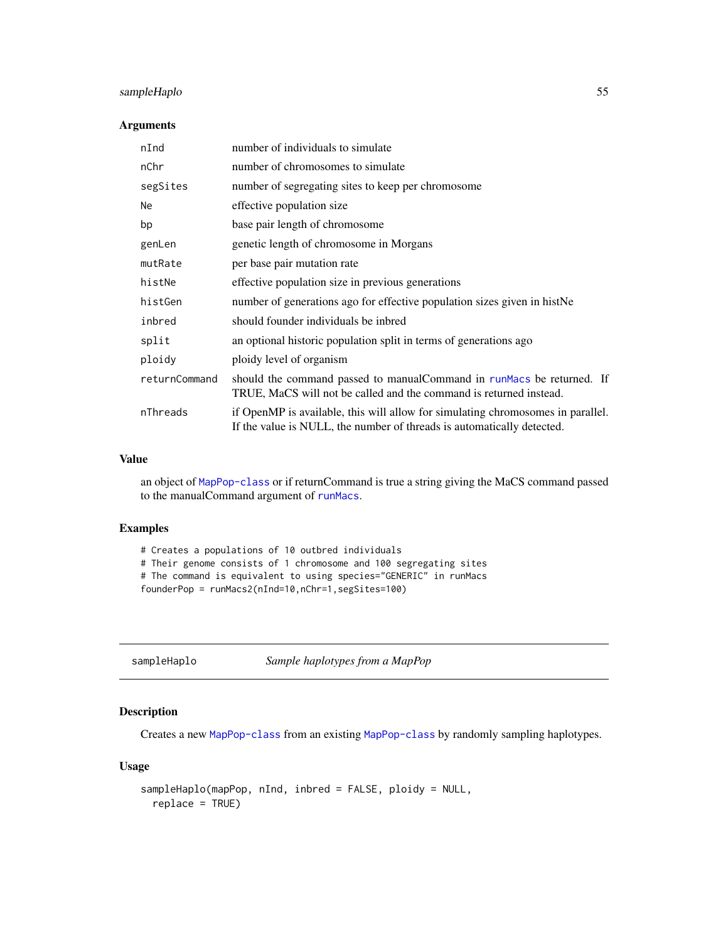## sampleHaplo 55

### Arguments

| nInd          | number of individuals to simulate                                                                                                                         |
|---------------|-----------------------------------------------------------------------------------------------------------------------------------------------------------|
| nChr          | number of chromosomes to simulate                                                                                                                         |
| segSites      | number of segregating sites to keep per chromosome                                                                                                        |
| Ne            | effective population size                                                                                                                                 |
| bp            | base pair length of chromosome                                                                                                                            |
| genLen        | genetic length of chromosome in Morgans                                                                                                                   |
| mutRate       | per base pair mutation rate                                                                                                                               |
| histNe        | effective population size in previous generations                                                                                                         |
| histGen       | number of generations ago for effective population sizes given in histNe                                                                                  |
| inbred        | should founder individuals be inbred                                                                                                                      |
| split         | an optional historic population split in terms of generations ago                                                                                         |
| ploidy        | ploidy level of organism                                                                                                                                  |
| returnCommand | should the command passed to manual Command in runMacs be returned. If<br>TRUE, MaCS will not be called and the command is returned instead.              |
| nThreads      | if OpenMP is available, this will allow for simulating chromosomes in parallel.<br>If the value is NULL, the number of threads is automatically detected. |

### Value

an object of [MapPop-class](#page-22-0) or if returnCommand is true a string giving the MaCS command passed to the manualCommand argument of [runMacs](#page-52-0).

## Examples

# Creates a populations of 10 outbred individuals # Their genome consists of 1 chromosome and 100 segregating sites # The command is equivalent to using species="GENERIC" in runMacs founderPop = runMacs2(nInd=10,nChr=1,segSites=100)

sampleHaplo *Sample haplotypes from a MapPop*

## Description

Creates a new [MapPop-class](#page-22-0) from an existing [MapPop-class](#page-22-0) by randomly sampling haplotypes.

```
sampleHaplo(mapPop, nInd, inbred = FALSE, ploidy = NULL,
 replace = TRUE)
```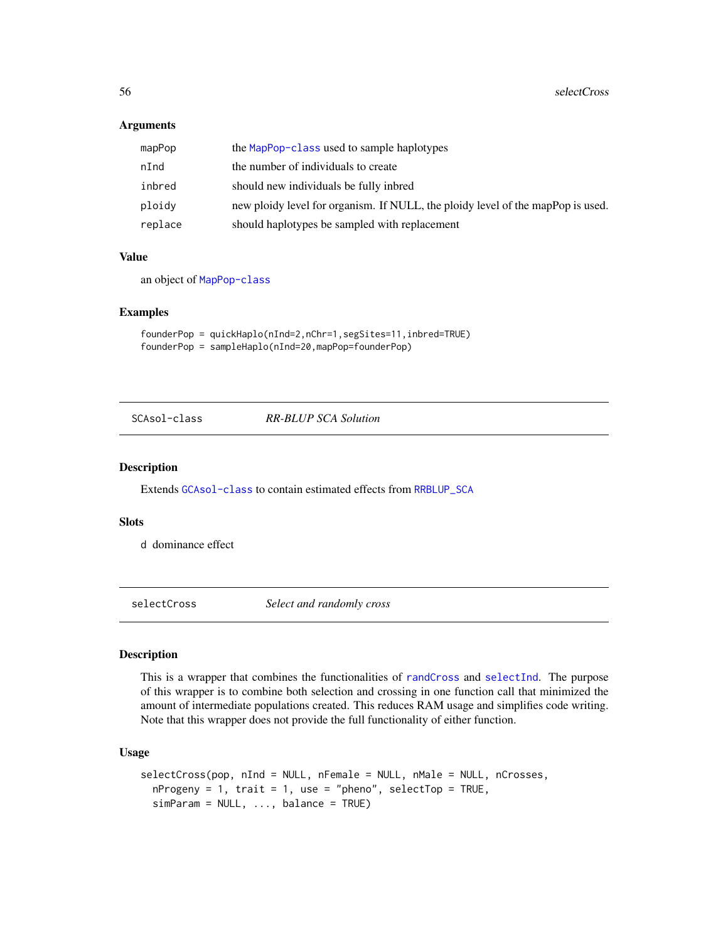### **Arguments**

| mapPop  | the MapPop-class used to sample haplotypes                                      |
|---------|---------------------------------------------------------------------------------|
| nInd    | the number of individuals to create                                             |
| inbred  | should new individuals be fully inbred                                          |
| ploidy  | new ploidy level for organism. If NULL, the ploidy level of the mapPop is used. |
| replace | should haplotypes be sampled with replacement                                   |

#### Value

an object of [MapPop-class](#page-22-0)

### Examples

```
founderPop = quickHaplo(nInd=2,nChr=1,segSites=11,inbred=TRUE)
founderPop = sampleHaplo(nInd=20,mapPop=founderPop)
```
<span id="page-55-0"></span>SCAsol-class *RR-BLUP SCA Solution*

#### Description

Extends [GCAsol-class](#page-10-0) to contain estimated effects from [RRBLUP\\_SCA](#page-50-0)

### Slots

d dominance effect

selectCross *Select and randomly cross*

### Description

This is a wrapper that combines the functionalities of [randCross](#page-38-0) and [selectInd](#page-58-0). The purpose of this wrapper is to combine both selection and crossing in one function call that minimized the amount of intermediate populations created. This reduces RAM usage and simplifies code writing. Note that this wrapper does not provide the full functionality of either function.

```
selectCross(pop, nInd = NULL, nFemale = NULL, nMale = NULL, nCrosses,
 nProgeny = 1, trait = 1, use = "pheno", selectTop = TRUE,
  simParam = NULL, ..., balance = TRUE)
```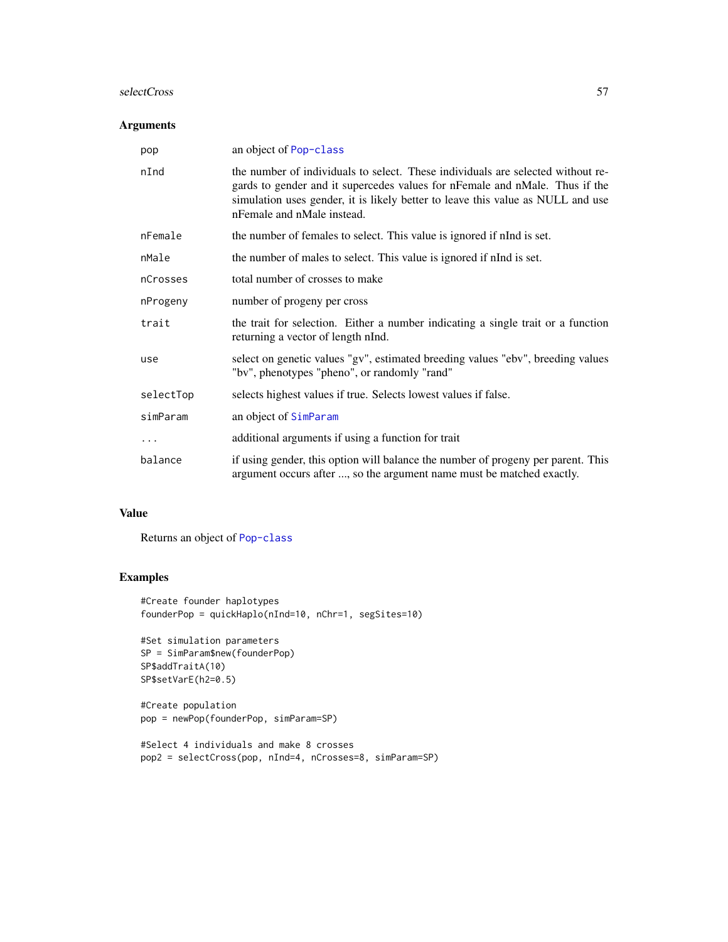#### selectCross 57

## Arguments

| pop       | an object of Pop-class                                                                                                                                                                                                                                                          |
|-----------|---------------------------------------------------------------------------------------------------------------------------------------------------------------------------------------------------------------------------------------------------------------------------------|
| nInd      | the number of individuals to select. These individuals are selected without re-<br>gards to gender and it supercedes values for nFemale and nMale. Thus if the<br>simulation uses gender, it is likely better to leave this value as NULL and use<br>nFemale and nMale instead. |
| nFemale   | the number of females to select. This value is ignored if nInd is set.                                                                                                                                                                                                          |
| nMale     | the number of males to select. This value is ignored if nInd is set.                                                                                                                                                                                                            |
| nCrosses  | total number of crosses to make                                                                                                                                                                                                                                                 |
| nProgeny  | number of progeny per cross                                                                                                                                                                                                                                                     |
| trait     | the trait for selection. Either a number indicating a single trait or a function<br>returning a vector of length nInd.                                                                                                                                                          |
| use       | select on genetic values "gv", estimated breeding values "ebv", breeding values<br>"bv", phenotypes "pheno", or randomly "rand"                                                                                                                                                 |
| selectTop | selects highest values if true. Selects lowest values if false.                                                                                                                                                                                                                 |
| simParam  | an object of SimParam                                                                                                                                                                                                                                                           |
| .         | additional arguments if using a function for trait                                                                                                                                                                                                                              |
| balance   | if using gender, this option will balance the number of progeny per parent. This<br>argument occurs after , so the argument name must be matched exactly.                                                                                                                       |

# Value

Returns an object of [Pop-class](#page-29-0)

```
#Create founder haplotypes
founderPop = quickHaplo(nInd=10, nChr=1, segSites=10)
```

```
#Set simulation parameters
SP = SimParam$new(founderPop)
SP$addTraitA(10)
SP$setVarE(h2=0.5)
```

```
#Create population
pop = newPop(founderPop, simParam=SP)
```

```
#Select 4 individuals and make 8 crosses
pop2 = selectCross(pop, nInd=4, nCrosses=8, simParam=SP)
```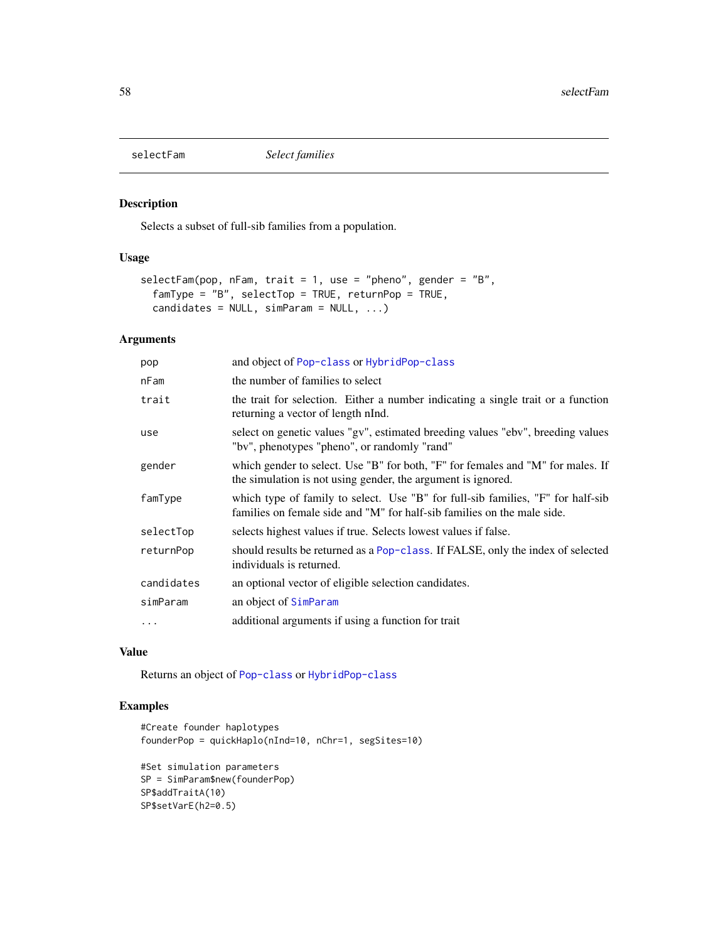## Description

Selects a subset of full-sib families from a population.

## Usage

```
selectFam(pop, nFam, trait = 1, use = "pheno", gender = "B",
  famType = "B", selectTop = TRUE, returnPop = TRUE,
  candidates = NULL, simParam = NULL, ...)
```
## Arguments

| pop        | and object of Pop-class or HybridPop-class                                                                                                                 |
|------------|------------------------------------------------------------------------------------------------------------------------------------------------------------|
| nFam       | the number of families to select                                                                                                                           |
| trait      | the trait for selection. Either a number indicating a single trait or a function<br>returning a vector of length nInd.                                     |
| use        | select on genetic values "gv", estimated breeding values "ebv", breeding values<br>"bv", phenotypes "pheno", or randomly "rand"                            |
| gender     | which gender to select. Use "B" for both, "F" for females and "M" for males. If<br>the simulation is not using gender, the argument is ignored.            |
| famType    | which type of family to select. Use "B" for full-sib families, "F" for half-sib<br>families on female side and "M" for half-sib families on the male side. |
| selectTop  | selects highest values if true. Selects lowest values if false.                                                                                            |
| returnPop  | should results be returned as a Pop-class. If FALSE, only the index of selected<br>individuals is returned.                                                |
| candidates | an optional vector of eligible selection candidates.                                                                                                       |
| simParam   | an object of SimParam                                                                                                                                      |
| $\cdots$   | additional arguments if using a function for trait                                                                                                         |

#### Value

Returns an object of [Pop-class](#page-29-0) or [HybridPop-class](#page-18-0)

```
#Create founder haplotypes
founderPop = quickHaplo(nInd=10, nChr=1, segSites=10)
```

```
#Set simulation parameters
SP = SimParam$new(founderPop)
SP$addTraitA(10)
SP$setVarE(h2=0.5)
```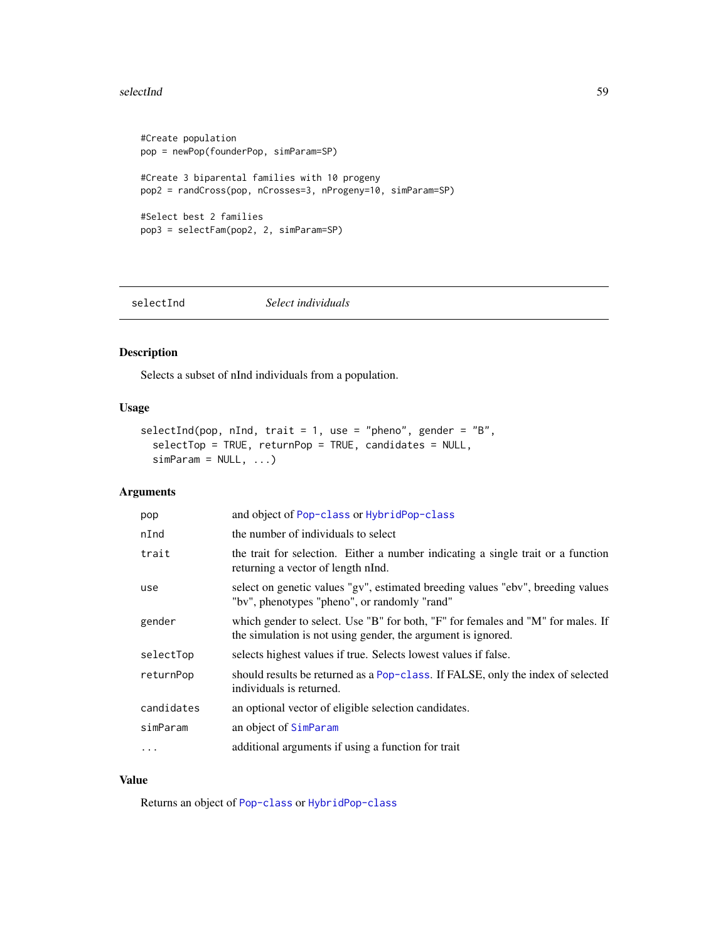#### selectInd 59

```
#Create population
pop = newPop(founderPop, simParam=SP)
#Create 3 biparental families with 10 progeny
pop2 = randCross(pop, nCrosses=3, nProgeny=10, simParam=SP)
#Select best 2 families
pop3 = selectFam(pop2, 2, simParam=SP)
```
<span id="page-58-0"></span>selectInd *Select individuals*

## Description

Selects a subset of nInd individuals from a population.

### Usage

```
selectInd(pop, nInd, trait = 1, use = "pheno", gender = "B",
  selectTop = TRUE, returnPop = TRUE, candidates = NULL,
  simParam = NULL, ...
```
## Arguments

| pop        | and object of Pop-class or HybridPop-class                                                                                                      |
|------------|-------------------------------------------------------------------------------------------------------------------------------------------------|
| nInd       | the number of individuals to select                                                                                                             |
| trait      | the trait for selection. Either a number indicating a single trait or a function<br>returning a vector of length nInd.                          |
| use        | select on genetic values "gv", estimated breeding values "ebv", breeding values<br>"bv", phenotypes "pheno", or randomly "rand"                 |
| gender     | which gender to select. Use "B" for both, "F" for females and "M" for males. If<br>the simulation is not using gender, the argument is ignored. |
| selectTop  | selects highest values if true. Selects lowest values if false.                                                                                 |
| returnPop  | should results be returned as a Pop-class. If FALSE, only the index of selected<br>individuals is returned.                                     |
| candidates | an optional vector of eligible selection candidates.                                                                                            |
| simParam   | an object of SimParam                                                                                                                           |
| $\cdot$    | additional arguments if using a function for trait                                                                                              |
|            |                                                                                                                                                 |

# Value

Returns an object of [Pop-class](#page-29-0) or [HybridPop-class](#page-18-0)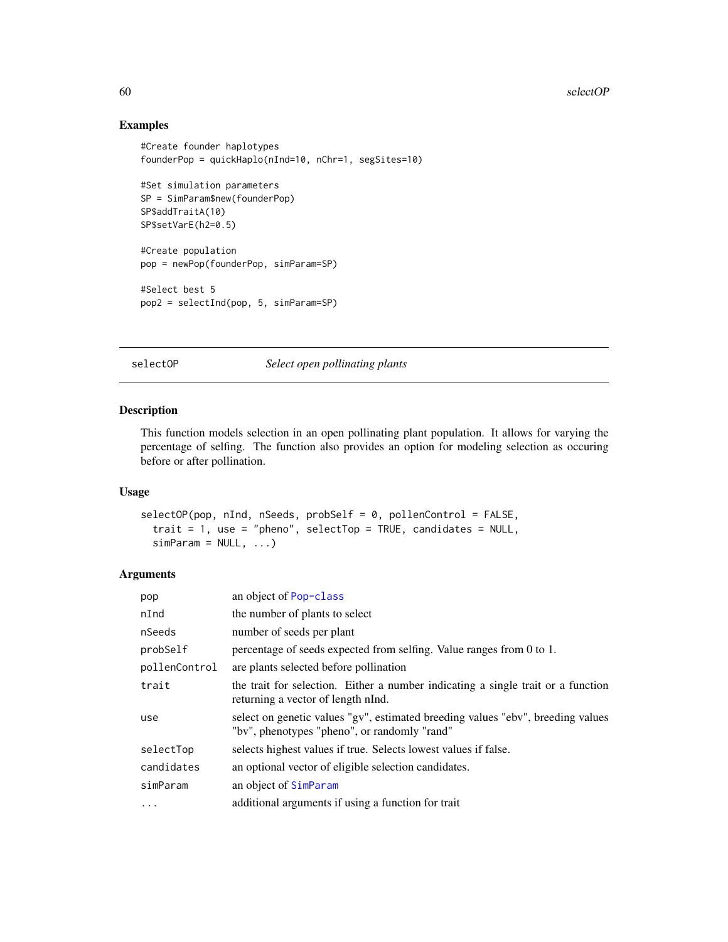# Examples

```
#Create founder haplotypes
founderPop = quickHaplo(nInd=10, nChr=1, segSites=10)
#Set simulation parameters
SP = SimParam$new(founderPop)
SP$addTraitA(10)
SP$setVarE(h2=0.5)
#Create population
pop = newPop(founderPop, simParam=SP)
#Select best 5
pop2 = selectInd(pop, 5, simParam=SP)
```
### selectOP *Select open pollinating plants*

### Description

This function models selection in an open pollinating plant population. It allows for varying the percentage of selfing. The function also provides an option for modeling selection as occuring before or after pollination.

### Usage

```
selectOP(pop, nInd, nSeeds, probSelf = 0, pollenControl = FALSE,
  trait = 1, use = "pheno", selectTop = TRUE, candidates = NULL,
 simParam = NULL, ...)
```

| pop           | an object of Pop-class                                                                                                          |
|---------------|---------------------------------------------------------------------------------------------------------------------------------|
| nInd          | the number of plants to select                                                                                                  |
| nSeeds        | number of seeds per plant                                                                                                       |
| probSelf      | percentage of seeds expected from selfing. Value ranges from 0 to 1.                                                            |
| pollenControl | are plants selected before pollination                                                                                          |
| trait         | the trait for selection. Either a number indicating a single trait or a function<br>returning a vector of length nInd.          |
| use           | select on genetic values "gv", estimated breeding values "ebv", breeding values<br>"bv", phenotypes "pheno", or randomly "rand" |
| selectTop     | selects highest values if true. Selects lowest values if false.                                                                 |
| candidates    | an optional vector of eligible selection candidates.                                                                            |
| simParam      | an object of SimParam                                                                                                           |
| $\cdots$      | additional arguments if using a function for trait                                                                              |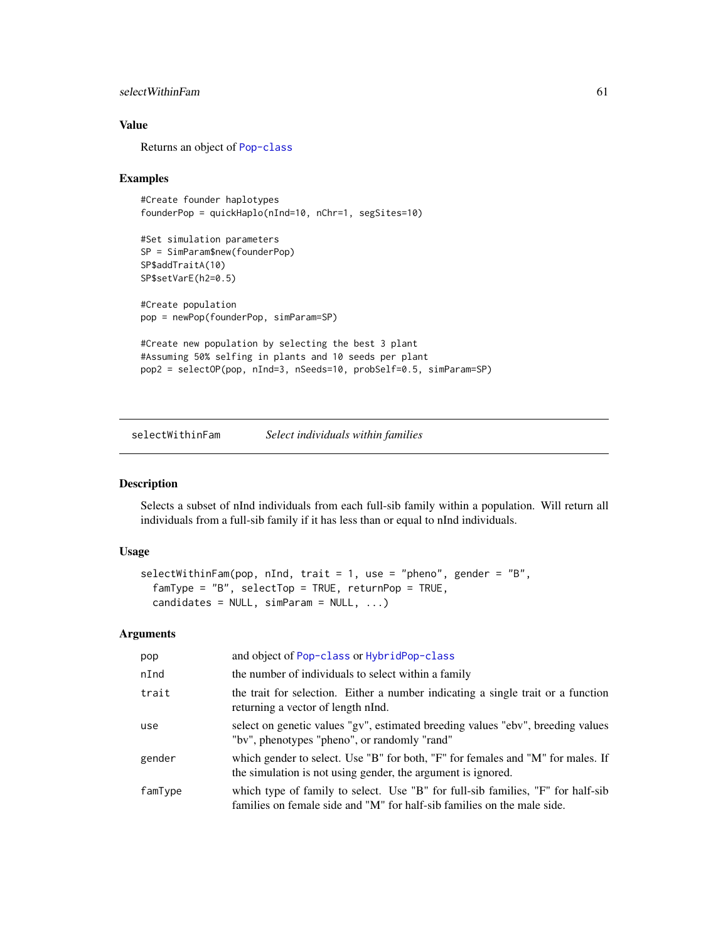### selectWithinFam 61

### Value

Returns an object of [Pop-class](#page-29-0)

### Examples

```
#Create founder haplotypes
founderPop = quickHaplo(nInd=10, nChr=1, segSites=10)
```

```
#Set simulation parameters
SP = SimParam$new(founderPop)
SP$addTraitA(10)
SP$setVarE(h2=0.5)
```

```
#Create population
pop = newPop(founderPop, simParam=SP)
```

```
#Create new population by selecting the best 3 plant
#Assuming 50% selfing in plants and 10 seeds per plant
pop2 = selectOP(pop, nInd=3, nSeeds=10, probSelf=0.5, simParam=SP)
```
selectWithinFam *Select individuals within families*

### Description

Selects a subset of nInd individuals from each full-sib family within a population. Will return all individuals from a full-sib family if it has less than or equal to nInd individuals.

#### Usage

```
selectWithinFam(pop, nInd, trait = 1, use = "pheno", gender = "B",
  famType = "B", selectTop = TRUE, returnPop = TRUE,candidates = NULL, simParam = NULL, ...
```

| pop     | and object of Pop-class or HybridPop-class                                                                                                                 |
|---------|------------------------------------------------------------------------------------------------------------------------------------------------------------|
| nInd    | the number of individuals to select within a family                                                                                                        |
| trait   | the trait for selection. Either a number indicating a single trait or a function<br>returning a vector of length nInd.                                     |
| use     | select on genetic values "gv", estimated breeding values "ebv", breeding values<br>"by", phenotypes "pheno", or randomly "rand"                            |
| gender  | which gender to select. Use "B" for both, "F" for females and "M" for males. If<br>the simulation is not using gender, the argument is ignored.            |
| famType | which type of family to select. Use "B" for full-sib families, "F" for half-sib<br>families on female side and "M" for half-sib families on the male side. |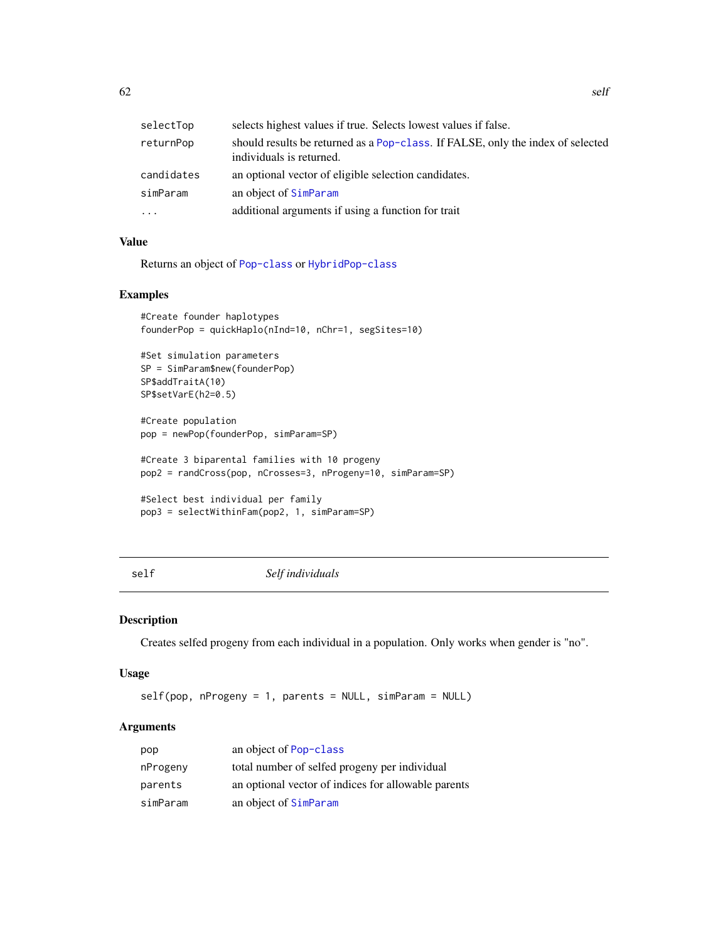| selectTop  | selects highest values if true. Selects lowest values if false.                                             |
|------------|-------------------------------------------------------------------------------------------------------------|
| returnPop  | should results be returned as a Pop-class. If FALSE, only the index of selected<br>individuals is returned. |
| candidates | an optional vector of eligible selection candidates.                                                        |
| simParam   | an object of SimParam                                                                                       |
| $\cdots$   | additional arguments if using a function for trait                                                          |

## Value

Returns an object of [Pop-class](#page-29-0) or [HybridPop-class](#page-18-0)

## Examples

```
#Create founder haplotypes
founderPop = quickHaplo(nInd=10, nChr=1, segSites=10)
```

```
#Set simulation parameters
SP = SimParam$new(founderPop)
SP$addTraitA(10)
SP$setVarE(h2=0.5)
```
#Create population pop = newPop(founderPop, simParam=SP)

#Create 3 biparental families with 10 progeny pop2 = randCross(pop, nCrosses=3, nProgeny=10, simParam=SP)

```
#Select best individual per family
pop3 = selectWithinFam(pop2, 1, simParam=SP)
```

```
self Self individuals
```
### Description

Creates selfed progeny from each individual in a population. Only works when gender is "no".

### Usage

```
self(pop, nProgramy = 1, parents = NULL, simParam = NULL)
```

| pop      | an object of Pop-class                              |
|----------|-----------------------------------------------------|
| nProgeny | total number of selfed progeny per individual       |
| parents  | an optional vector of indices for allowable parents |
| simParam | an object of SimParam                               |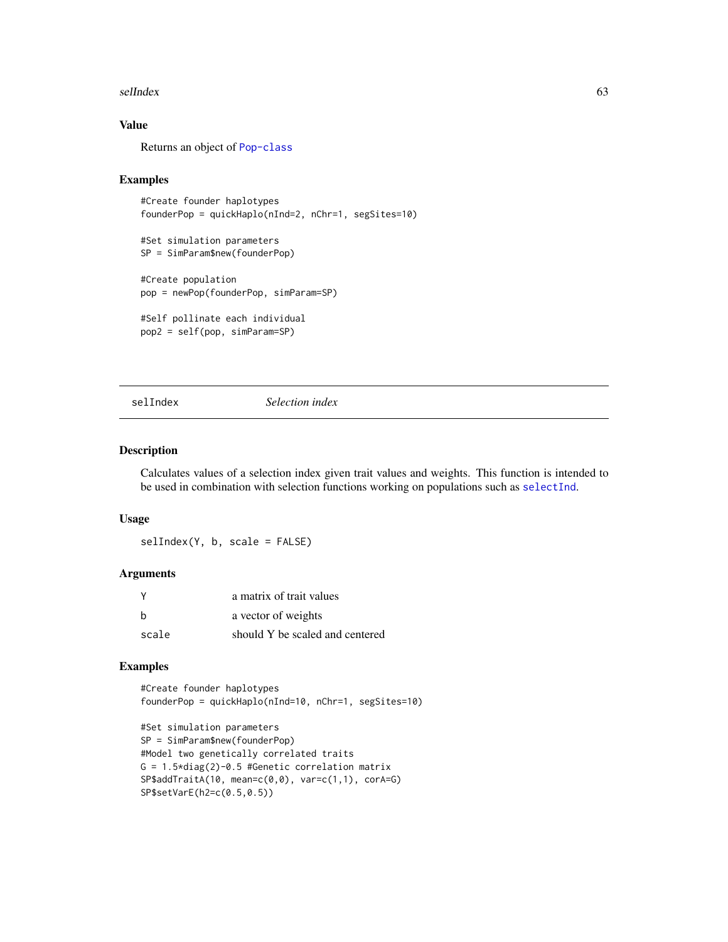#### selIndex 63

# Value

Returns an object of [Pop-class](#page-29-0)

### Examples

```
#Create founder haplotypes
founderPop = quickHaplo(nInd=2, nChr=1, segSites=10)
#Set simulation parameters
SP = SimParam$new(founderPop)
#Create population
pop = newPop(founderPop, simParam=SP)
#Self pollinate each individual
```

```
pop2 = self(pop, simParam=SP)
```
selIndex *Selection index*

### Description

Calculates values of a selection index given trait values and weights. This function is intended to be used in combination with selection functions working on populations such as [selectInd](#page-58-0).

#### Usage

selIndex(Y, b, scale = FALSE)

### Arguments

|       | a matrix of trait values        |
|-------|---------------------------------|
| - b   | a vector of weights             |
| scale | should Y be scaled and centered |

# Examples

#Create founder haplotypes founderPop = quickHaplo(nInd=10, nChr=1, segSites=10)

```
#Set simulation parameters
SP = SimParam$new(founderPop)
#Model two genetically correlated traits
G = 1.5 * diag(2) - 0.5 #Genetic correlation matrix
SP$addTraitA(10, mean=c(0,0), var=c(1,1), corA=G)
SP$setVarE(h2=c(0.5,0.5))
```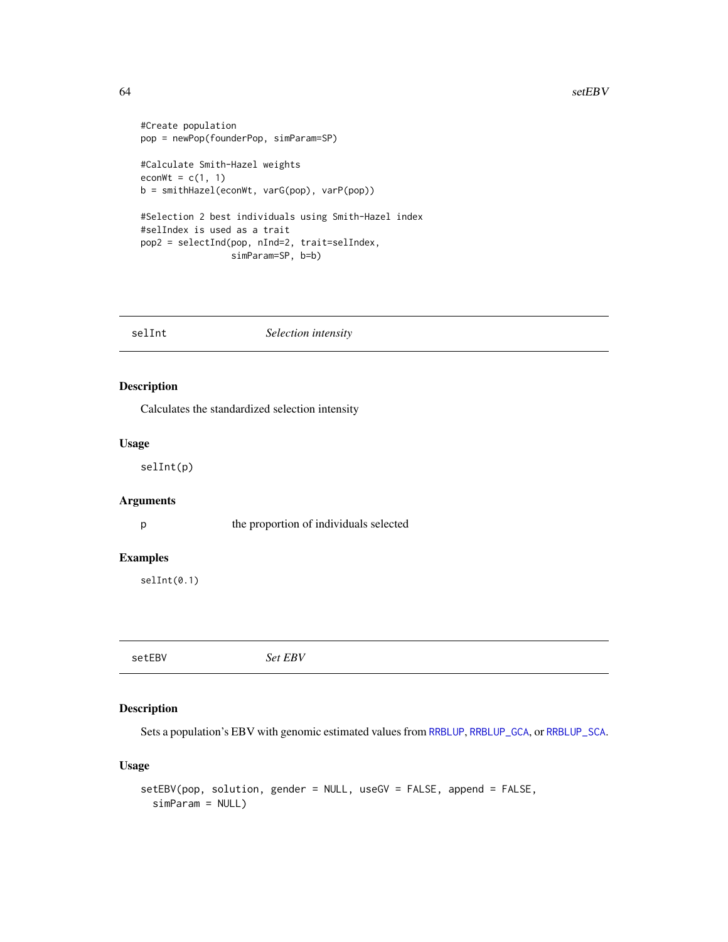#### $64$  setEBV

```
#Create population
pop = newPop(founderPop, simParam=SP)
#Calculate Smith-Hazel weights
econWt = c(1, 1)b = smithHazel(econWt, varG(pop), varP(pop))
#Selection 2 best individuals using Smith-Hazel index
#selIndex is used as a trait
pop2 = selectInd(pop, nInd=2, trait=selIndex,
                 simParam=SP, b=b)
```
selInt *Selection intensity* 

## Description

Calculates the standardized selection intensity

#### Usage

selInt(p)

### Arguments

p the proportion of individuals selected

### Examples

selInt(0.1)

setEBV *Set EBV*

### Description

Sets a population's EBV with genomic estimated values from [RRBLUP](#page-42-0), [RRBLUP\\_GCA](#page-48-0), or [RRBLUP\\_SCA](#page-50-0).

```
setEBV(pop, solution, gender = NULL, useGV = FALSE, append = FALSE,
  simParam = NULL)
```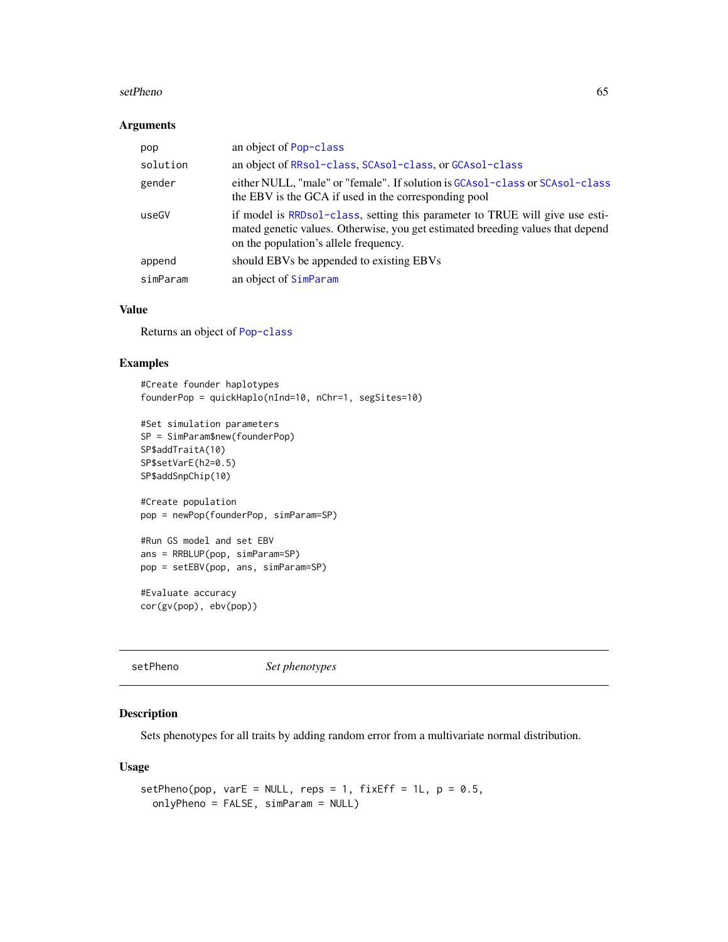#### setPheno 65

### Arguments

| pop      | an object of Pop-class                                                                                                                                                                                  |
|----------|---------------------------------------------------------------------------------------------------------------------------------------------------------------------------------------------------------|
| solution | an object of RRsol-class, SCAsol-class, or GCAsol-class                                                                                                                                                 |
| gender   | either NULL, "male" or "female". If solution is GCAsol-class or SCAsol-class<br>the EBV is the GCA if used in the corresponding pool                                                                    |
| useGV    | if model is RRDso1-class, setting this parameter to TRUE will give use esti-<br>mated genetic values. Otherwise, you get estimated breeding values that depend<br>on the population's allele frequency. |
| append   | should EBVs be appended to existing EBVs                                                                                                                                                                |
| simParam | an object of SimParam                                                                                                                                                                                   |

### Value

Returns an object of [Pop-class](#page-29-0)

### Examples

```
#Create founder haplotypes
founderPop = quickHaplo(nInd=10, nChr=1, segSites=10)
#Set simulation parameters
SP = SimParam$new(founderPop)
SP$addTraitA(10)
SP$setVarE(h2=0.5)
SP$addSnpChip(10)
```

```
#Create population
pop = newPop(founderPop, simParam=SP)
```

```
#Run GS model and set EBV
ans = RRBLUP(pop, simParam=SP)
pop = setEBV(pop, ans, simParam=SP)
```
#Evaluate accuracy cor(gv(pop), ebv(pop))

setPheno *Set phenotypes*

### Description

Sets phenotypes for all traits by adding random error from a multivariate normal distribution.

```
setPheno(pop, varE = NULL, reps = 1, fixEff = 1L, p = 0.5,onlyPheno = FALSE, simParam = NULL)
```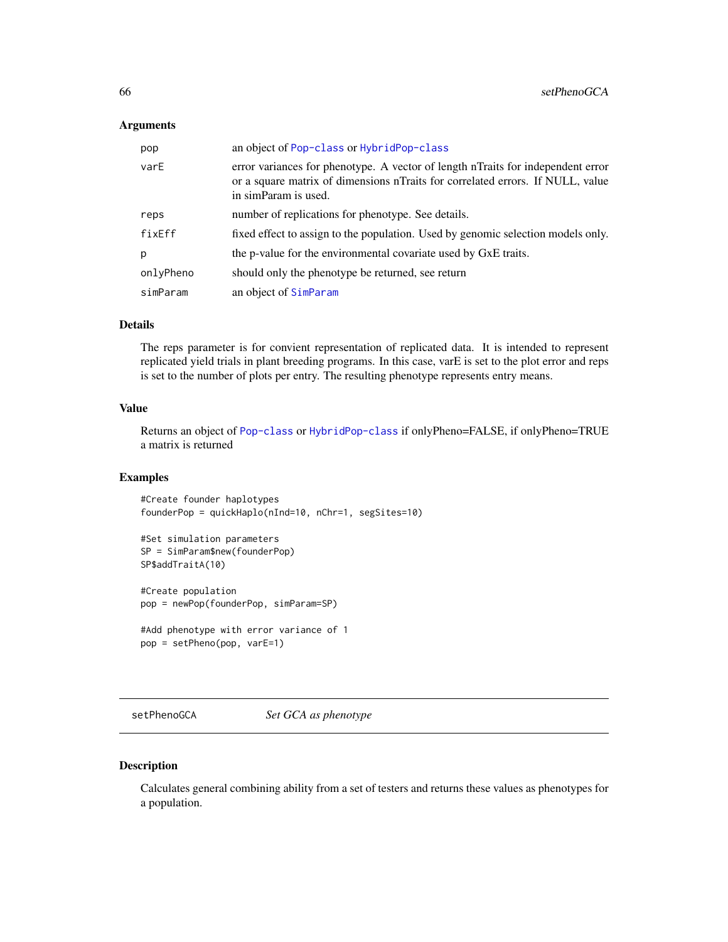#### Arguments

| pop       | an object of Pop-class or HybridPop-class                                                                                                                                                   |
|-----------|---------------------------------------------------------------------------------------------------------------------------------------------------------------------------------------------|
| varE      | error variances for phenotype. A vector of length nTraits for independent error<br>or a square matrix of dimensions not arise for correlated errors. If NULL, value<br>in simParam is used. |
| reps      | number of replications for phenotype. See details.                                                                                                                                          |
| fixEff    | fixed effect to assign to the population. Used by genomic selection models only.                                                                                                            |
| р         | the p-value for the environmental covariate used by GxE traits.                                                                                                                             |
| onlyPheno | should only the phenotype be returned, see return                                                                                                                                           |
| simParam  | an object of SimParam                                                                                                                                                                       |

### Details

The reps parameter is for convient representation of replicated data. It is intended to represent replicated yield trials in plant breeding programs. In this case, varE is set to the plot error and reps is set to the number of plots per entry. The resulting phenotype represents entry means.

#### Value

Returns an object of [Pop-class](#page-29-0) or [HybridPop-class](#page-18-0) if onlyPheno=FALSE, if onlyPheno=TRUE a matrix is returned

## Examples

```
#Create founder haplotypes
founderPop = quickHaplo(nInd=10, nChr=1, segSites=10)
```

```
#Set simulation parameters
SP = SimParam$new(founderPop)
SP$addTraitA(10)
```
#Create population pop = newPop(founderPop, simParam=SP)

```
#Add phenotype with error variance of 1
pop = setPheno(pop, varE=1)
```
setPhenoGCA *Set GCA as phenotype*

### Description

Calculates general combining ability from a set of testers and returns these values as phenotypes for a population.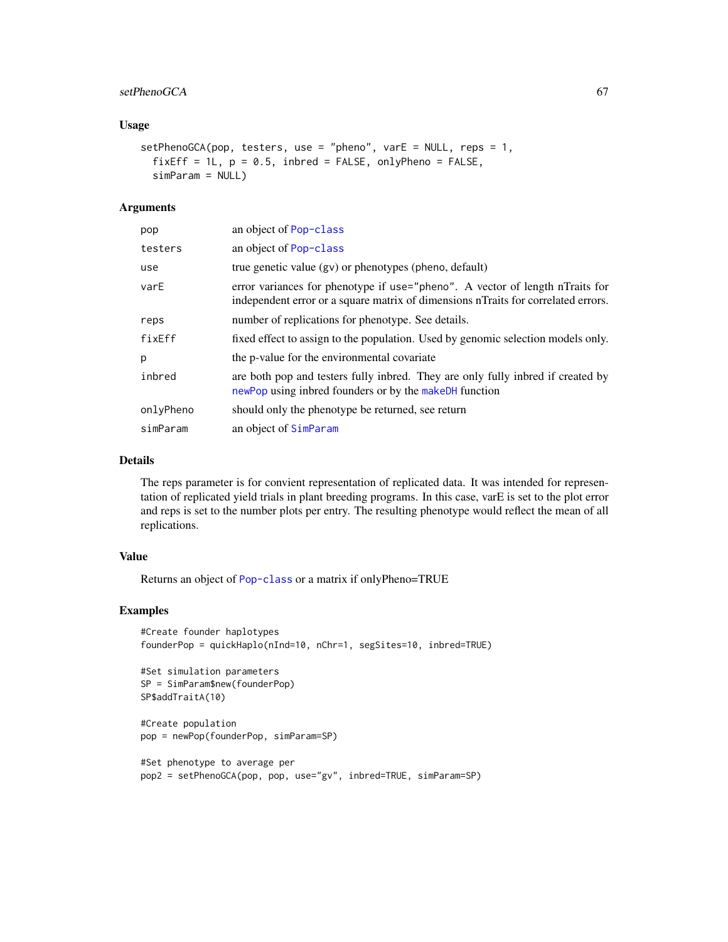## setPhenoGCA 67

### Usage

```
setPhenoGCA(pop, testers, use = "pheno", varE = NULL, reps = 1,fixEff = 1L, p = 0.5, inbred = FALSE, onlyPheno = FALSE,
  simParam = NULL)
```
### Arguments

| pop       | an object of Pop-class                                                                                                                                            |
|-----------|-------------------------------------------------------------------------------------------------------------------------------------------------------------------|
| testers   | an object of Pop-class                                                                                                                                            |
| use       | true genetic value (gv) or phenotypes (pheno, default)                                                                                                            |
| varE      | error variances for phenotype if use="pheno". A vector of length nTraits for<br>independent error or a square matrix of dimensions nTraits for correlated errors. |
| reps      | number of replications for phenotype. See details.                                                                                                                |
| fixEff    | fixed effect to assign to the population. Used by genomic selection models only.                                                                                  |
| p         | the p-value for the environmental covariate                                                                                                                       |
| inbred    | are both pop and testers fully inbred. They are only fully inbred if created by<br>newPop using inbred founders or by the makeDH function                         |
| onlvPheno | should only the phenotype be returned, see return                                                                                                                 |
| simParam  | an object of SimParam                                                                                                                                             |

# Details

The reps parameter is for convient representation of replicated data. It was intended for representation of replicated yield trials in plant breeding programs. In this case, varE is set to the plot error and reps is set to the number plots per entry. The resulting phenotype would reflect the mean of all replications.

## Value

Returns an object of [Pop-class](#page-29-0) or a matrix if onlyPheno=TRUE

```
#Create founder haplotypes
founderPop = quickHaplo(nInd=10, nChr=1, segSites=10, inbred=TRUE)
```

```
#Set simulation parameters
SP = SimParam$new(founderPop)
SP$addTraitA(10)
```

```
#Create population
pop = newPop(founderPop, simParam=SP)
```

```
#Set phenotype to average per
pop2 = setPhenoGCA(pop, pop, use="gv", inbred=TRUE, simParam=SP)
```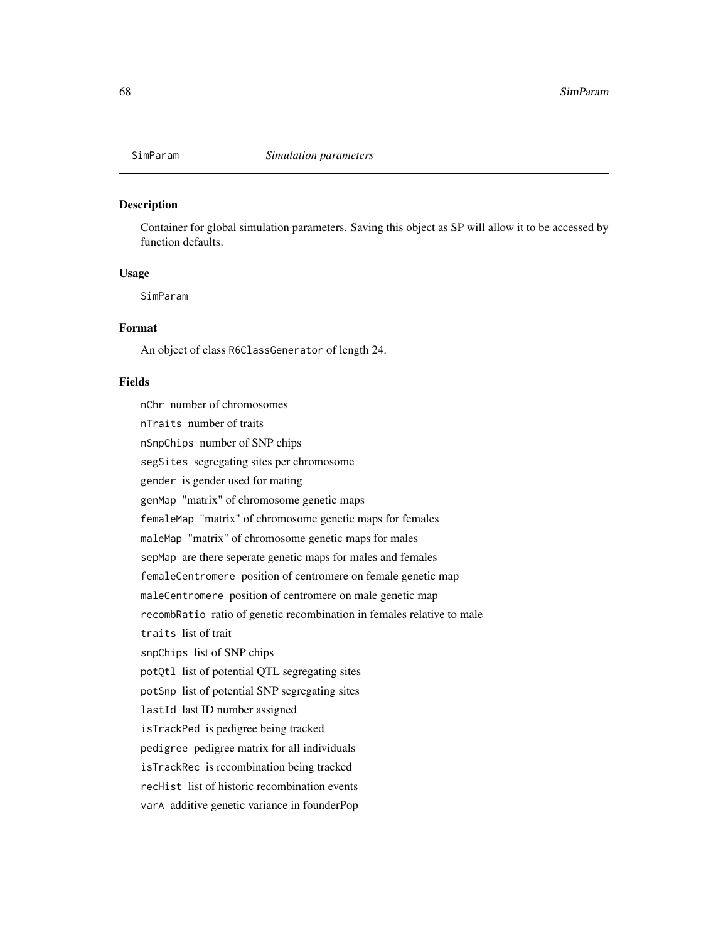<span id="page-67-0"></span>

### **Description**

Container for global simulation parameters. Saving this object as SP will allow it to be accessed by function defaults.

### Usage

SimParam

### Format

An object of class R6ClassGenerator of length 24.

#### Fields

nChr number of chromosomes nTraits number of traits nSnpChips number of SNP chips segSites segregating sites per chromosome gender is gender used for mating genMap "matrix" of chromosome genetic maps femaleMap "matrix" of chromosome genetic maps for females maleMap "matrix" of chromosome genetic maps for males sepMap are there seperate genetic maps for males and females femaleCentromere position of centromere on female genetic map maleCentromere position of centromere on male genetic map recombRatio ratio of genetic recombination in females relative to male traits list of trait snpChips list of SNP chips potQtl list of potential QTL segregating sites potSnp list of potential SNP segregating sites lastId last ID number assigned isTrackPed is pedigree being tracked pedigree pedigree matrix for all individuals isTrackRec is recombination being tracked recHist list of historic recombination events varA additive genetic variance in founderPop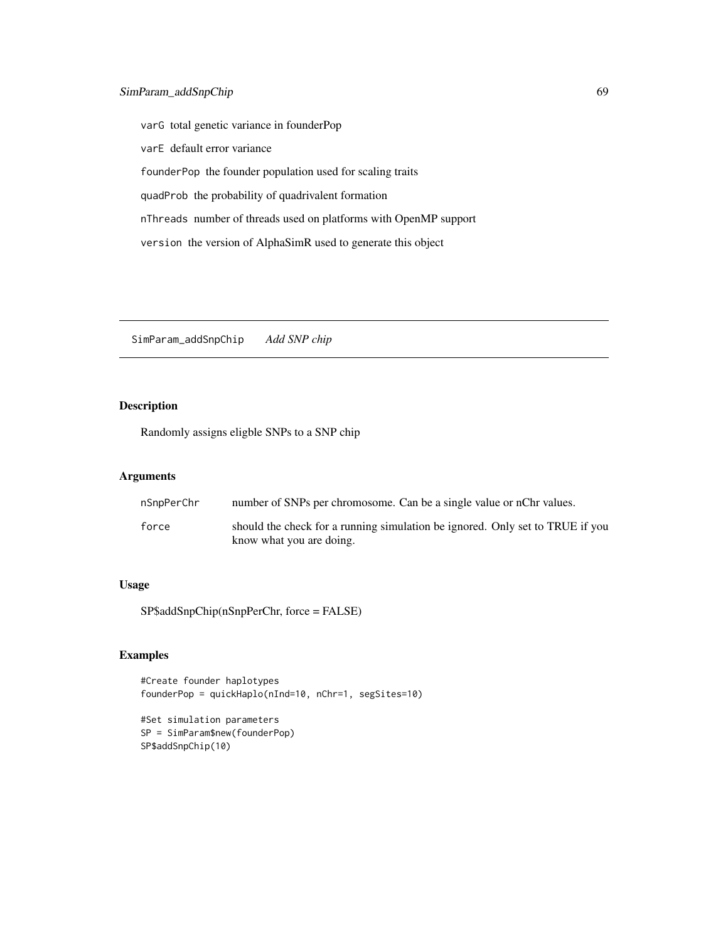varG total genetic variance in founderPop varE default error variance founderPop the founder population used for scaling traits quadProb the probability of quadrivalent formation nThreads number of threads used on platforms with OpenMP support version the version of AlphaSimR used to generate this object

SimParam\_addSnpChip *Add SNP chip*

## Description

Randomly assigns eligble SNPs to a SNP chip

## Arguments

| nSnɒPerChr | number of SNPs per chromosome. Can be a single value or nChr values.                                      |
|------------|-----------------------------------------------------------------------------------------------------------|
| force      | should the check for a running simulation be ignored. Only set to TRUE if you<br>know what you are doing. |

## Usage

SP\$addSnpChip(nSnpPerChr, force = FALSE)

```
#Create founder haplotypes
founderPop = quickHaplo(nInd=10, nChr=1, segSites=10)
```

```
#Set simulation parameters
SP = SimParam$new(founderPop)
SP$addSnpChip(10)
```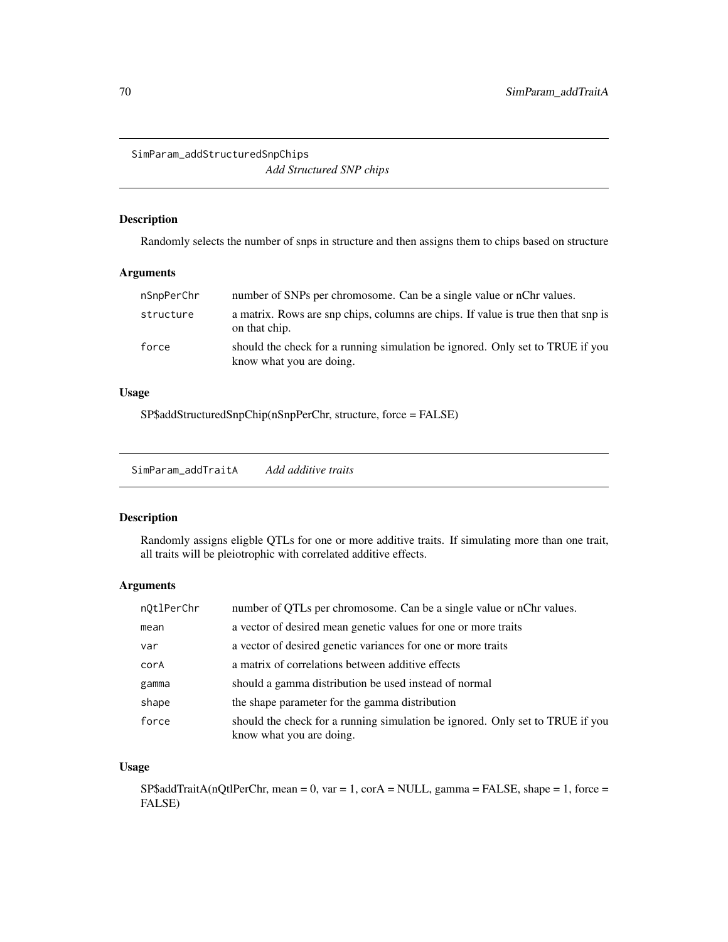SimParam\_addStructuredSnpChips *Add Structured SNP chips*

Description

Randomly selects the number of snps in structure and then assigns them to chips based on structure

#### Arguments

| nSnpPerChr | number of SNPs per chromosome. Can be a single value or nChr values.                                      |
|------------|-----------------------------------------------------------------------------------------------------------|
| structure  | a matrix. Rows are snp chips, columns are chips. If value is true then that snp is<br>on that chip.       |
| force      | should the check for a running simulation be ignored. Only set to TRUE if you<br>know what you are doing. |

### Usage

SP\$addStructuredSnpChip(nSnpPerChr, structure, force = FALSE)

SimParam\_addTraitA *Add additive traits*

### Description

Randomly assigns eligble QTLs for one or more additive traits. If simulating more than one trait, all traits will be pleiotrophic with correlated additive effects.

### Arguments

| nQtlPerChr | number of QTLs per chromosome. Can be a single value or nChr values.                                      |
|------------|-----------------------------------------------------------------------------------------------------------|
| mean       | a vector of desired mean genetic values for one or more traits                                            |
| var        | a vector of desired genetic variances for one or more traits                                              |
| corA       | a matrix of correlations between additive effects                                                         |
| gamma      | should a gamma distribution be used instead of normal                                                     |
| shape      | the shape parameter for the gamma distribution                                                            |
| force      | should the check for a running simulation be ignored. Only set to TRUE if you<br>know what you are doing. |

# Usage

 $SP$addTrainA(nQtPerChr, mean = 0, var = 1, corA = NULL, gamma = FALSE, shape = 1, force =$ FALSE)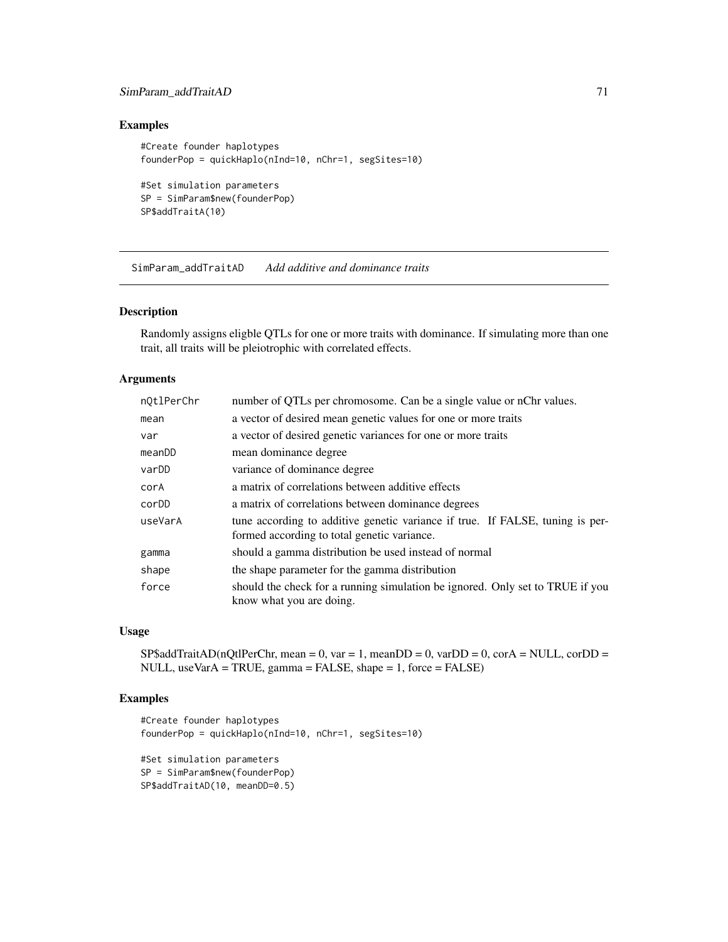## SimParam\_addTraitAD 71

### Examples

```
#Create founder haplotypes
founderPop = quickHaplo(nInd=10, nChr=1, segSites=10)
#Set simulation parameters
```

```
SP = SimParam$new(founderPop)
SP$addTraitA(10)
```
SimParam\_addTraitAD *Add additive and dominance traits*

### Description

Randomly assigns eligble QTLs for one or more traits with dominance. If simulating more than one trait, all traits will be pleiotrophic with correlated effects.

# Arguments

| n0tlPerChr | number of QTLs per chromosome. Can be a single value or nChr values.                                                         |
|------------|------------------------------------------------------------------------------------------------------------------------------|
| mean       | a vector of desired mean genetic values for one or more traits                                                               |
| var        | a vector of desired genetic variances for one or more traits                                                                 |
| meanDD     | mean dominance degree                                                                                                        |
| varDD      | variance of dominance degree                                                                                                 |
| corA       | a matrix of correlations between additive effects                                                                            |
| corDD      | a matrix of correlations between dominance degrees                                                                           |
| useVarA    | tune according to additive genetic variance if true. If FALSE, tuning is per-<br>formed according to total genetic variance. |
| gamma      | should a gamma distribution be used instead of normal                                                                        |
| shape      | the shape parameter for the gamma distribution                                                                               |
| force      | should the check for a running simulation be ignored. Only set to TRUE if you<br>know what you are doing.                    |

### Usage

 $SP$addTrainAD(nQtIPerChr, mean = 0, var = 1, meanDD = 0, varDD = 0, corA = NULL, corDD =$ NULL, useVarA = TRUE, gamma = FALSE, shape = 1, force = FALSE)

```
#Create founder haplotypes
founderPop = quickHaplo(nInd=10, nChr=1, segSites=10)
#Set simulation parameters
SP = SimParam$new(founderPop)
SP$addTraitAD(10, meanDD=0.5)
```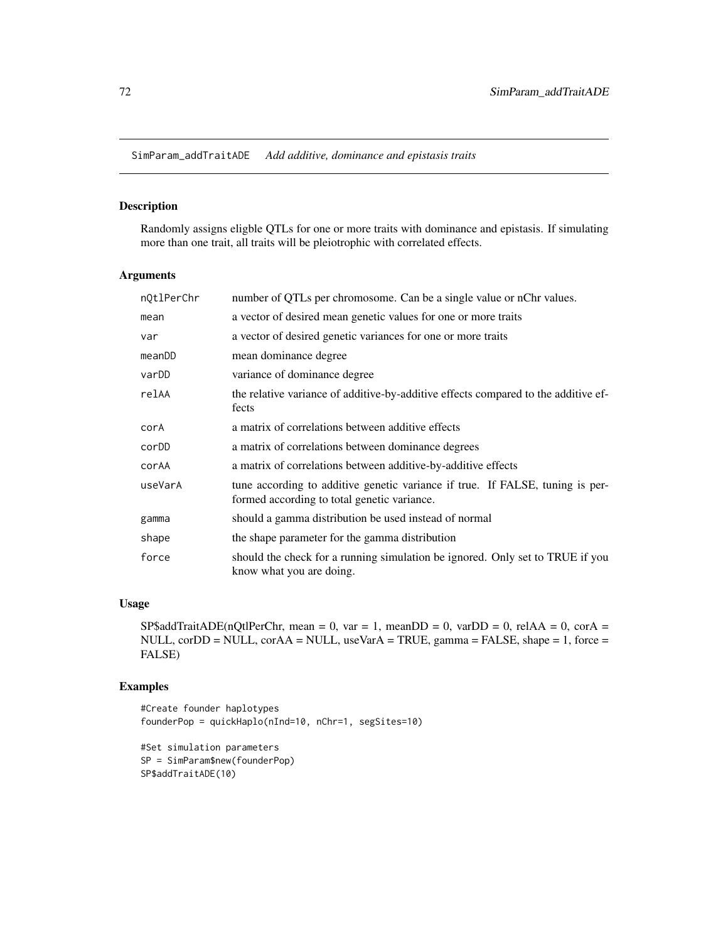SimParam\_addTraitADE *Add additive, dominance and epistasis traits*

## Description

Randomly assigns eligble QTLs for one or more traits with dominance and epistasis. If simulating more than one trait, all traits will be pleiotrophic with correlated effects.

## Arguments

| nQtlPerChr | number of QTLs per chromosome. Can be a single value or nChr values.                                                         |
|------------|------------------------------------------------------------------------------------------------------------------------------|
| mean       | a vector of desired mean genetic values for one or more traits                                                               |
| var        | a vector of desired genetic variances for one or more traits                                                                 |
| meanDD     | mean dominance degree                                                                                                        |
| varDD      | variance of dominance degree                                                                                                 |
| relAA      | the relative variance of additive-by-additive effects compared to the additive ef-<br>fects                                  |
| corA       | a matrix of correlations between additive effects                                                                            |
| corDD      | a matrix of correlations between dominance degrees                                                                           |
| corAA      | a matrix of correlations between additive-by-additive effects                                                                |
| useVarA    | tune according to additive genetic variance if true. If FALSE, tuning is per-<br>formed according to total genetic variance. |
| gamma      | should a gamma distribution be used instead of normal                                                                        |
| shape      | the shape parameter for the gamma distribution                                                                               |
| force      | should the check for a running simulation be ignored. Only set to TRUE if you<br>know what you are doing.                    |

### Usage

SP\$addTraitADE(nQtlPerChr, mean = 0, var = 1, meanDD = 0, varDD = 0, relAA = 0, corA = NULL, corDD = NULL, corAA = NULL, useVarA = TRUE, gamma = FALSE, shape = 1, force = FALSE)

```
#Create founder haplotypes
founderPop = quickHaplo(nInd=10, nChr=1, segSites=10)
```

```
#Set simulation parameters
SP = SimParam$new(founderPop)
SP$addTraitADE(10)
```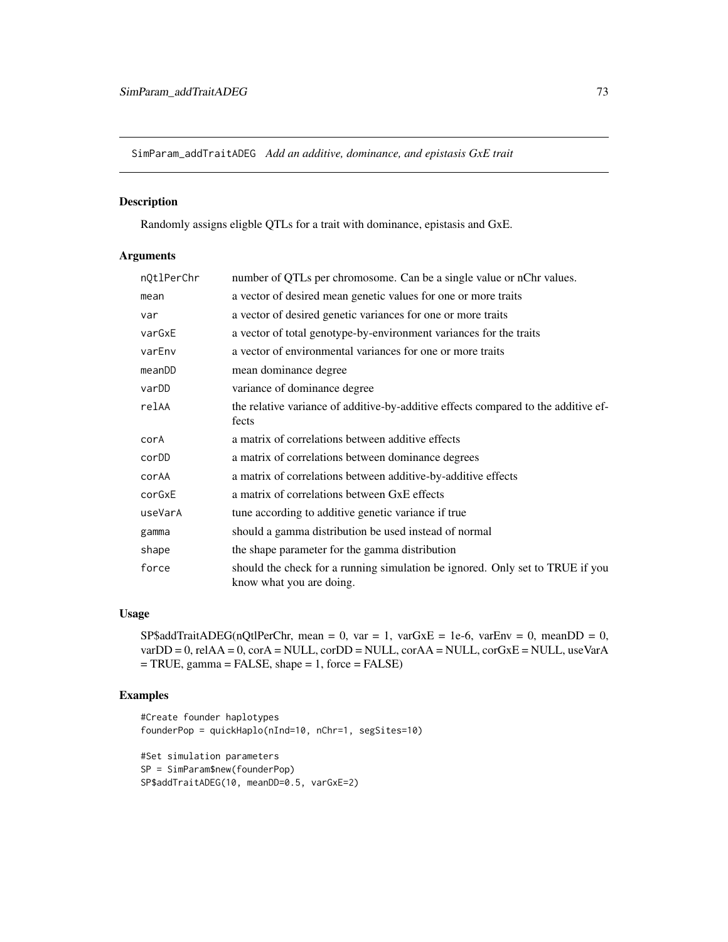<span id="page-72-0"></span>SimParam\_addTraitADEG *Add an additive, dominance, and epistasis GxE trait*

## Description

Randomly assigns eligble QTLs for a trait with dominance, epistasis and GxE.

## Arguments

| nQtlPerChr | number of QTLs per chromosome. Can be a single value or nChr values.                                      |
|------------|-----------------------------------------------------------------------------------------------------------|
| mean       | a vector of desired mean genetic values for one or more traits                                            |
| var        | a vector of desired genetic variances for one or more traits                                              |
| varGxE     | a vector of total genotype-by-environment variances for the traits                                        |
| varEnv     | a vector of environmental variances for one or more traits                                                |
| meanDD     | mean dominance degree                                                                                     |
| varDD      | variance of dominance degree                                                                              |
| relAA      | the relative variance of additive-by-additive effects compared to the additive ef-<br>fects               |
| corA       | a matrix of correlations between additive effects                                                         |
| corDD      | a matrix of correlations between dominance degrees                                                        |
| corAA      | a matrix of correlations between additive-by-additive effects                                             |
| corGxE     | a matrix of correlations between GxE effects                                                              |
| useVarA    | tune according to additive genetic variance if true                                                       |
| gamma      | should a gamma distribution be used instead of normal                                                     |
| shape      | the shape parameter for the gamma distribution                                                            |
| force      | should the check for a running simulation be ignored. Only set to TRUE if you<br>know what you are doing. |

## Usage

SP\$addTraitADEG(nQtlPerChr, mean = 0, var = 1, varGxE = 1e-6, varEnv = 0, meanDD = 0, varDD = 0, relAA = 0, corA = NULL, corDD = NULL, corAA = NULL, corGxE = NULL, useVarA = TRUE, gamma = FALSE, shape = 1, force = FALSE)

```
#Create founder haplotypes
founderPop = quickHaplo(nInd=10, nChr=1, segSites=10)
#Set simulation parameters
SP = SimParam$new(founderPop)
SP$addTraitADEG(10, meanDD=0.5, varGxE=2)
```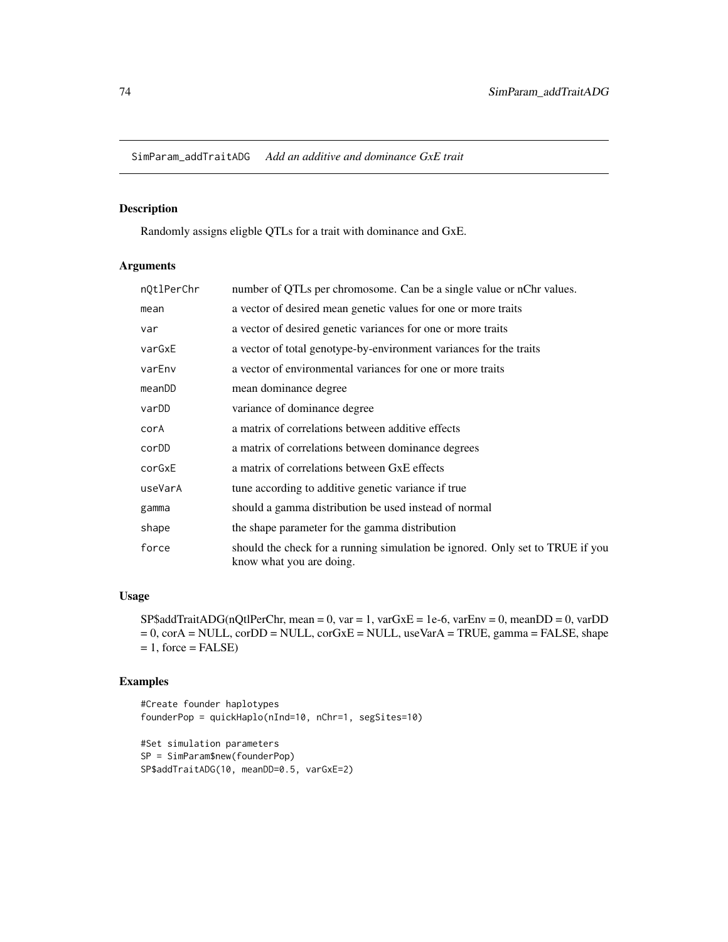<span id="page-73-0"></span>SimParam\_addTraitADG *Add an additive and dominance GxE trait*

## Description

Randomly assigns eligble QTLs for a trait with dominance and GxE.

#### Arguments

| n0tlPerChr | number of QTLs per chromosome. Can be a single value or nChr values.                                      |
|------------|-----------------------------------------------------------------------------------------------------------|
| mean       | a vector of desired mean genetic values for one or more traits                                            |
| var        | a vector of desired genetic variances for one or more traits                                              |
| varGxE     | a vector of total genotype-by-environment variances for the traits                                        |
| varEnv     | a vector of environmental variances for one or more traits                                                |
| meanDD     | mean dominance degree                                                                                     |
| varDD      | variance of dominance degree                                                                              |
| corA       | a matrix of correlations between additive effects                                                         |
| corDD      | a matrix of correlations between dominance degrees                                                        |
| corGxE     | a matrix of correlations between GxE effects                                                              |
| useVarA    | tune according to additive genetic variance if true                                                       |
| gamma      | should a gamma distribution be used instead of normal                                                     |
| shape      | the shape parameter for the gamma distribution                                                            |
| force      | should the check for a running simulation be ignored. Only set to TRUE if you<br>know what you are doing. |

## Usage

 $SPSaddTrainADG(nQtPerChr, mean = 0, var = 1, varGxE = 1e-6, varEnv = 0, meanDD = 0, varDD$ = 0, corA = NULL, corDD = NULL, corGxE = NULL, useVarA = TRUE, gamma = FALSE, shape  $= 1$ , force  $=$  FALSE)

#### Examples

#Create founder haplotypes founderPop = quickHaplo(nInd=10, nChr=1, segSites=10)

```
#Set simulation parameters
SP = SimParam$new(founderPop)
SP$addTraitADG(10, meanDD=0.5, varGxE=2)
```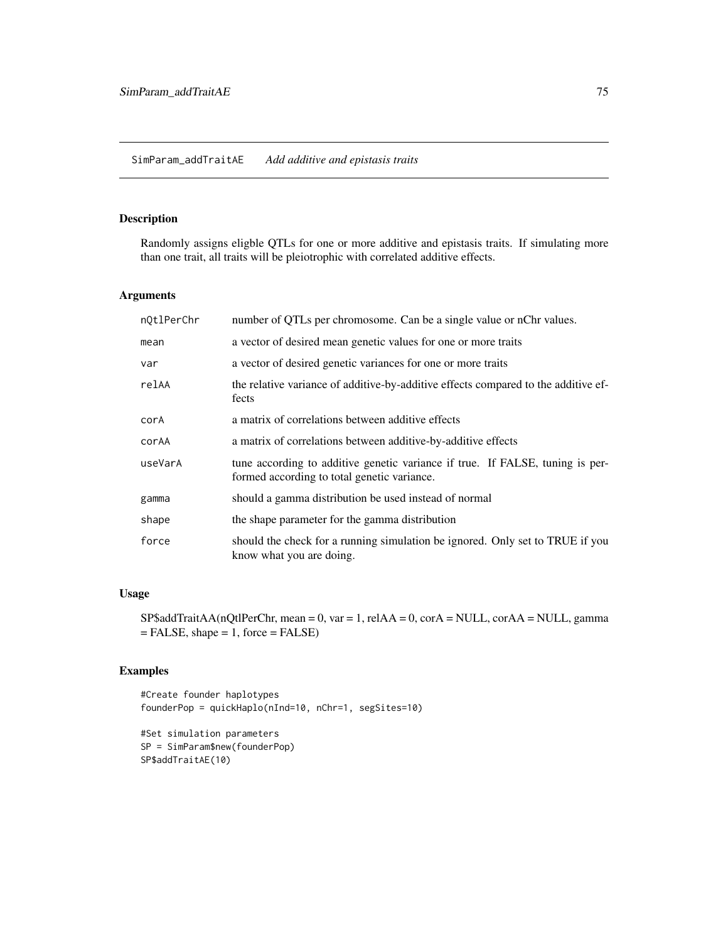## <span id="page-74-0"></span>Description

Randomly assigns eligble QTLs for one or more additive and epistasis traits. If simulating more than one trait, all traits will be pleiotrophic with correlated additive effects.

## Arguments

| number of QTLs per chromosome. Can be a single value or nChr values.                                                         |
|------------------------------------------------------------------------------------------------------------------------------|
| a vector of desired mean genetic values for one or more traits                                                               |
| a vector of desired genetic variances for one or more traits                                                                 |
| the relative variance of additive-by-additive effects compared to the additive ef-<br>fects                                  |
| a matrix of correlations between additive effects                                                                            |
| a matrix of correlations between additive-by-additive effects                                                                |
| tune according to additive genetic variance if true. If FALSE, tuning is per-<br>formed according to total genetic variance. |
| should a gamma distribution be used instead of normal                                                                        |
| the shape parameter for the gamma distribution                                                                               |
| should the check for a running simulation be ignored. Only set to TRUE if you<br>know what you are doing.                    |
|                                                                                                                              |

## Usage

 $SP$addTrainAA(nQtIPerChr, mean = 0, var = 1, relAA = 0, corA = NULL, corAA = NULL, gamma$  $=$  FALSE, shape  $= 1$ , force  $=$  FALSE)

## Examples

#Create founder haplotypes founderPop = quickHaplo(nInd=10, nChr=1, segSites=10)

```
#Set simulation parameters
SP = SimParam$new(founderPop)
SP$addTraitAE(10)
```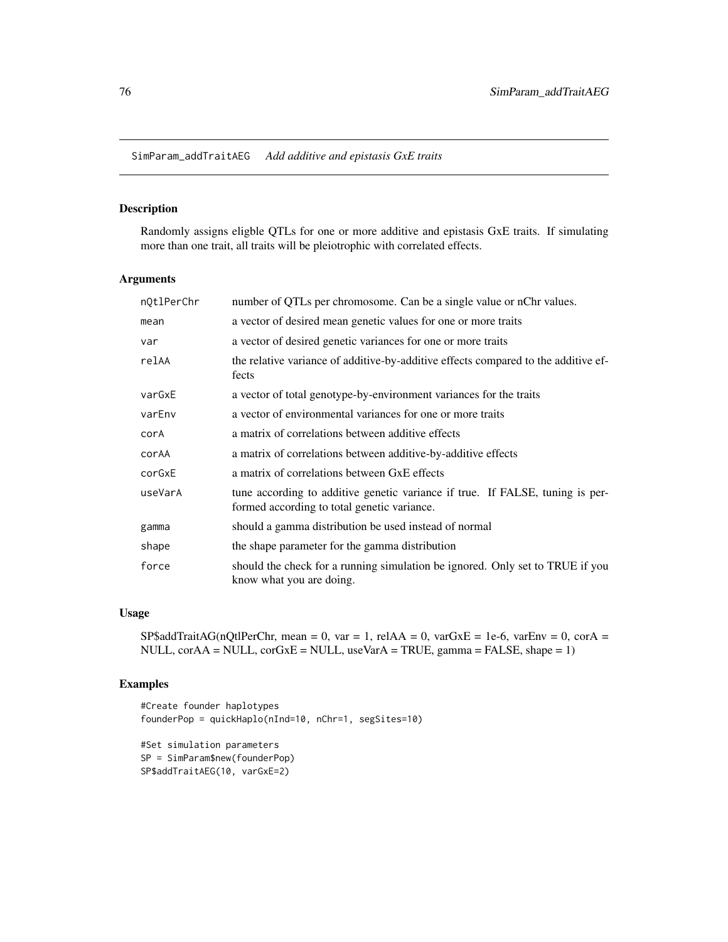<span id="page-75-0"></span>SimParam\_addTraitAEG *Add additive and epistasis GxE traits*

## Description

Randomly assigns eligble QTLs for one or more additive and epistasis GxE traits. If simulating more than one trait, all traits will be pleiotrophic with correlated effects.

#### Arguments

| nQtlPerChr | number of QTLs per chromosome. Can be a single value or nChr values.                                                         |
|------------|------------------------------------------------------------------------------------------------------------------------------|
| mean       | a vector of desired mean genetic values for one or more traits                                                               |
| var        | a vector of desired genetic variances for one or more traits                                                                 |
| relAA      | the relative variance of additive-by-additive effects compared to the additive ef-<br>fects                                  |
| varGxE     | a vector of total genotype-by-environment variances for the traits                                                           |
| varEnv     | a vector of environmental variances for one or more traits                                                                   |
| corA       | a matrix of correlations between additive effects                                                                            |
| corAA      | a matrix of correlations between additive-by-additive effects                                                                |
| corGxE     | a matrix of correlations between GxE effects                                                                                 |
| useVarA    | tune according to additive genetic variance if true. If FALSE, tuning is per-<br>formed according to total genetic variance. |
| gamma      | should a gamma distribution be used instead of normal                                                                        |
| shape      | the shape parameter for the gamma distribution                                                                               |
| force      | should the check for a running simulation be ignored. Only set to TRUE if you<br>know what you are doing.                    |

## Usage

SP\$addTraitAG(nQtlPerChr, mean = 0, var = 1, relAA = 0, varGxE = 1e-6, varEnv = 0, corA = NULL, corAA = NULL, corGxE = NULL, useVarA = TRUE, gamma = FALSE, shape = 1)

```
#Create founder haplotypes
founderPop = quickHaplo(nInd=10, nChr=1, segSites=10)
#Set simulation parameters
```

```
SP = SimParam$new(founderPop)
SP$addTraitAEG(10, varGxE=2)
```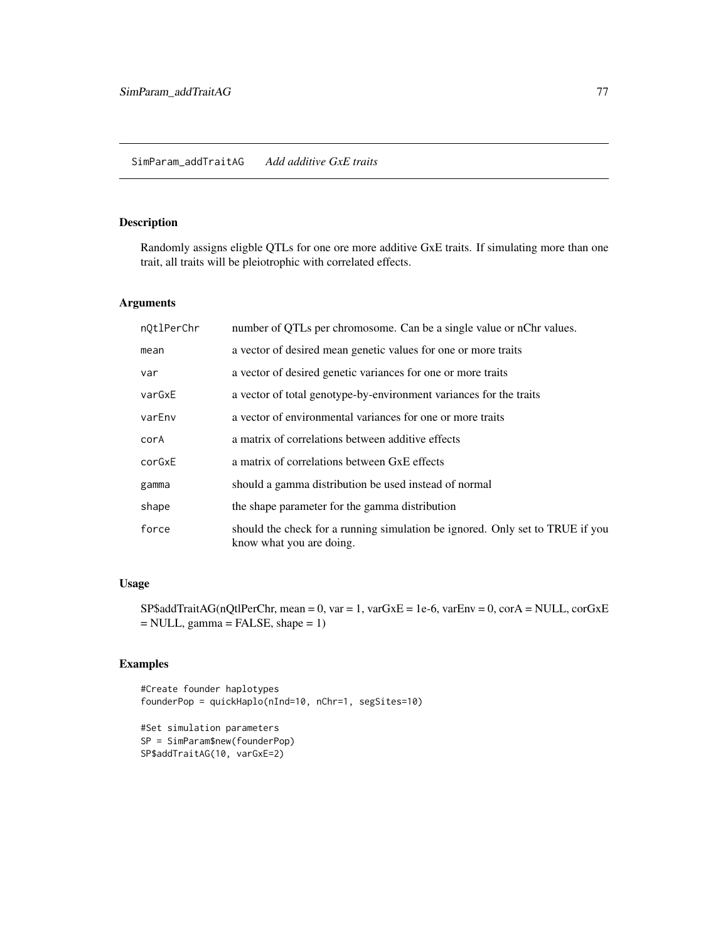## <span id="page-76-0"></span>SimParam\_addTraitAG *Add additive GxE traits*

## Description

Randomly assigns eligble QTLs for one ore more additive GxE traits. If simulating more than one trait, all traits will be pleiotrophic with correlated effects.

#### Arguments

| nQtlPerChr | number of QTLs per chromosome. Can be a single value or nChr values.                                      |
|------------|-----------------------------------------------------------------------------------------------------------|
| mean       | a vector of desired mean genetic values for one or more traits                                            |
| var        | a vector of desired genetic variances for one or more traits                                              |
| varGxE     | a vector of total genotype-by-environment variances for the traits                                        |
| varEnv     | a vector of environmental variances for one or more traits                                                |
| corA       | a matrix of correlations between additive effects                                                         |
| corGxE     | a matrix of correlations between GxE effects                                                              |
| gamma      | should a gamma distribution be used instead of normal                                                     |
| shape      | the shape parameter for the gamma distribution                                                            |
| force      | should the check for a running simulation be ignored. Only set to TRUE if you<br>know what you are doing. |

## Usage

 $SP$addTrainAG(nQtIPerChr, mean = 0, var = 1, varGxE = 1e-6, varEnv = 0, corA = NULL, corGxE$ = NULL, gamma = FALSE, shape = 1)

```
#Create founder haplotypes
founderPop = quickHaplo(nInd=10, nChr=1, segSites=10)
#Set simulation parameters
```

```
SP = SimParam$new(founderPop)
SP$addTraitAG(10, varGxE=2)
```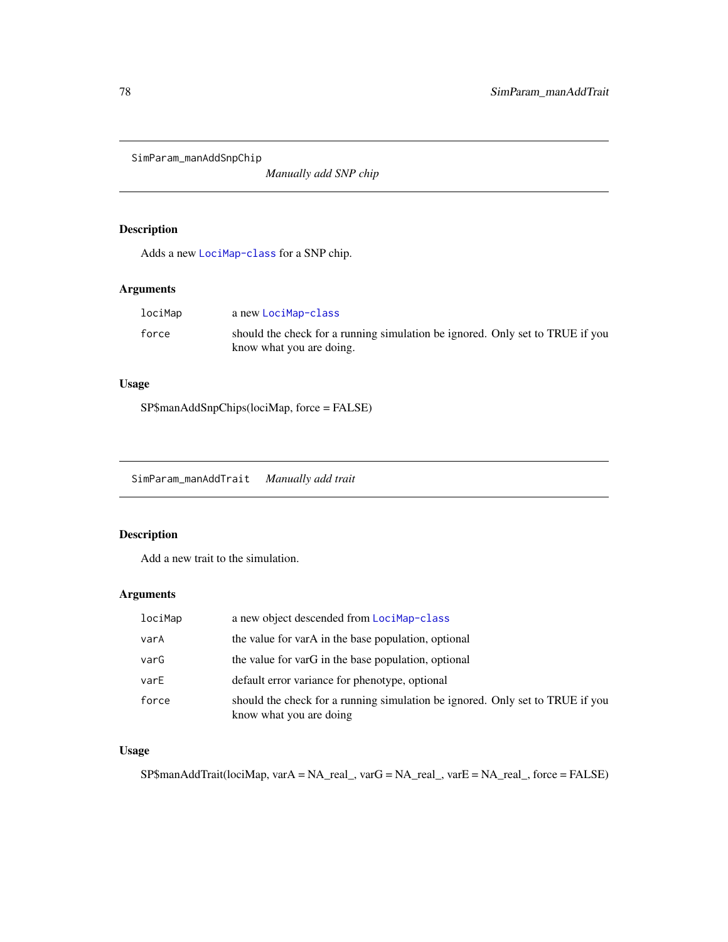<span id="page-77-0"></span>SimParam\_manAddSnpChip

*Manually add SNP chip*

## Description

Adds a new [LociMap-class](#page-19-0) for a SNP chip.

## Arguments

| lociMap | a new LociMap-class                                                                                       |
|---------|-----------------------------------------------------------------------------------------------------------|
| force   | should the check for a running simulation be ignored. Only set to TRUE if you<br>know what you are doing. |

## Usage

SP\$manAddSnpChips(lociMap, force = FALSE)

SimParam\_manAddTrait *Manually add trait*

## Description

Add a new trait to the simulation.

## Arguments

| lociMap | a new object descended from LociMap-class                                                                |
|---------|----------------------------------------------------------------------------------------------------------|
| varA    | the value for varA in the base population, optional                                                      |
| varG    | the value for varG in the base population, optional                                                      |
| varE    | default error variance for phenotype, optional                                                           |
| force   | should the check for a running simulation be ignored. Only set to TRUE if you<br>know what you are doing |

## Usage

SP\$manAddTrait(lociMap, varA = NA\_real\_, varG = NA\_real\_, varE = NA\_real\_, force = FALSE)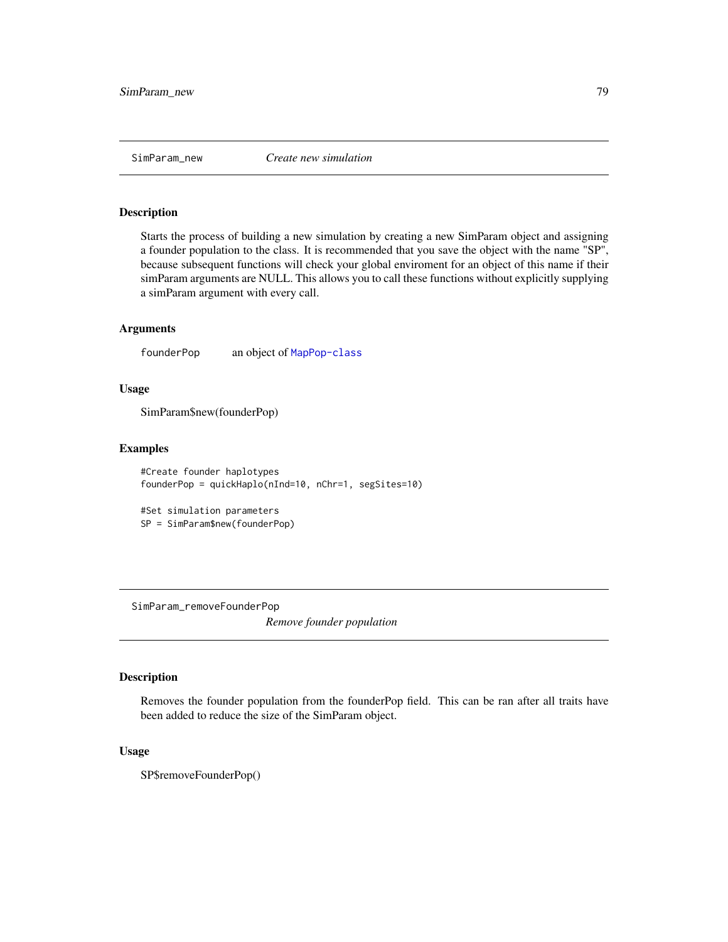<span id="page-78-0"></span>

#### Description

Starts the process of building a new simulation by creating a new SimParam object and assigning a founder population to the class. It is recommended that you save the object with the name "SP", because subsequent functions will check your global enviroment for an object of this name if their simParam arguments are NULL. This allows you to call these functions without explicitly supplying a simParam argument with every call.

#### Arguments

founderPop an object of [MapPop-class](#page-22-0)

#### Usage

SimParam\$new(founderPop)

#### Examples

```
#Create founder haplotypes
founderPop = quickHaplo(nInd=10, nChr=1, segSites=10)
```
#Set simulation parameters SP = SimParam\$new(founderPop)

SimParam\_removeFounderPop

*Remove founder population*

#### Description

Removes the founder population from the founderPop field. This can be ran after all traits have been added to reduce the size of the SimParam object.

## Usage

SP\$removeFounderPop()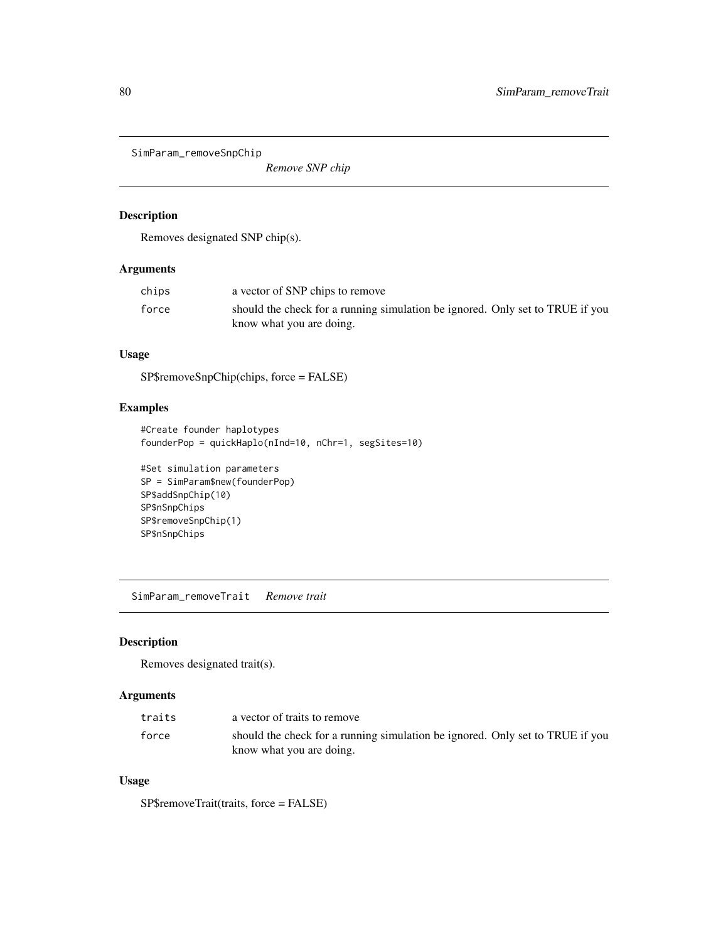<span id="page-79-0"></span>SimParam\_removeSnpChip

*Remove SNP chip*

## Description

Removes designated SNP chip(s).

## Arguments

| chips | a vector of SNP chips to remove                                               |
|-------|-------------------------------------------------------------------------------|
| force | should the check for a running simulation be ignored. Only set to TRUE if you |
|       | know what you are doing.                                                      |

## Usage

SP\$removeSnpChip(chips, force = FALSE)

## Examples

```
#Create founder haplotypes
founderPop = quickHaplo(nInd=10, nChr=1, segSites=10)
```

```
#Set simulation parameters
SP = SimParam$new(founderPop)
SP$addSnpChip(10)
SP$nSnpChips
SP$removeSnpChip(1)
SP$nSnpChips
```
SimParam\_removeTrait *Remove trait*

## Description

Removes designated trait(s).

## Arguments

| traits | a vector of traits to remove                                                  |
|--------|-------------------------------------------------------------------------------|
| force  | should the check for a running simulation be ignored. Only set to TRUE if you |
|        | know what you are doing.                                                      |

## Usage

SP\$removeTrait(traits, force = FALSE)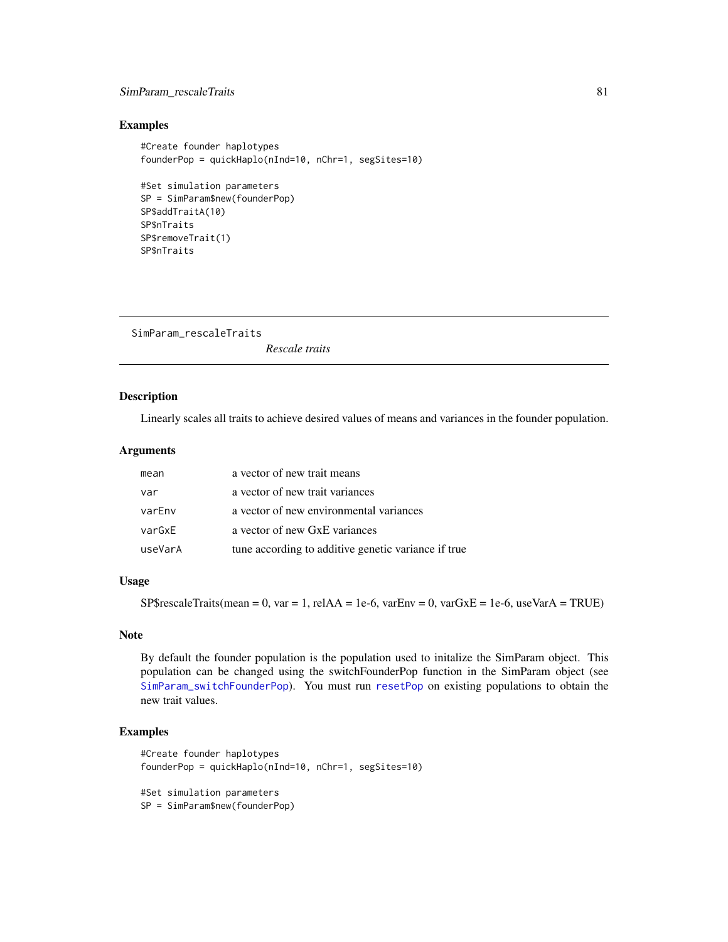## <span id="page-80-0"></span>SimParam\_rescaleTraits 81

#### Examples

```
#Create founder haplotypes
founderPop = quickHaplo(nInd=10, nChr=1, segSites=10)
#Set simulation parameters
SP = SimParam$new(founderPop)
SP$addTraitA(10)
SP$nTraits
SP$removeTrait(1)
SP$nTraits
```
SimParam\_rescaleTraits *Rescale traits*

#### Description

Linearly scales all traits to achieve desired values of means and variances in the founder population.

## Arguments

| mean    | a vector of new trait means                         |
|---------|-----------------------------------------------------|
| var     | a vector of new trait variances                     |
| varEnv  | a vector of new environmental variances             |
| varGxE  | a vector of new GxE variances                       |
| useVarA | tune according to additive genetic variance if true |

## Usage

 $SP\$rescaleTraits(mean = 0, var = 1, relAA = 1e-6, varEnv = 0, varGxE = 1e-6, useVarA = TRUE)$ 

## Note

By default the founder population is the population used to initalize the SimParam object. This population can be changed using the switchFounderPop function in the SimParam object (see [SimParam\\_switchFounderPop](#page-87-0)). You must run [resetPop](#page-41-0) on existing populations to obtain the new trait values.

```
#Create founder haplotypes
founderPop = quickHaplo(nInd=10, nChr=1, segSites=10)
#Set simulation parameters
SP = SimParam$new(founderPop)
```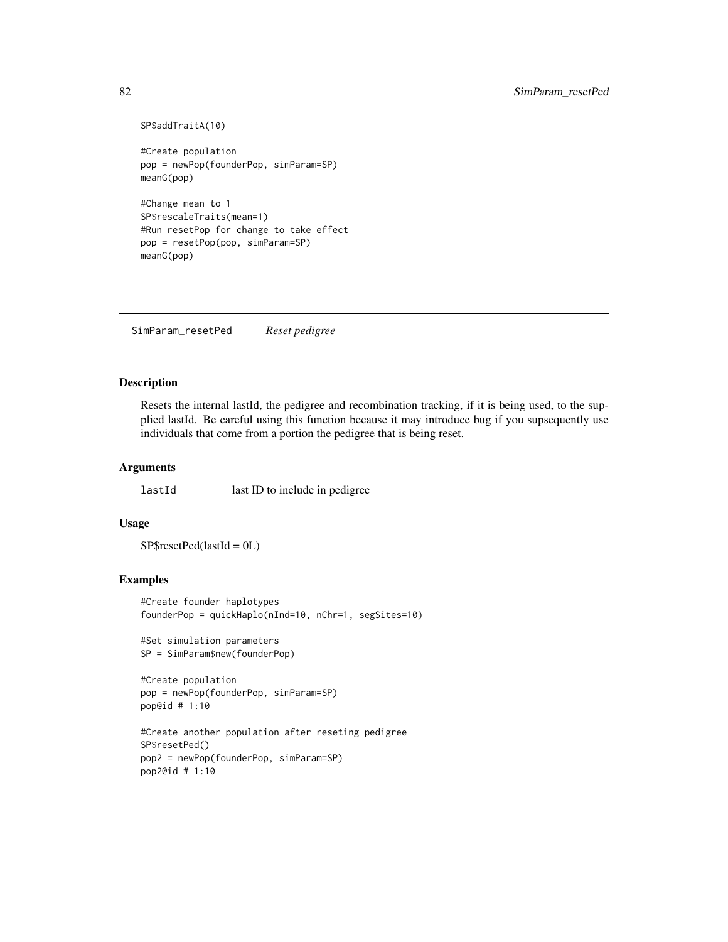```
SP$addTraitA(10)
```

```
#Create population
pop = newPop(founderPop, simParam=SP)
meanG(pop)
```
#Change mean to 1 SP\$rescaleTraits(mean=1) #Run resetPop for change to take effect pop = resetPop(pop, simParam=SP) meanG(pop)

SimParam\_resetPed *Reset pedigree*

#### Description

Resets the internal lastId, the pedigree and recombination tracking, if it is being used, to the supplied lastId. Be careful using this function because it may introduce bug if you supsequently use individuals that come from a portion the pedigree that is being reset.

#### Arguments

lastId last ID to include in pedigree

#### Usage

SP\$resetPed(lastId = 0L)

#### Examples

```
#Create founder haplotypes
founderPop = quickHaplo(nInd=10, nChr=1, segSites=10)
```
#Set simulation parameters SP = SimParam\$new(founderPop)

```
#Create population
pop = newPop(founderPop, simParam=SP)
pop@id # 1:10
```

```
#Create another population after reseting pedigree
SP$resetPed()
pop2 = newPop(founderPop, simParam=SP)
pop2@id # 1:10
```
<span id="page-81-0"></span>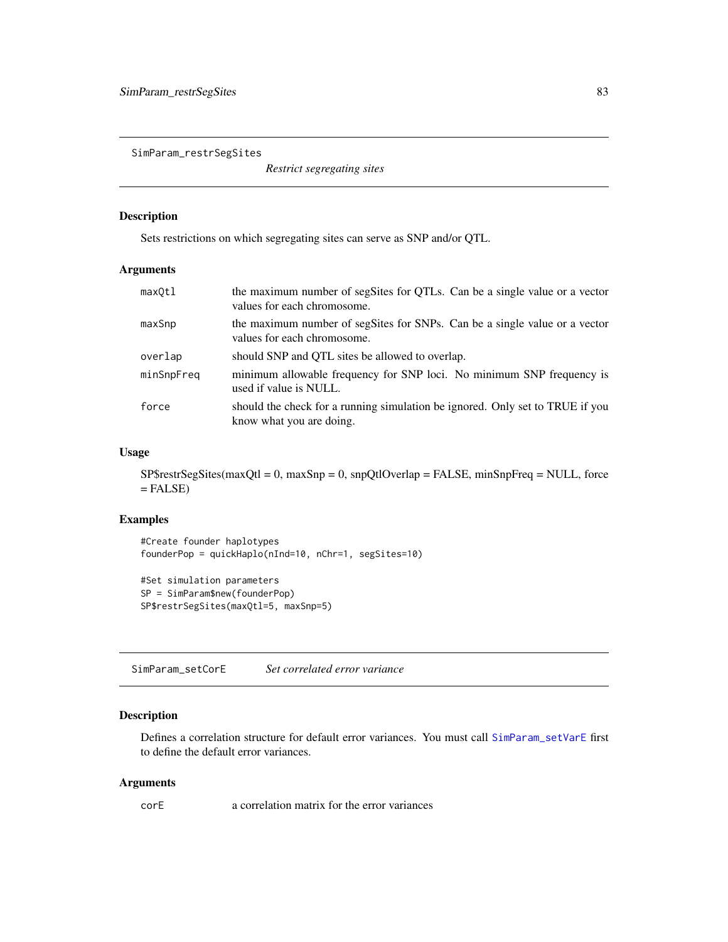<span id="page-82-0"></span>SimParam\_restrSegSites

*Restrict segregating sites*

## Description

Sets restrictions on which segregating sites can serve as SNP and/or QTL.

## Arguments

| maxOtl     | the maximum number of segSites for QTLs. Can be a single value or a vector<br>values for each chromosome. |
|------------|-----------------------------------------------------------------------------------------------------------|
| maxSnp     | the maximum number of segSites for SNPs. Can be a single value or a vector<br>values for each chromosome. |
| overlap    | should SNP and QTL sites be allowed to overlap.                                                           |
| minSnpFreq | minimum allowable frequency for SNP loci. No minimum SNP frequency is<br>used if value is NULL.           |
| force      | should the check for a running simulation be ignored. Only set to TRUE if you<br>know what you are doing. |

## Usage

SP\$restrSegSites(maxQtl = 0, maxSnp = 0, snpQtlOverlap = FALSE, minSnpFreq = NULL, force  $=$  FALSE)

## Examples

```
#Create founder haplotypes
founderPop = quickHaplo(nInd=10, nChr=1, segSites=10)
#Set simulation parameters
SP = SimParam$new(founderPop)
```
SP\$restrSegSites(maxQtl=5, maxSnp=5)

SimParam\_setCorE *Set correlated error variance*

## Description

Defines a correlation structure for default error variances. You must call [SimParam\\_setVarE](#page-86-0) first to define the default error variances.

#### Arguments

corE a correlation matrix for the error variances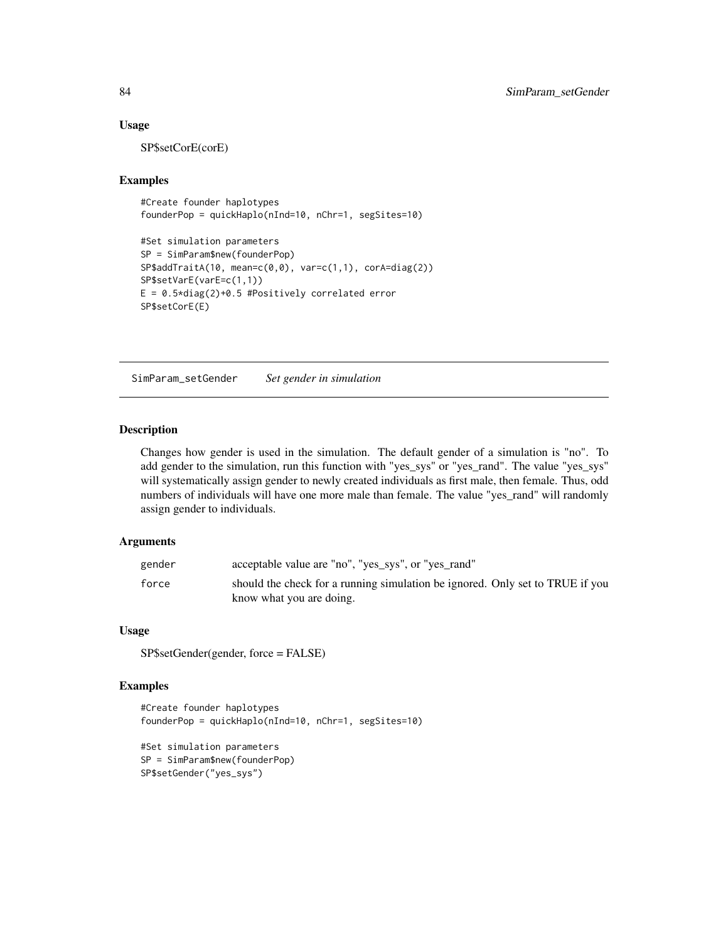#### Usage

SP\$setCorE(corE)

#### Examples

```
#Create founder haplotypes
founderPop = quickHaplo(nInd=10, nChr=1, segSites=10)
```

```
#Set simulation parameters
SP = SimParam$new(founderPop)
SP$addTraitA(10, mean=c(0,0), var=c(1,1), corA=diag(2))
SP$setVarE(varE=c(1,1))
E = 0.5 * diag(2) + 0.5 #Positively correlated error
SP$setCorE(E)
```
SimParam\_setGender *Set gender in simulation*

#### Description

Changes how gender is used in the simulation. The default gender of a simulation is "no". To add gender to the simulation, run this function with "yes\_sys" or "yes\_rand". The value "yes\_sys" will systematically assign gender to newly created individuals as first male, then female. Thus, odd numbers of individuals will have one more male than female. The value "yes\_rand" will randomly assign gender to individuals.

## Arguments

| gender | acceptable value are "no", "yes_sys", or "yes_rand"                           |
|--------|-------------------------------------------------------------------------------|
| force  | should the check for a running simulation be ignored. Only set to TRUE if you |
|        | know what you are doing.                                                      |

#### Usage

SP\$setGender(gender, force = FALSE)

```
#Create founder haplotypes
founderPop = quickHaplo(nInd=10, nChr=1, segSites=10)
```

```
#Set simulation parameters
SP = SimParam$new(founderPop)
SP$setGender("yes_sys")
```
<span id="page-83-0"></span>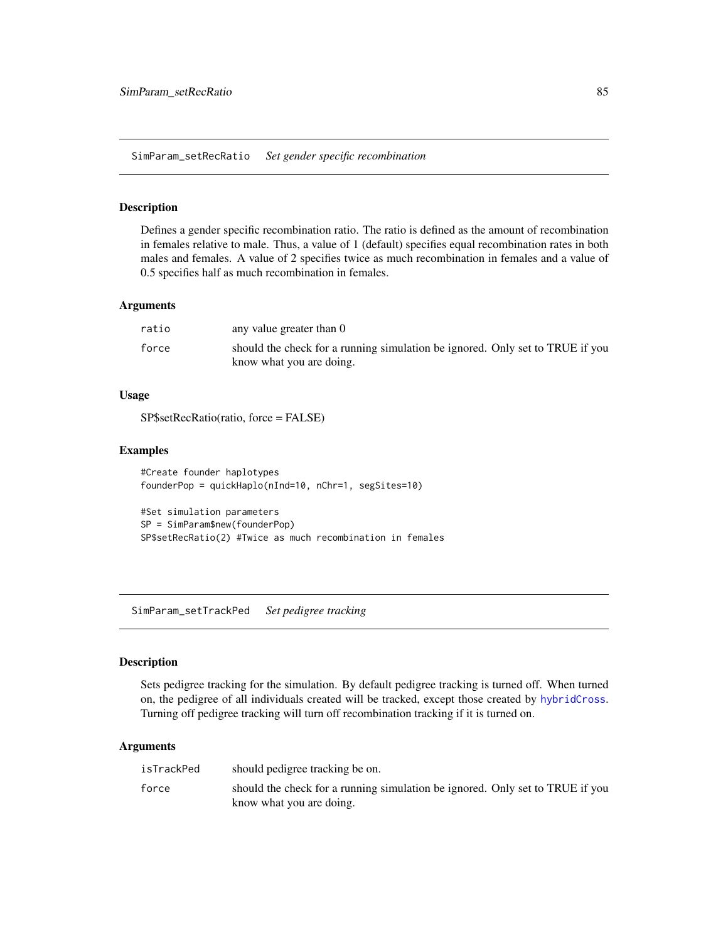<span id="page-84-0"></span>SimParam\_setRecRatio *Set gender specific recombination*

#### Description

Defines a gender specific recombination ratio. The ratio is defined as the amount of recombination in females relative to male. Thus, a value of 1 (default) specifies equal recombination rates in both males and females. A value of 2 specifies twice as much recombination in females and a value of 0.5 specifies half as much recombination in females.

#### Arguments

| ratio | any value greater than 0                                                                                  |
|-------|-----------------------------------------------------------------------------------------------------------|
| force | should the check for a running simulation be ignored. Only set to TRUE if you<br>know what you are doing. |

#### Usage

SP\$setRecRatio(ratio, force = FALSE)

## Examples

```
#Create founder haplotypes
founderPop = quickHaplo(nInd=10, nChr=1, segSites=10)
```

```
#Set simulation parameters
SP = SimParam$new(founderPop)
SP$setRecRatio(2) #Twice as much recombination in females
```
SimParam\_setTrackPed *Set pedigree tracking*

#### Description

Sets pedigree tracking for the simulation. By default pedigree tracking is turned off. When turned on, the pedigree of all individuals created will be tracked, except those created by [hybridCross](#page-17-0). Turning off pedigree tracking will turn off recombination tracking if it is turned on.

## Arguments

| isTrackPed | should pedigree tracking be on.                                                                           |
|------------|-----------------------------------------------------------------------------------------------------------|
| force      | should the check for a running simulation be ignored. Only set to TRUE if you<br>know what you are doing. |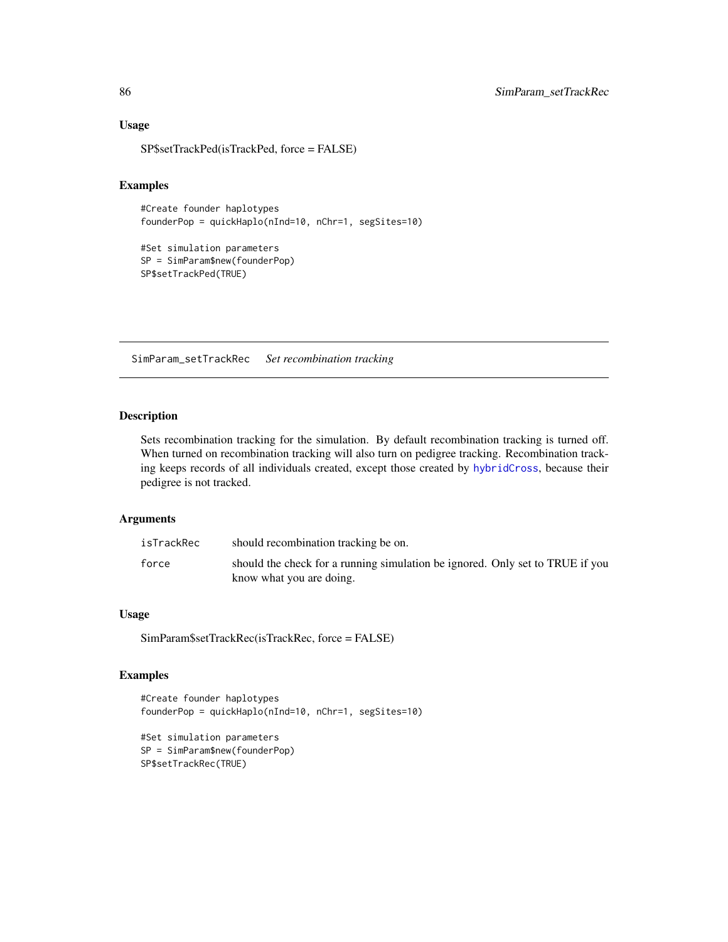## Usage

SP\$setTrackPed(isTrackPed, force = FALSE)

#### Examples

```
#Create founder haplotypes
founderPop = quickHaplo(nInd=10, nChr=1, segSites=10)
```

```
#Set simulation parameters
SP = SimParam$new(founderPop)
SP$setTrackPed(TRUE)
```
SimParam\_setTrackRec *Set recombination tracking*

#### Description

Sets recombination tracking for the simulation. By default recombination tracking is turned off. When turned on recombination tracking will also turn on pedigree tracking. Recombination tracking keeps records of all individuals created, except those created by [hybridCross](#page-17-0), because their pedigree is not tracked.

#### Arguments

| isTrackRec | should recombination tracking be on.                                                                      |
|------------|-----------------------------------------------------------------------------------------------------------|
| force      | should the check for a running simulation be ignored. Only set to TRUE if you<br>know what you are doing. |

## Usage

SimParam\$setTrackRec(isTrackRec, force = FALSE)

```
#Create founder haplotypes
founderPop = quickHaplo(nInd=10, nChr=1, segSites=10)
```

```
#Set simulation parameters
SP = SimParam$new(founderPop)
SP$setTrackRec(TRUE)
```
<span id="page-85-0"></span>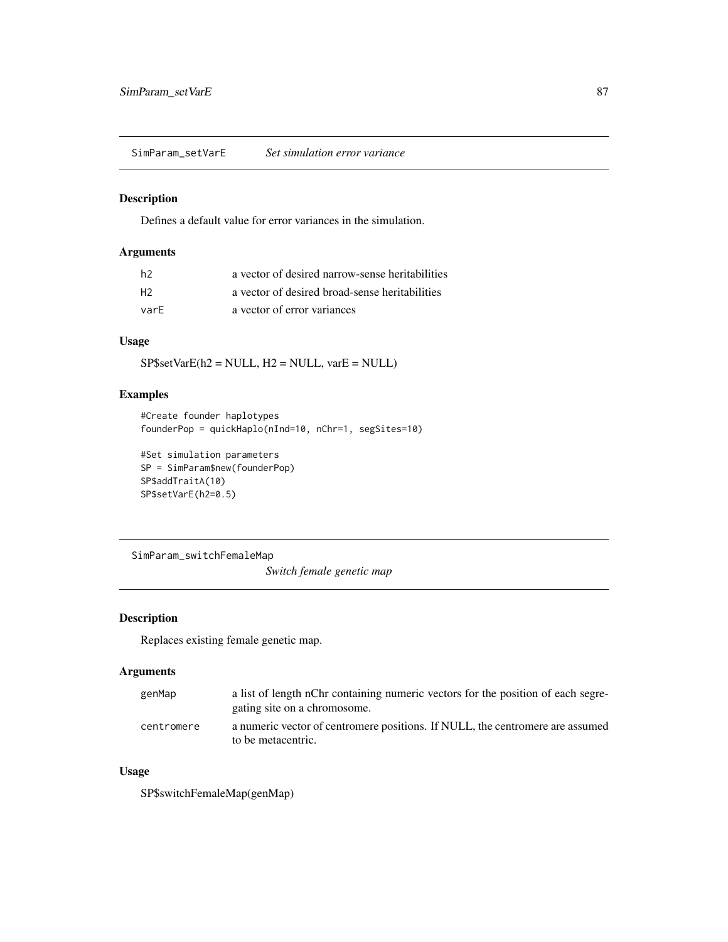<span id="page-86-1"></span><span id="page-86-0"></span>SimParam\_setVarE *Set simulation error variance*

#### Description

Defines a default value for error variances in the simulation.

## Arguments

| h2   | a vector of desired narrow-sense heritabilities |
|------|-------------------------------------------------|
| H2   | a vector of desired broad-sense heritabilities  |
| varF | a vector of error variances                     |

## Usage

 $SP$setVarE(h2 = NULL, H2 = NULL, varE = NULL)$ 

## Examples

```
#Create founder haplotypes
founderPop = quickHaplo(nInd=10, nChr=1, segSites=10)
```

```
#Set simulation parameters
SP = SimParam$new(founderPop)
SP$addTraitA(10)
SP$setVarE(h2=0.5)
```
SimParam\_switchFemaleMap *Switch female genetic map*

## Description

Replaces existing female genetic map.

#### Arguments

| genMap     | a list of length nChr containing numeric vectors for the position of each segre- |
|------------|----------------------------------------------------------------------------------|
|            | gating site on a chromosome.                                                     |
| centromere | a numeric vector of centromere positions. If NULL, the centromere are assumed    |
|            | to be metacentric.                                                               |

## Usage

SP\$switchFemaleMap(genMap)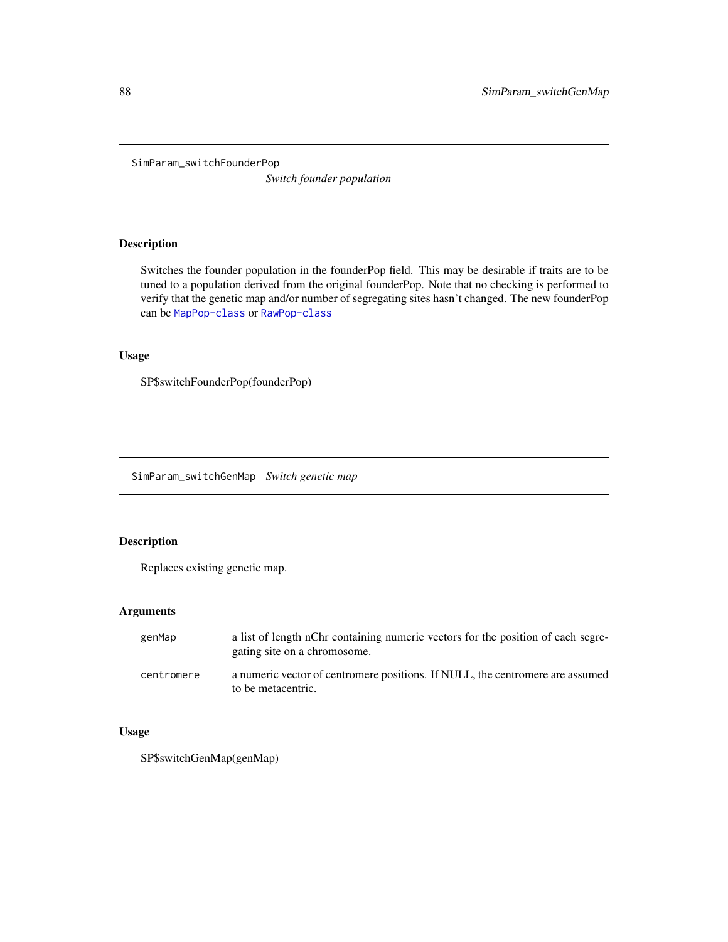<span id="page-87-1"></span><span id="page-87-0"></span>SimParam\_switchFounderPop

*Switch founder population*

## Description

Switches the founder population in the founderPop field. This may be desirable if traits are to be tuned to a population derived from the original founderPop. Note that no checking is performed to verify that the genetic map and/or number of segregating sites hasn't changed. The new founderPop can be [MapPop-class](#page-22-0) or [RawPop-class](#page-40-0)

## Usage

SP\$switchFounderPop(founderPop)

SimParam\_switchGenMap *Switch genetic map*

## Description

Replaces existing genetic map.

#### Arguments

| genMap     | a list of length nChr containing numeric vectors for the position of each segre-<br>gating site on a chromosome. |
|------------|------------------------------------------------------------------------------------------------------------------|
| centromere | a numeric vector of centromere positions. If NULL, the centromere are assumed<br>to be metacentric.              |

## Usage

SP\$switchGenMap(genMap)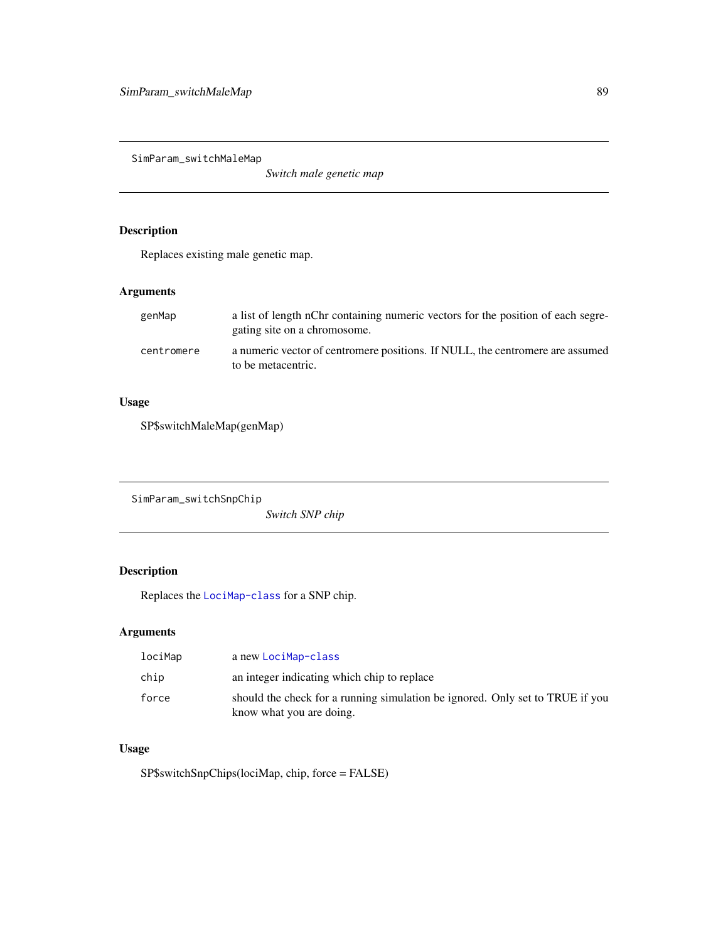<span id="page-88-0"></span>SimParam\_switchMaleMap

*Switch male genetic map*

## Description

Replaces existing male genetic map.

## Arguments

| genMap     | a list of length nChr containing numeric vectors for the position of each segre-<br>gating site on a chromosome. |
|------------|------------------------------------------------------------------------------------------------------------------|
| centromere | a numeric vector of centromere positions. If NULL, the centromere are assumed<br>to be metacentric.              |

## Usage

SP\$switchMaleMap(genMap)

SimParam\_switchSnpChip *Switch SNP chip*

## Description

Replaces the [LociMap-class](#page-19-0) for a SNP chip.

## Arguments

| lociMap | a new LociMap-class                                                                                       |
|---------|-----------------------------------------------------------------------------------------------------------|
| chip    | an integer indicating which chip to replace                                                               |
| force   | should the check for a running simulation be ignored. Only set to TRUE if you<br>know what you are doing. |

## Usage

SP\$switchSnpChips(lociMap, chip, force = FALSE)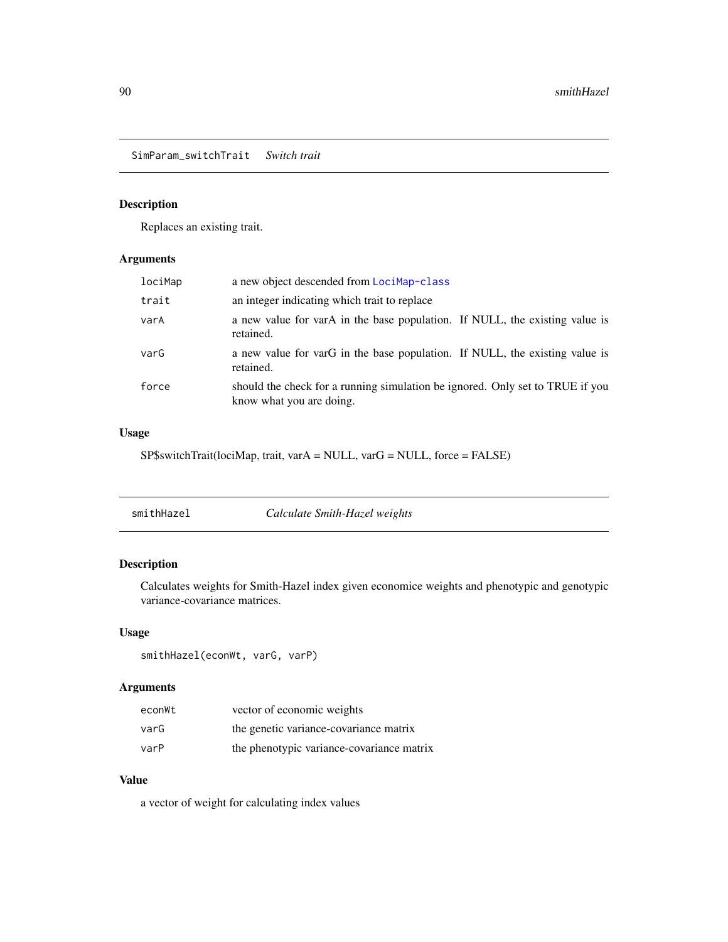<span id="page-89-0"></span>SimParam\_switchTrait *Switch trait*

## Description

Replaces an existing trait.

## Arguments

| lociMap | a new object descended from LociMap-class                                                                 |
|---------|-----------------------------------------------------------------------------------------------------------|
| trait   | an integer indicating which trait to replace                                                              |
| varA    | a new value for varA in the base population. If NULL, the existing value is<br>retained.                  |
| varG    | a new value for varG in the base population. If NULL, the existing value is<br>retained.                  |
| force   | should the check for a running simulation be ignored. Only set to TRUE if you<br>know what you are doing. |

## Usage

SP\$switchTrait(lociMap, trait, varA = NULL, varG = NULL, force = FALSE)

| smithHazel | Calculate Smith-Hazel weights |  |
|------------|-------------------------------|--|
|            |                               |  |

## Description

Calculates weights for Smith-Hazel index given economice weights and phenotypic and genotypic variance-covariance matrices.

## Usage

smithHazel(econWt, varG, varP)

## Arguments

| econWt | vector of economic weights                |
|--------|-------------------------------------------|
| varG   | the genetic variance-covariance matrix    |
| varP   | the phenotypic variance-covariance matrix |

## Value

a vector of weight for calculating index values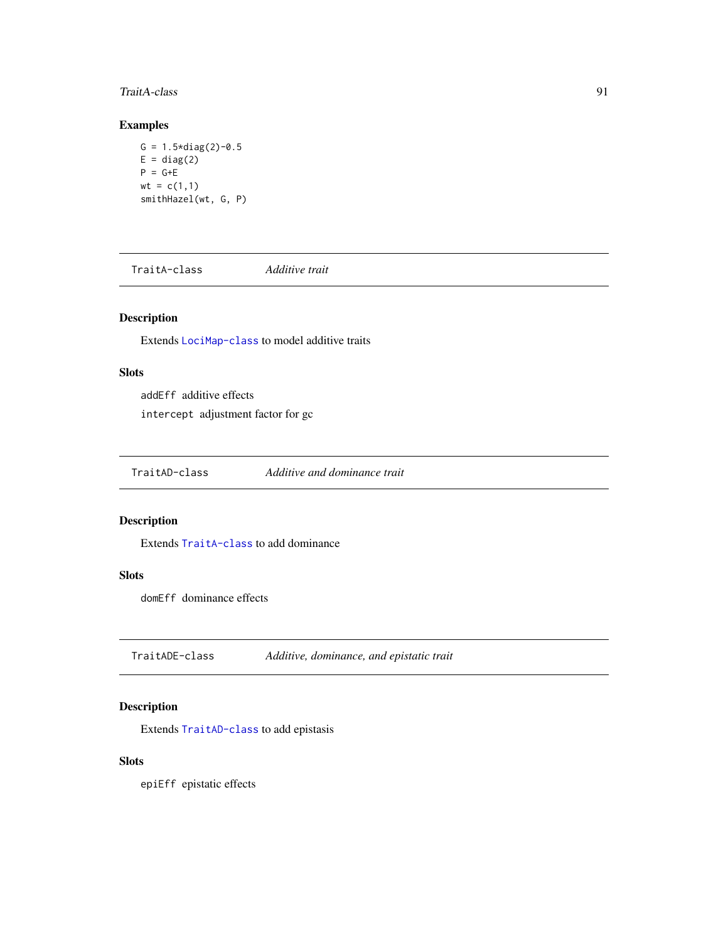## <span id="page-90-3"></span>TraitA-class 91

## Examples

```
G = 1.5 * diag(2) - 0.5E = diag(2)P = G+Ewt = c(1,1)smithHazel(wt, G, P)
```
<span id="page-90-0"></span>TraitA-class *Additive trait*

## Description

Extends [LociMap-class](#page-19-0) to model additive traits

## Slots

addEff additive effects

intercept adjustment factor for gc

<span id="page-90-1"></span>TraitAD-class *Additive and dominance trait*

## Description

Extends [TraitA-class](#page-90-0) to add dominance

## Slots

domEff dominance effects

<span id="page-90-2"></span>TraitADE-class *Additive, dominance, and epistatic trait*

## Description

Extends [TraitAD-class](#page-90-1) to add epistasis

## Slots

epiEff epistatic effects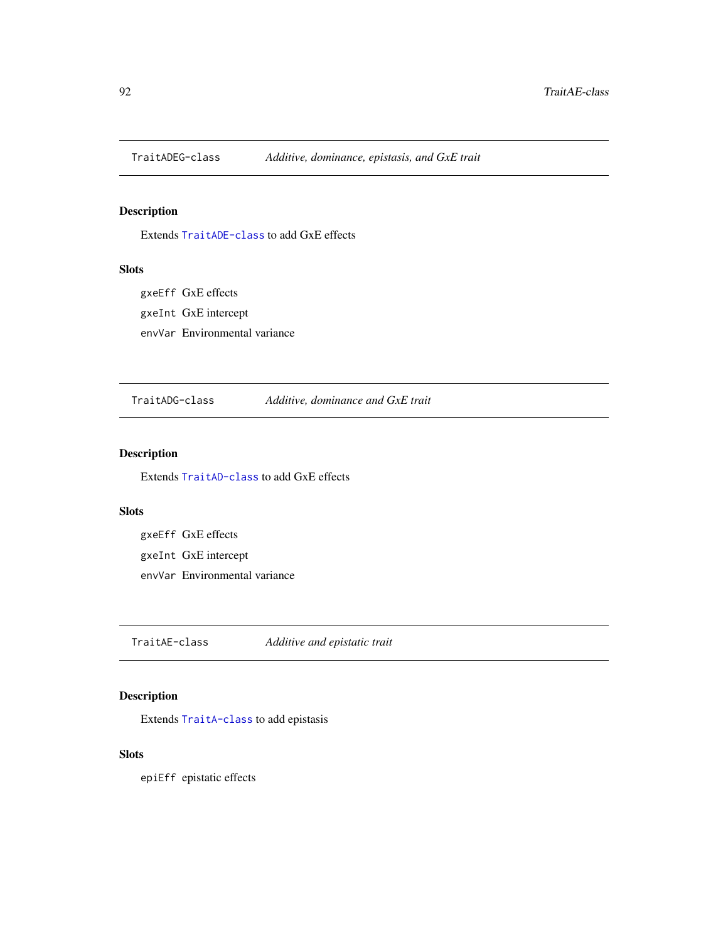<span id="page-91-1"></span>

## Description

Extends [TraitADE-class](#page-90-2) to add GxE effects

## Slots

gxeEff GxE effects gxeInt GxE intercept envVar Environmental variance

TraitADG-class *Additive, dominance and GxE trait*

## Description

Extends [TraitAD-class](#page-90-1) to add GxE effects

## Slots

gxeEff GxE effects gxeInt GxE intercept envVar Environmental variance

<span id="page-91-0"></span>TraitAE-class *Additive and epistatic trait*

## Description

Extends [TraitA-class](#page-90-0) to add epistasis

## **Slots**

epiEff epistatic effects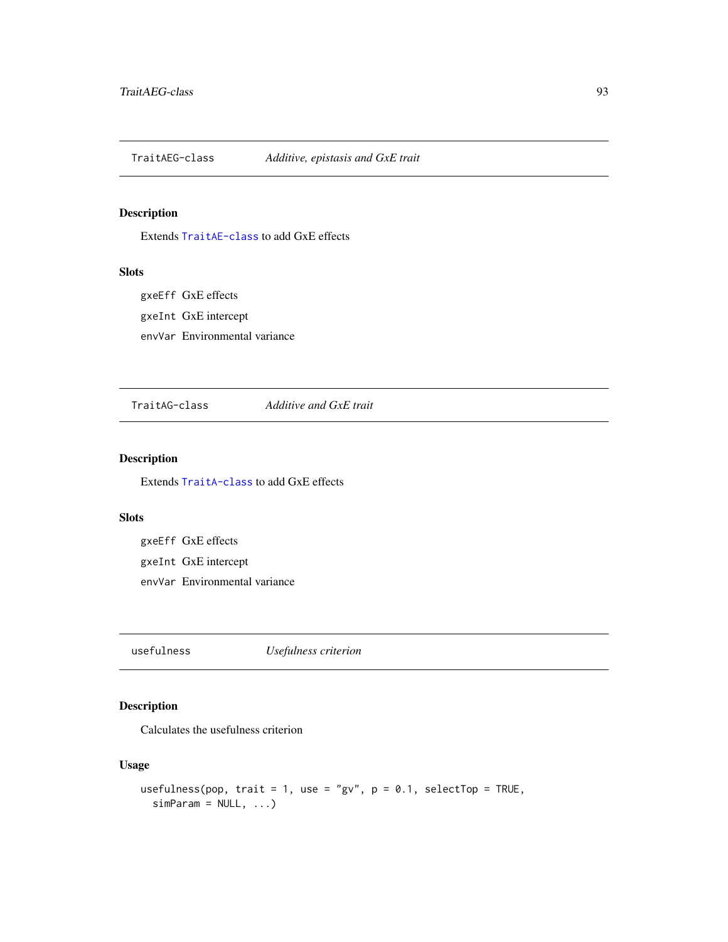<span id="page-92-0"></span>TraitAEG-class *Additive, epistasis and GxE trait*

## Description

Extends [TraitAE-class](#page-91-0) to add GxE effects

## Slots

gxeEff GxE effects gxeInt GxE intercept envVar Environmental variance

TraitAG-class *Additive and GxE trait*

## Description

Extends [TraitA-class](#page-90-0) to add GxE effects

#### Slots

gxeEff GxE effects gxeInt GxE intercept envVar Environmental variance

usefulness *Usefulness criterion*

## Description

Calculates the usefulness criterion

## Usage

```
usefulness(pop, trait = 1, use = "gv", p = 0.1, selectTop = TRUE,
  simParam = NULL, ...)
```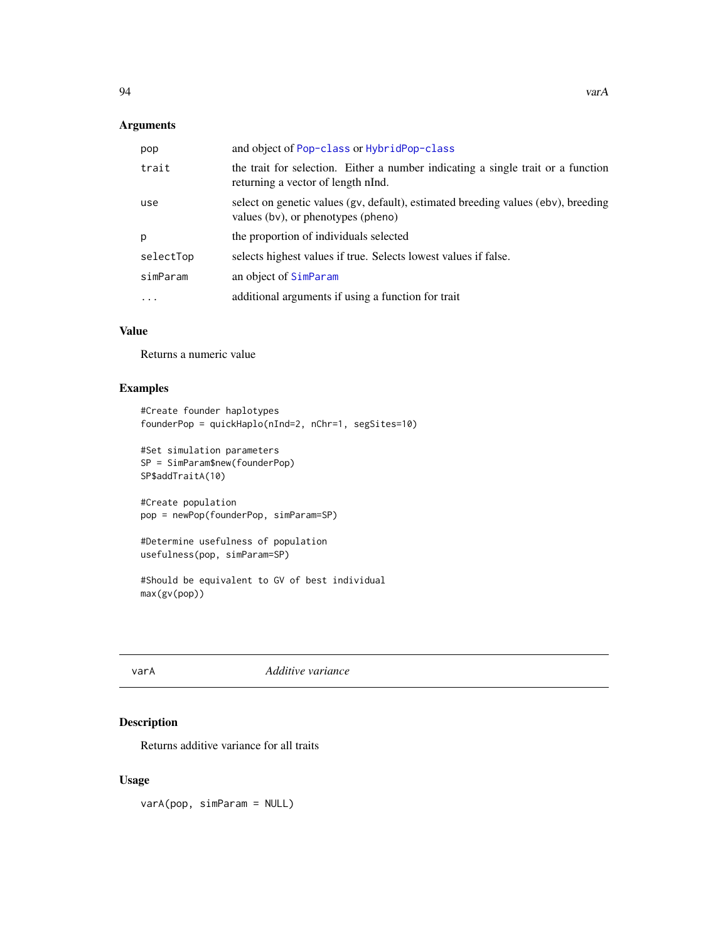#### <span id="page-93-0"></span>Arguments

| pop       | and object of Pop-class or HybridPop-class                                                                              |
|-----------|-------------------------------------------------------------------------------------------------------------------------|
| trait     | the trait for selection. Either a number indicating a single trait or a function<br>returning a vector of length nInd.  |
| use       | select on genetic values (gv, default), estimated breeding values (ebv), breeding<br>values (bv), or phenotypes (pheno) |
| p         | the proportion of individuals selected                                                                                  |
| selectTop | selects highest values if true. Selects lowest values if false.                                                         |
| simParam  | an object of SimParam                                                                                                   |
|           | additional arguments if using a function for trait                                                                      |

## Value

Returns a numeric value

#### Examples

```
#Create founder haplotypes
founderPop = quickHaplo(nInd=2, nChr=1, segSites=10)
```

```
#Set simulation parameters
SP = SimParam$new(founderPop)
SP$addTraitA(10)
```

```
#Create population
pop = newPop(founderPop, simParam=SP)
```

```
#Determine usefulness of population
usefulness(pop, simParam=SP)
```

```
#Should be equivalent to GV of best individual
max(gv(pop))
```
varA *Additive variance*

## Description

Returns additive variance for all traits

## Usage

varA(pop, simParam = NULL)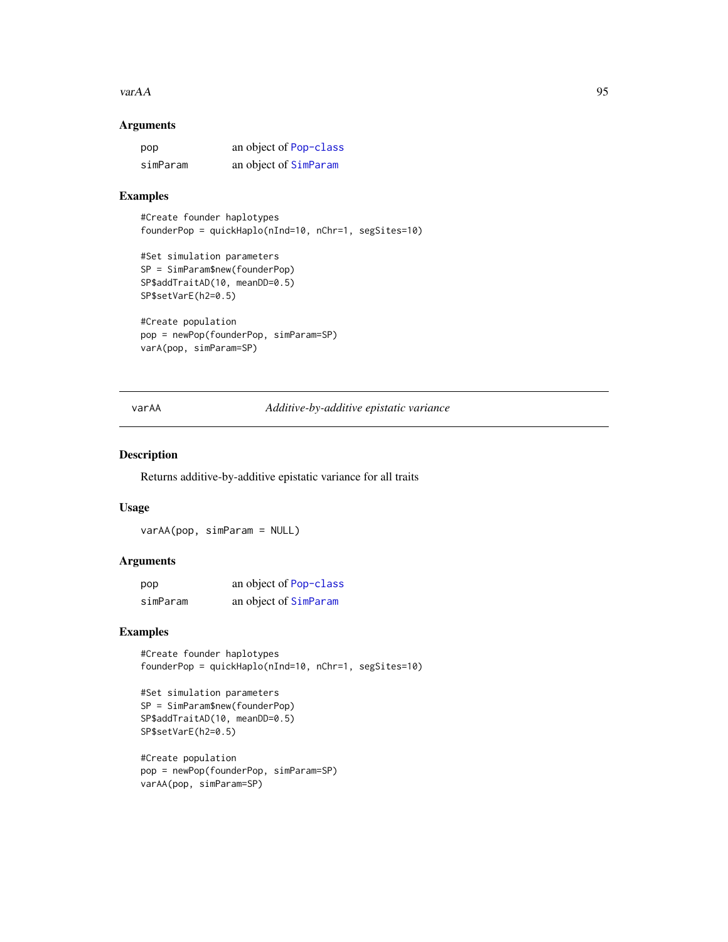#### <span id="page-94-0"></span> $\mathsf{var}AA$  95

## Arguments

| pop      | an object of Pop-class |
|----------|------------------------|
| simParam | an object of SimParam  |

## Examples

```
#Create founder haplotypes
founderPop = quickHaplo(nInd=10, nChr=1, segSites=10)
```

```
#Set simulation parameters
SP = SimParam$new(founderPop)
SP$addTraitAD(10, meanDD=0.5)
SP$setVarE(h2=0.5)
```

```
#Create population
pop = newPop(founderPop, simParam=SP)
varA(pop, simParam=SP)
```
#### varAA *Additive-by-additive epistatic variance*

#### Description

Returns additive-by-additive epistatic variance for all traits

#### Usage

varAA(pop, simParam = NULL)

#### Arguments

| pop      | an object of Pop-class |
|----------|------------------------|
| simParam | an object of SimParam  |

## Examples

#Create founder haplotypes founderPop = quickHaplo(nInd=10, nChr=1, segSites=10)

```
#Set simulation parameters
SP = SimParam$new(founderPop)
SP$addTraitAD(10, meanDD=0.5)
SP$setVarE(h2=0.5)
```

```
#Create population
pop = newPop(founderPop, simParam=SP)
varAA(pop, simParam=SP)
```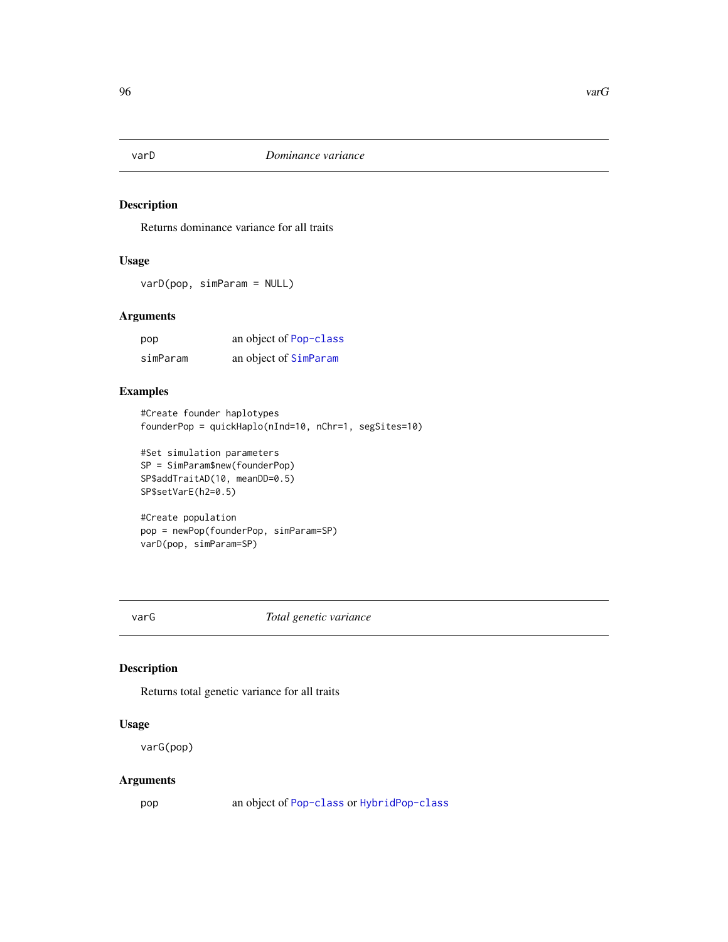<span id="page-95-0"></span>

## Description

Returns dominance variance for all traits

## Usage

varD(pop, simParam = NULL)

#### Arguments

| pop      | an object of Pop-class |
|----------|------------------------|
| simParam | an object of SimParam  |

#### Examples

#Create founder haplotypes founderPop = quickHaplo(nInd=10, nChr=1, segSites=10)

```
#Set simulation parameters
SP = SimParam$new(founderPop)
SP$addTraitAD(10, meanDD=0.5)
SP$setVarE(h2=0.5)
```
#Create population pop = newPop(founderPop, simParam=SP) varD(pop, simParam=SP)

varG *Total genetic variance*

## Description

Returns total genetic variance for all traits

#### Usage

varG(pop)

#### Arguments

pop an object of [Pop-class](#page-29-0) or [HybridPop-class](#page-18-0)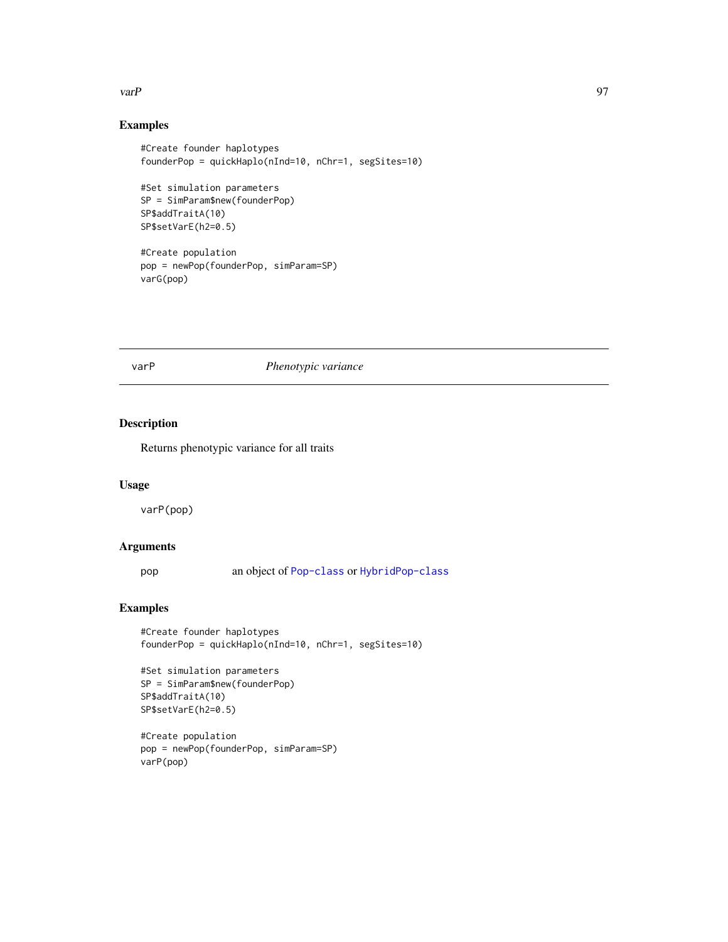#### <span id="page-96-0"></span>varP 97

## Examples

```
#Create founder haplotypes
founderPop = quickHaplo(nInd=10, nChr=1, segSites=10)
#Set simulation parameters
SP = SimParam$new(founderPop)
SP$addTraitA(10)
SP$setVarE(h2=0.5)
#Create population
pop = newPop(founderPop, simParam=SP)
```
varG(pop)

#### varP *Phenotypic variance*

#### Description

Returns phenotypic variance for all traits

## Usage

varP(pop)

#### Arguments

pop an object of [Pop-class](#page-29-0) or [HybridPop-class](#page-18-0)

```
#Create founder haplotypes
founderPop = quickHaplo(nInd=10, nChr=1, segSites=10)
```

```
#Set simulation parameters
SP = SimParam$new(founderPop)
SP$addTraitA(10)
SP$setVarE(h2=0.5)
```

```
#Create population
pop = newPop(founderPop, simParam=SP)
varP(pop)
```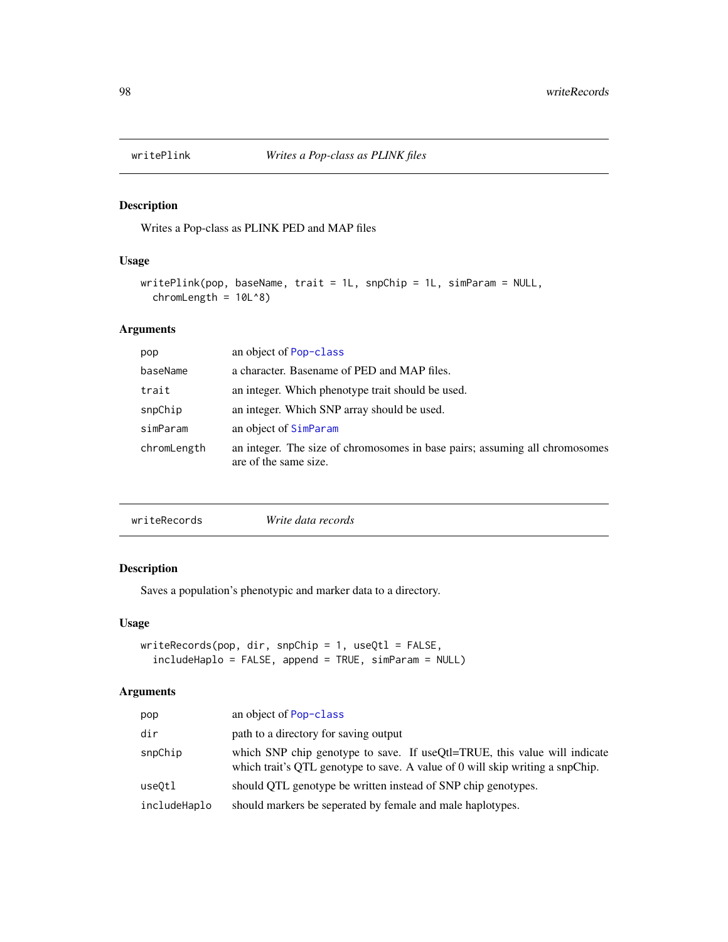<span id="page-97-0"></span>

## Description

Writes a Pop-class as PLINK PED and MAP files

#### Usage

```
writePlink(pop, baseName, trait = 1L, snpChip = 1L, simParam = NULL,
  chromLength = 10L^8
```
## Arguments

| pop         | an object of Pop-class                                                                               |
|-------------|------------------------------------------------------------------------------------------------------|
| baseName    | a character. Basename of PED and MAP files.                                                          |
| trait       | an integer. Which phenotype trait should be used.                                                    |
| snpChip     | an integer. Which SNP array should be used.                                                          |
| simParam    | an object of SimParam                                                                                |
| chromLength | an integer. The size of chromosomes in base pairs; assuming all chromosomes<br>are of the same size. |

|--|

## Description

Saves a population's phenotypic and marker data to a directory.

#### Usage

```
writeRecords(pop, dir, snpChip = 1, useQtl = FALSE,
  includeHaplo = FALSE, append = TRUE, simParam = NULL)
```
## Arguments

| pop          | an object of Pop-class                                                                                                                                     |
|--------------|------------------------------------------------------------------------------------------------------------------------------------------------------------|
| dir          | path to a directory for saving output                                                                                                                      |
| snpChip      | which SNP chip genotype to save. If useQtl=TRUE, this value will indicate<br>which trait's QTL genotype to save. A value of 0 will skip writing a snpChip. |
| use0tl       | should QTL genotype be written instead of SNP chip genotypes.                                                                                              |
| includeHaplo | should markers be seperated by female and male haplotypes.                                                                                                 |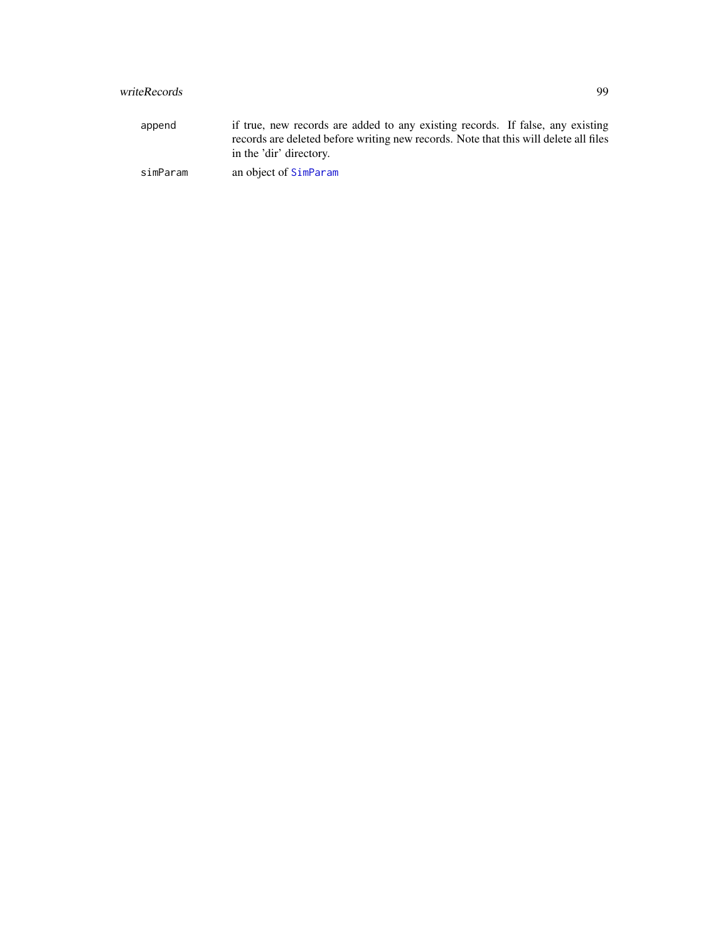## <span id="page-98-0"></span>writeRecords 99

append if true, new records are added to any existing records. If false, any existing records are deleted before writing new records. Note that this will delete all files in the 'dir' directory. simParam an object of [SimParam](#page-67-0)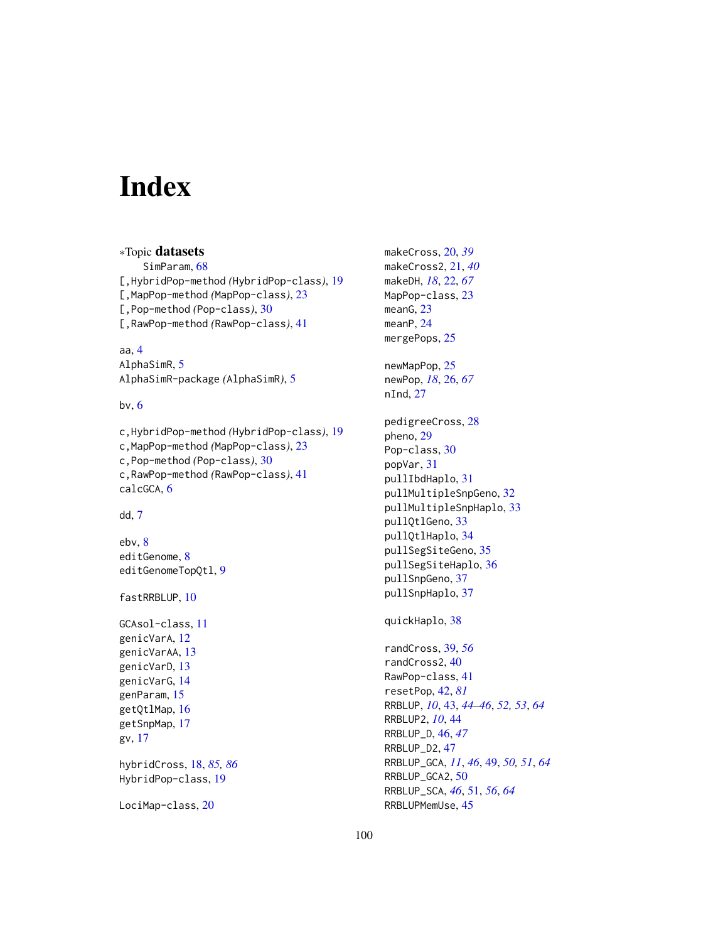# Index

```
∗Topic datasets
    SimParam, 68
[,HybridPop-method (HybridPop-class), 19
[,MapPop-method (MapPop-class), 23
[,Pop-method (Pop-class), 30
[,RawPop-method (RawPop-class), 41
```
aa, [4](#page-3-0) AlphaSimR, [5](#page-4-0) AlphaSimR-package *(*AlphaSimR*)*, [5](#page-4-0)

bv, [6](#page-5-0)

c,HybridPop-method *(*HybridPop-class*)*, [19](#page-18-1) c,MapPop-method *(*MapPop-class*)*, [23](#page-22-1) c,Pop-method *(*Pop-class*)*, [30](#page-29-1) c,RawPop-method *(*RawPop-class*)*, [41](#page-40-1) calcGCA, [6](#page-5-0)

dd, [7](#page-6-0)

ebv, [8](#page-7-0) editGenome, [8](#page-7-0) editGenomeTopQtl, [9](#page-8-0)

fastRRBLUP, [10](#page-9-0)

```
GCAsol-class, 11
genicVarA, 12
genicVarAA, 13
genicVarD, 13
genicVarG, 14
genParam, 15
getQtlMap, 16
getSnpMap, 17
gv, 17
```
hybridCross, [18,](#page-17-1) *[85,](#page-84-0) [86](#page-85-0)* HybridPop-class, [19](#page-18-1)

LociMap-class, [20](#page-19-1)

makeCross, [20,](#page-19-1) *[39](#page-38-0)* makeCross2, [21,](#page-20-0) *[40](#page-39-0)* makeDH, *[18](#page-17-1)*, [22,](#page-21-0) *[67](#page-66-0)* MapPop-class, [23](#page-22-1) meanG, [23](#page-22-1) meanP, [24](#page-23-0) mergePops, [25](#page-24-0) newMapPop, [25](#page-24-0) newPop, *[18](#page-17-1)*, [26,](#page-25-0) *[67](#page-66-0)* nInd, [27](#page-26-0) pedigreeCross, [28](#page-27-0) pheno, [29](#page-28-0) Pop-class, [30](#page-29-1) popVar, [31](#page-30-0) pullIbdHaplo, [31](#page-30-0) pullMultipleSnpGeno, [32](#page-31-0) pullMultipleSnpHaplo, [33](#page-32-0) pullQtlGeno, [33](#page-32-0) pullQtlHaplo, [34](#page-33-0) pullSegSiteGeno, [35](#page-34-0) pullSegSiteHaplo, [36](#page-35-0) pullSnpGeno, [37](#page-36-0) pullSnpHaplo, [37](#page-36-0)

quickHaplo, [38](#page-37-0)

randCross, [39,](#page-38-0) *[56](#page-55-0)* randCross2, [40](#page-39-0) RawPop-class, [41](#page-40-1) resetPop, [42,](#page-41-1) *[81](#page-80-0)* RRBLUP, *[10](#page-9-0)*, [43,](#page-42-0) *[44](#page-43-0)[–46](#page-45-0)*, *[52,](#page-51-0) [53](#page-52-0)*, *[64](#page-63-0)* RRBLUP2, *[10](#page-9-0)*, [44](#page-43-0) RRBLUP\_D, [46,](#page-45-0) *[47](#page-46-0)* RRBLUP\_D2, [47](#page-46-0) RRBLUP\_GCA, *[11](#page-10-0)*, *[46](#page-45-0)*, [49,](#page-48-0) *[50,](#page-49-0) [51](#page-50-0)*, *[64](#page-63-0)* RRBLUP\_GCA2, [50](#page-49-0) RRBLUP\_SCA, *[46](#page-45-0)*, [51,](#page-50-0) *[56](#page-55-0)*, *[64](#page-63-0)* RRBLUPMemUse, [45](#page-44-0)